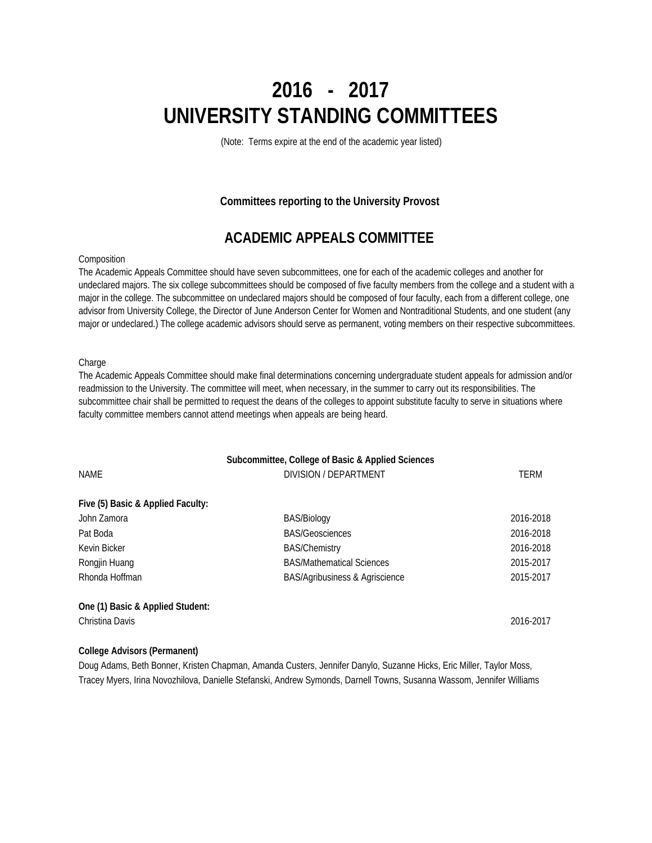# **2016 - 2017 UNIVERSITY STANDING COMMITTEES**

(Note: Terms expire at the end of the academic year listed)

### **Committees reporting to the University Provost**

### **ACADEMIC APPEALS COMMITTEE**

### **Composition**

The Academic Appeals Committee should have seven subcommittees, one for each of the academic colleges and another for undeclared majors. The six college subcommittees should be composed of five faculty members from the college and a student with a major in the college. The subcommittee on undeclared majors should be composed of four faculty, each from a different college, one advisor from University College, the Director of June Anderson Center for Women and Nontraditional Students, and one student (any major or undeclared.) The college academic advisors should serve as permanent, voting members on their respective subcommittees.

### **Charge**

The Academic Appeals Committee should make final determinations concerning undergraduate student appeals for admission and/or readmission to the University. The committee will meet, when necessary, in the summer to carry out its responsibilities. The subcommittee chair shall be permitted to request the deans of the colleges to appoint substitute faculty to serve in situations where faculty committee members cannot attend meetings when appeals are being heard.

|                                   | Subcommittee, College of Basic & Applied Sciences |             |
|-----------------------------------|---------------------------------------------------|-------------|
| <b>NAME</b>                       | DIVISION / DEPARTMENT                             | <b>TERM</b> |
| Five (5) Basic & Applied Faculty: |                                                   |             |
| John Zamora                       | <b>BAS/Biology</b>                                | 2016-2018   |
| Pat Boda                          | <b>BAS/Geosciences</b>                            | 2016-2018   |
| Kevin Bicker                      | <b>BAS/Chemistry</b>                              | 2016-2018   |
| Rongjin Huang                     | <b>BAS/Mathematical Sciences</b>                  | 2015-2017   |
| Rhonda Hoffman                    | BAS/Agribusiness & Agriscience                    | 2015-2017   |
| One (1) Basic & Applied Student:  |                                                   |             |
| Christina Davis                   |                                                   | 2016-2017   |

### **College Advisors (Permanent)**

Doug Adams, Beth Bonner, Kristen Chapman, Amanda Custers, Jennifer Danylo, Suzanne Hicks, Eric Miller, Taylor Moss, Tracey Myers, Irina Novozhilova, Danielle Stefanski, Andrew Symonds, Darnell Towns, Susanna Wassom, Jennifer Williams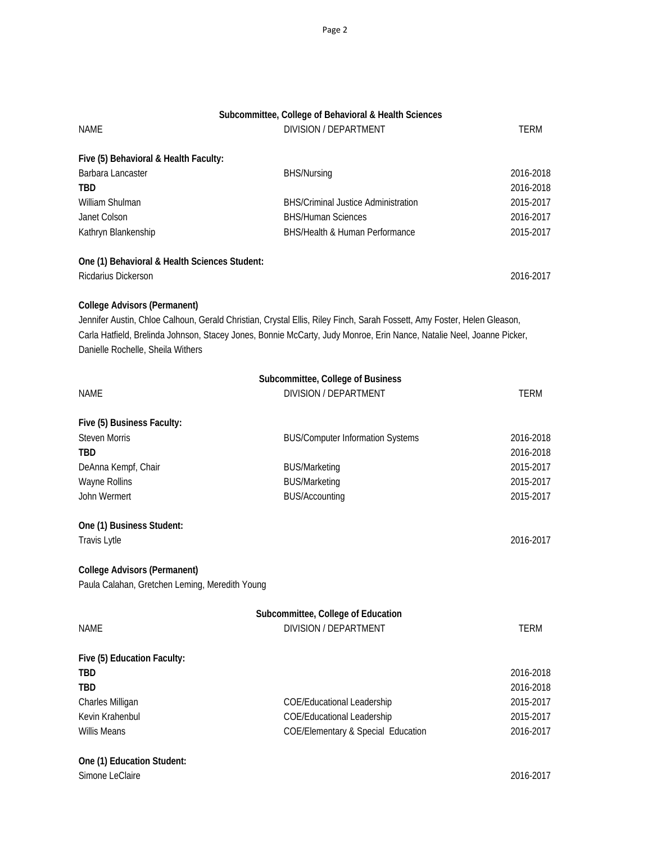|                                                | Subcommittee, College of Behavioral & Health Sciences                                                                   |             |
|------------------------------------------------|-------------------------------------------------------------------------------------------------------------------------|-------------|
| <b>NAME</b>                                    | <b>DIVISION / DEPARTMENT</b>                                                                                            | TERM        |
| Five (5) Behavioral & Health Faculty:          |                                                                                                                         |             |
| Barbara Lancaster                              | <b>BHS/Nursing</b>                                                                                                      | 2016-2018   |
| <b>TBD</b>                                     |                                                                                                                         | 2016-2018   |
| William Shulman                                | <b>BHS/Criminal Justice Administration</b>                                                                              | 2015-2017   |
| Janet Colson                                   | <b>BHS/Human Sciences</b>                                                                                               | 2016-2017   |
| Kathryn Blankenship                            | BHS/Health & Human Performance                                                                                          | 2015-2017   |
| One (1) Behavioral & Health Sciences Student:  |                                                                                                                         |             |
| Ricdarius Dickerson                            |                                                                                                                         | 2016-2017   |
| <b>College Advisors (Permanent)</b>            |                                                                                                                         |             |
|                                                | Jennifer Austin, Chloe Calhoun, Gerald Christian, Crystal Ellis, Riley Finch, Sarah Fossett, Amy Foster, Helen Gleason, |             |
| Danielle Rochelle, Sheila Withers              | Carla Hatfield, Brelinda Johnson, Stacey Jones, Bonnie McCarty, Judy Monroe, Erin Nance, Natalie Neel, Joanne Picker,   |             |
|                                                | Subcommittee, College of Business                                                                                       |             |
| <b>NAME</b>                                    | <b>DIVISION / DEPARTMENT</b>                                                                                            | <b>TERM</b> |
| Five (5) Business Faculty:                     |                                                                                                                         |             |
| <b>Steven Morris</b>                           | <b>BUS/Computer Information Systems</b>                                                                                 | 2016-2018   |
| <b>TBD</b>                                     |                                                                                                                         | 2016-2018   |
| DeAnna Kempf, Chair                            | <b>BUS/Marketing</b>                                                                                                    | 2015-2017   |
| Wayne Rollins                                  | <b>BUS/Marketing</b>                                                                                                    | 2015-2017   |
| John Wermert                                   | <b>BUS/Accounting</b>                                                                                                   | 2015-2017   |
| One (1) Business Student:                      |                                                                                                                         |             |
| Travis Lytle                                   |                                                                                                                         | 2016-2017   |
| <b>College Advisors (Permanent)</b>            |                                                                                                                         |             |
| Paula Calahan, Gretchen Leming, Meredith Young |                                                                                                                         |             |
|                                                | Subcommittee, College of Education                                                                                      |             |
| <b>NAME</b>                                    | <b>DIVISION / DEPARTMENT</b>                                                                                            | TERM        |
| Five (5) Education Faculty:                    |                                                                                                                         |             |
| <b>TBD</b>                                     |                                                                                                                         | 2016-2018   |
| TBD                                            |                                                                                                                         | 2016-2018   |
| Charles Milligan                               | <b>COE/Educational Leadership</b>                                                                                       | 2015-2017   |
| Kevin Krahenbul                                | <b>COE/Educational Leadership</b>                                                                                       | 2015-2017   |
| <b>Willis Means</b>                            | <b>COE/Elementary &amp; Special Education</b>                                                                           | 2016-2017   |
| One (1) Education Student:                     |                                                                                                                         |             |

Simone LeClaire 2016-2017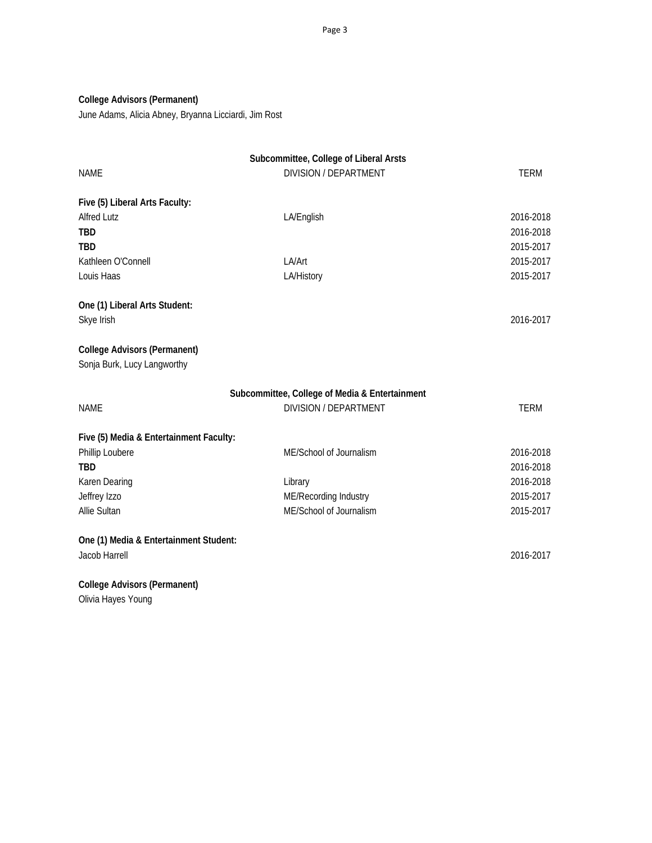### **College Advisors (Permanent)**

June Adams, Alicia Abney, Bryanna Licciardi, Jim Rost

|                                                                    | Subcommittee, College of Liberal Arsts         |             |
|--------------------------------------------------------------------|------------------------------------------------|-------------|
| <b>NAME</b>                                                        | <b>DIVISION / DEPARTMENT</b>                   | <b>TERM</b> |
| Five (5) Liberal Arts Faculty:                                     |                                                |             |
| <b>Alfred Lutz</b>                                                 | LA/English                                     | 2016-2018   |
| <b>TBD</b>                                                         |                                                | 2016-2018   |
| <b>TBD</b>                                                         |                                                | 2015-2017   |
| Kathleen O'Connell                                                 | LA/Art                                         | 2015-2017   |
| Louis Haas                                                         | LA/History                                     | 2015-2017   |
| One (1) Liberal Arts Student:                                      |                                                |             |
| Skye Irish                                                         |                                                | 2016-2017   |
| <b>College Advisors (Permanent)</b><br>Sonja Burk, Lucy Langworthy |                                                |             |
|                                                                    | Subcommittee, College of Media & Entertainment |             |
| <b>NAME</b>                                                        | <b>DIVISION / DEPARTMENT</b>                   | <b>TERM</b> |
| Five (5) Media & Entertainment Faculty:                            |                                                |             |
| Phillip Loubere                                                    | ME/School of Journalism                        | 2016-2018   |
| <b>TBD</b>                                                         |                                                | 2016-2018   |
| Karen Dearing                                                      | Library                                        | 2016-2018   |
| Jeffrey Izzo                                                       | ME/Recording Industry                          | 2015-2017   |
| Allie Sultan                                                       | ME/School of Journalism                        | 2015-2017   |
| One (1) Media & Entertainment Student:                             |                                                |             |
| Jacob Harrell                                                      |                                                | 2016-2017   |
| <b>College Advisors (Permanent)</b>                                |                                                |             |

Olivia Hayes Young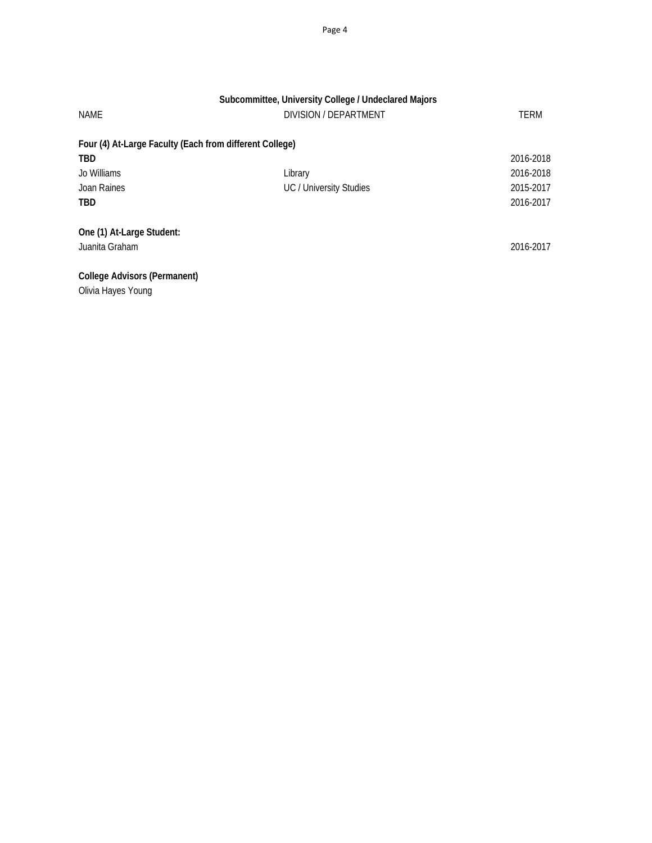| Subcommittee, University College / Undeclared Majors    |                         |             |  |
|---------------------------------------------------------|-------------------------|-------------|--|
| <b>NAME</b>                                             | DIVISION / DEPARTMENT   | <b>TERM</b> |  |
| Four (4) At-Large Faculty (Each from different College) |                         |             |  |
| <b>TBD</b>                                              |                         | 2016-2018   |  |
| Jo Williams                                             | Library                 | 2016-2018   |  |
| Joan Raines                                             | UC / University Studies | 2015-2017   |  |
| <b>TBD</b>                                              |                         | 2016-2017   |  |
| One (1) At-Large Student:<br>Juanita Graham             |                         | 2016-2017   |  |
| College Advisors (Permanent)                            |                         |             |  |

Olivia Hayes Young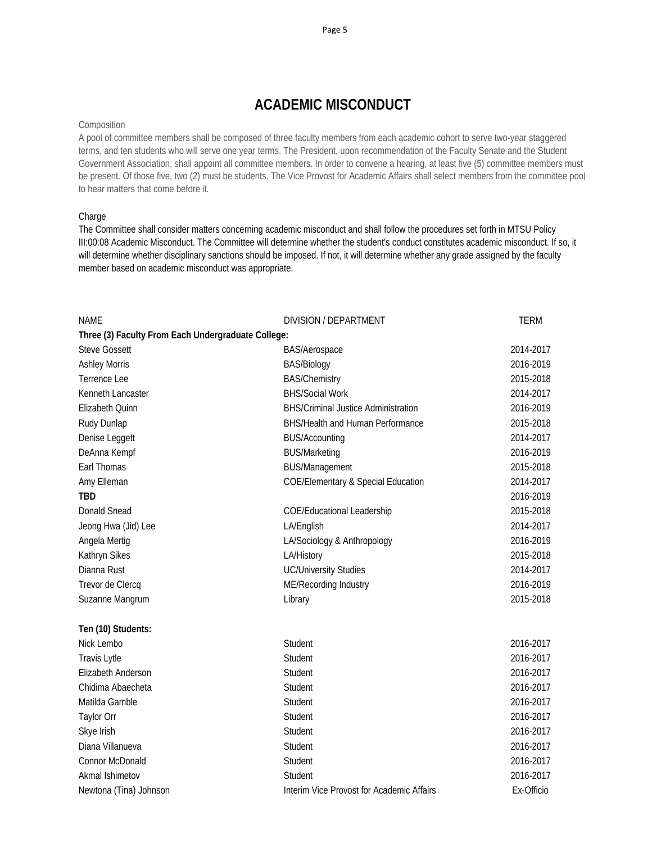# **ACADEMIC MISCONDUCT**

### Composition

A pool of committee members shall be composed of three faculty members from each academic cohort to serve two-year staggered terms, and ten students who will serve one year terms. The President, upon recommendation of the Faculty Senate and the Student Government Association, shall appoint all committee members. In order to convene a hearing, at least five (5) committee members must be present. Of those five, two (2) must be students. The Vice Provost for Academic Affairs shall select members from the committee pool to hear matters that come before it.

### Charge

The Committee shall consider matters concerning academic misconduct and shall follow the procedures set forth in MTSU Policy III:00:08 Academic Misconduct. The Committee will determine whether the student's conduct constitutes academic misconduct. If so, it will determine whether disciplinary sanctions should be imposed. If not, it will determine whether any grade assigned by the faculty member based on academic misconduct was appropriate.

| <b>NAME</b>                                        | DIVISION / DEPARTMENT                         | <b>TERM</b> |
|----------------------------------------------------|-----------------------------------------------|-------------|
| Three (3) Faculty From Each Undergraduate College: |                                               |             |
| <b>Steve Gossett</b>                               | <b>BAS/Aerospace</b>                          | 2014-2017   |
| <b>Ashley Morris</b>                               | BAS/Biology                                   | 2016-2019   |
| Terrence Lee                                       | <b>BAS/Chemistry</b>                          | 2015-2018   |
| Kenneth Lancaster                                  | <b>BHS/Social Work</b>                        | 2014-2017   |
| Elizabeth Quinn                                    | <b>BHS/Criminal Justice Administration</b>    | 2016-2019   |
| Rudy Dunlap                                        | BHS/Health and Human Performance              | 2015-2018   |
| Denise Leggett                                     | <b>BUS/Accounting</b>                         | 2014-2017   |
| DeAnna Kempf                                       | <b>BUS/Marketing</b>                          | 2016-2019   |
| Earl Thomas                                        | <b>BUS/Management</b>                         | 2015-2018   |
| Amy Elleman                                        | <b>COE/Elementary &amp; Special Education</b> | 2014-2017   |
| <b>TBD</b>                                         |                                               | 2016-2019   |
| <b>Donald Snead</b>                                | <b>COE/Educational Leadership</b>             | 2015-2018   |
| Jeong Hwa (Jid) Lee                                | LA/English                                    | 2014-2017   |
| Angela Mertig                                      | LA/Sociology & Anthropology                   | 2016-2019   |
| Kathryn Sikes                                      | LA/History                                    | 2015-2018   |
| Dianna Rust                                        | <b>UC/University Studies</b>                  | 2014-2017   |
| Trevor de Clercq                                   | ME/Recording Industry                         | 2016-2019   |
| Suzanne Mangrum                                    | Library                                       | 2015-2018   |
| Ten (10) Students:                                 |                                               |             |
| Nick Lembo                                         | Student                                       | 2016-2017   |
| <b>Travis Lytle</b>                                | Student                                       | 2016-2017   |
| Elizabeth Anderson                                 | Student                                       | 2016-2017   |
| Chidima Abaecheta                                  | Student                                       | 2016-2017   |
| Matilda Gamble                                     | Student                                       | 2016-2017   |
| <b>Taylor Orr</b>                                  | Student                                       | 2016-2017   |
| Skye Irish                                         | Student                                       | 2016-2017   |
| Diana Villanueva                                   | Student                                       | 2016-2017   |
| Connor McDonald                                    | Student                                       | 2016-2017   |
| Akmal Ishimetov                                    | Student                                       | 2016-2017   |
| Newtona (Tina) Johnson                             | Interim Vice Provost for Academic Affairs     | Ex-Officio  |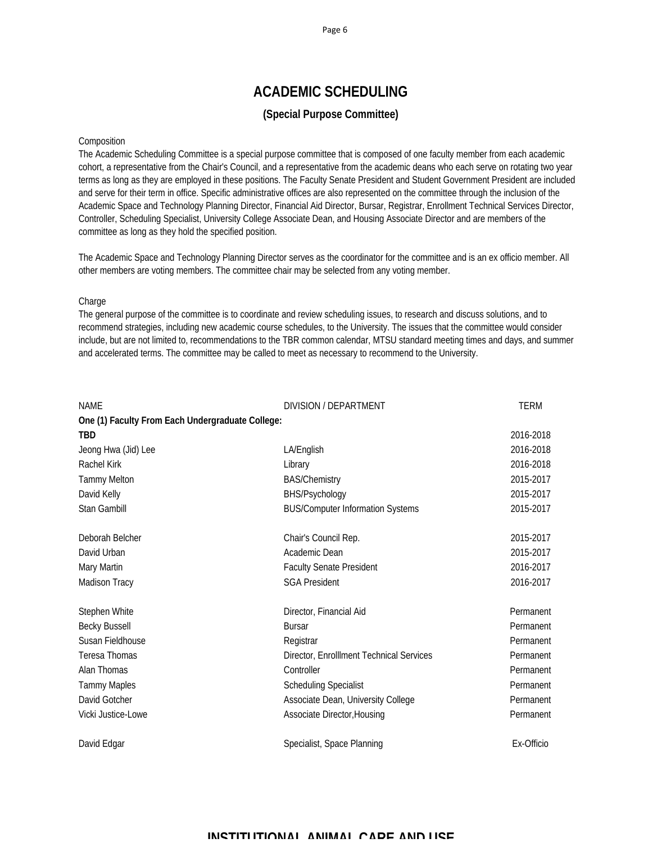# **ACADEMIC SCHEDULING**

### **(Special Purpose Committee)**

### Composition

The Academic Scheduling Committee is a special purpose committee that is composed of one faculty member from each academic cohort, a representative from the Chair's Council, and a representative from the academic deans who each serve on rotating two year terms as long as they are employed in these positions. The Faculty Senate President and Student Government President are included and serve for their term in office. Specific administrative offices are also represented on the committee through the inclusion of the Academic Space and Technology Planning Director, Financial Aid Director, Bursar, Registrar, Enrollment Technical Services Director, Controller, Scheduling Specialist, University College Associate Dean, and Housing Associate Director and are members of the committee as long as they hold the specified position.

The Academic Space and Technology Planning Director serves as the coordinator for the committee and is an ex officio member. All other members are voting members. The committee chair may be selected from any voting member.

### **Charge**

The general purpose of the committee is to coordinate and review scheduling issues, to research and discuss solutions, and to recommend strategies, including new academic course schedules, to the University. The issues that the committee would consider include, but are not limited to, recommendations to the TBR common calendar, MTSU standard meeting times and days, and summer and accelerated terms. The committee may be called to meet as necessary to recommend to the University.

| <b>NAME</b>                                      | DIVISION / DEPARTMENT                    | <b>TERM</b> |
|--------------------------------------------------|------------------------------------------|-------------|
| One (1) Faculty From Each Undergraduate College: |                                          |             |
| <b>TBD</b>                                       |                                          | 2016-2018   |
| Jeong Hwa (Jid) Lee                              | LA/English                               | 2016-2018   |
| Rachel Kirk                                      | Library                                  | 2016-2018   |
| <b>Tammy Melton</b>                              | <b>BAS/Chemistry</b>                     | 2015-2017   |
| David Kelly                                      | BHS/Psychology                           | 2015-2017   |
| Stan Gambill                                     | <b>BUS/Computer Information Systems</b>  | 2015-2017   |
| Deborah Belcher                                  | Chair's Council Rep.                     | 2015-2017   |
| David Urban                                      | Academic Dean                            | 2015-2017   |
| Mary Martin                                      | <b>Faculty Senate President</b>          | 2016-2017   |
| Madison Tracy                                    | <b>SGA President</b>                     | 2016-2017   |
| Stephen White                                    | Director, Financial Aid                  | Permanent   |
| <b>Becky Bussell</b>                             | <b>Bursar</b>                            | Permanent   |
| Susan Fieldhouse                                 | Registrar                                | Permanent   |
| Teresa Thomas                                    | Director, EnrollIment Technical Services | Permanent   |
| Alan Thomas                                      | Controller                               | Permanent   |
| <b>Tammy Maples</b>                              | <b>Scheduling Specialist</b>             | Permanent   |
| David Gotcher                                    | Associate Dean, University College       | Permanent   |
| Vicki Justice-Lowe                               | Associate Director, Housing              | Permanent   |
| David Edgar                                      | Specialist, Space Planning               | Ex-Officio  |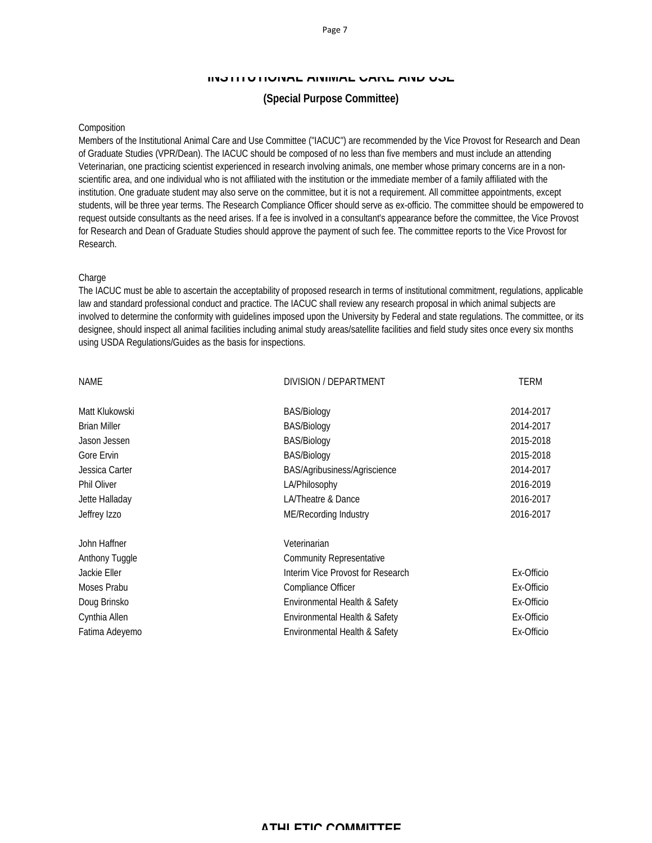### **INSTITUTIONAL ANIMAL CARE AND USE**

### **(Special Purpose Committee)**

#### Composition

Members of the Institutional Animal Care and Use Committee ("IACUC") are recommended by the Vice Provost for Research and Dean of Graduate Studies (VPR/Dean). The IACUC should be composed of no less than five members and must include an attending Veterinarian, one practicing scientist experienced in research involving animals, one member whose primary concerns are in a nonscientific area, and one individual who is not affiliated with the institution or the immediate member of a family affiliated with the institution. One graduate student may also serve on the committee, but it is not a requirement. All committee appointments, except students, will be three year terms. The Research Compliance Officer should serve as ex-officio. The committee should be empowered to request outside consultants as the need arises. If a fee is involved in a consultant's appearance before the committee, the Vice Provost for Research and Dean of Graduate Studies should approve the payment of such fee. The committee reports to the Vice Provost for Research.

#### **Charge**

The IACUC must be able to ascertain the acceptability of proposed research in terms of institutional commitment, regulations, applicable law and standard professional conduct and practice. The IACUC shall review any research proposal in which animal subjects are involved to determine the conformity with guidelines imposed upon the University by Federal and state regulations. The committee, or its designee, should inspect all animal facilities including animal study areas/satellite facilities and field study sites once every six months using USDA Regulations/Guides as the basis for inspections.

| <b>NAME</b>         | DIVISION / DEPARTMENT             | <b>TERM</b> |
|---------------------|-----------------------------------|-------------|
| Matt Klukowski      | BAS/Biology                       | 2014-2017   |
| <b>Brian Miller</b> | BAS/Biology                       | 2014-2017   |
| Jason Jessen        | <b>BAS/Biology</b>                | 2015-2018   |
| Gore Ervin          | BAS/Biology                       | 2015-2018   |
| Jessica Carter      | BAS/Agribusiness/Agriscience      | 2014-2017   |
| <b>Phil Oliver</b>  | LA/Philosophy                     | 2016-2019   |
| Jette Halladay      | LA/Theatre & Dance                | 2016-2017   |
| Jeffrey Izzo        | ME/Recording Industry             | 2016-2017   |
| John Haffner        | Veterinarian                      |             |
| Anthony Tuggle      | <b>Community Representative</b>   |             |
| Jackie Eller        | Interim Vice Provost for Research | Ex-Officio  |
| Moses Prabu         | Compliance Officer                | Ex-Officio  |
| Doug Brinsko        | Environmental Health & Safety     | Ex-Officio  |
| Cynthia Allen       | Environmental Health & Safety     | Ex-Officio  |
| Fatima Adeyemo      | Environmental Health & Safety     | Ex-Officio  |
|                     |                                   |             |

### **ATHLETIC COMMITTEE**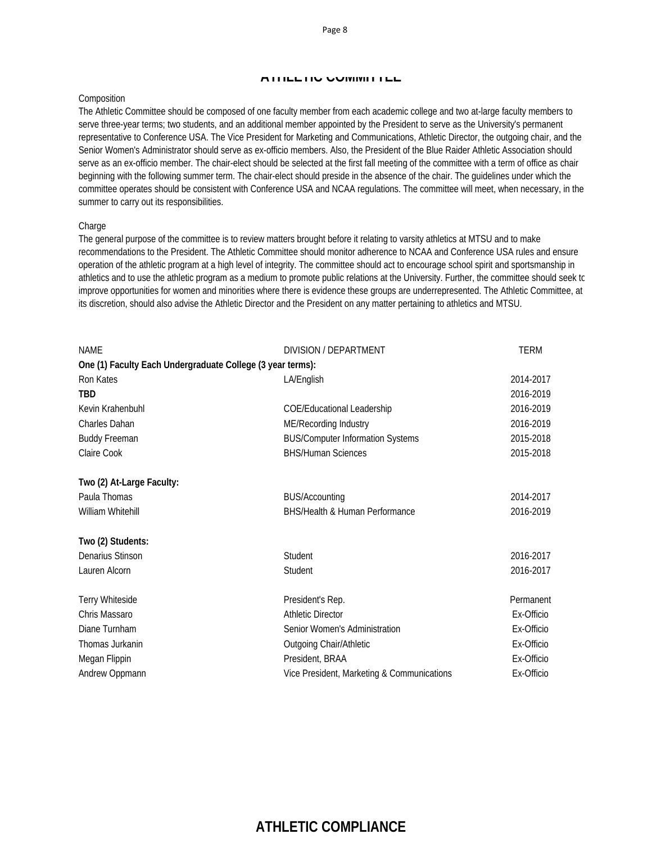#### **ATHLETIC COMMITTEE**

#### Composition

The Athletic Committee should be composed of one faculty member from each academic college and two at-large faculty members to serve three-year terms; two students, and an additional member appointed by the President to serve as the University's permanent representative to Conference USA. The Vice President for Marketing and Communications, Athletic Director, the outgoing chair, and the Senior Women's Administrator should serve as ex-officio members. Also, the President of the Blue Raider Athletic Association should serve as an ex-officio member. The chair-elect should be selected at the first fall meeting of the committee with a term of office as chair beginning with the following summer term. The chair-elect should preside in the absence of the chair. The guidelines under which the committee operates should be consistent with Conference USA and NCAA regulations. The committee will meet, when necessary, in the summer to carry out its responsibilities.

#### **Charge**

The general purpose of the committee is to review matters brought before it relating to varsity athletics at MTSU and to make recommendations to the President. The Athletic Committee should monitor adherence to NCAA and Conference USA rules and ensure operation of the athletic program at a high level of integrity. The committee should act to encourage school spirit and sportsmanship in athletics and to use the athletic program as a medium to promote public relations at the University. Further, the committee should seek to improve opportunities for women and minorities where there is evidence these groups are underrepresented. The Athletic Committee, at its discretion, should also advise the Athletic Director and the President on any matter pertaining to athletics and MTSU.

| <b>NAME</b>                                                | DIVISION / DEPARTMENT                      | <b>TERM</b> |
|------------------------------------------------------------|--------------------------------------------|-------------|
| One (1) Faculty Each Undergraduate College (3 year terms): |                                            |             |
| Ron Kates                                                  | LA/English                                 | 2014-2017   |
| <b>TBD</b>                                                 |                                            | 2016-2019   |
| Kevin Krahenbuhl                                           | <b>COE/Educational Leadership</b>          | 2016-2019   |
| <b>Charles Dahan</b>                                       | ME/Recording Industry                      | 2016-2019   |
| <b>Buddy Freeman</b>                                       | <b>BUS/Computer Information Systems</b>    | 2015-2018   |
| <b>Claire Cook</b>                                         | <b>BHS/Human Sciences</b>                  | 2015-2018   |
| Two (2) At-Large Faculty:                                  |                                            |             |
| Paula Thomas                                               | <b>BUS/Accounting</b>                      | 2014-2017   |
| William Whitehill                                          | BHS/Health & Human Performance             | 2016-2019   |
| Two (2) Students:                                          |                                            |             |
| Denarius Stinson                                           | Student                                    | 2016-2017   |
| Lauren Alcorn                                              | Student                                    | 2016-2017   |
| Terry Whiteside                                            | President's Rep.                           | Permanent   |
| Chris Massaro                                              | <b>Athletic Director</b>                   | Ex-Officio  |
| Diane Turnham                                              | Senior Women's Administration              | Ex-Officio  |
| Thomas Jurkanin                                            | Outgoing Chair/Athletic                    | Ex-Officio  |
| Megan Flippin                                              | President, BRAA                            | Ex-Officio  |
| Andrew Oppmann                                             | Vice President, Marketing & Communications | Ex-Officio  |

# **ATHLETIC COMPLIANCE**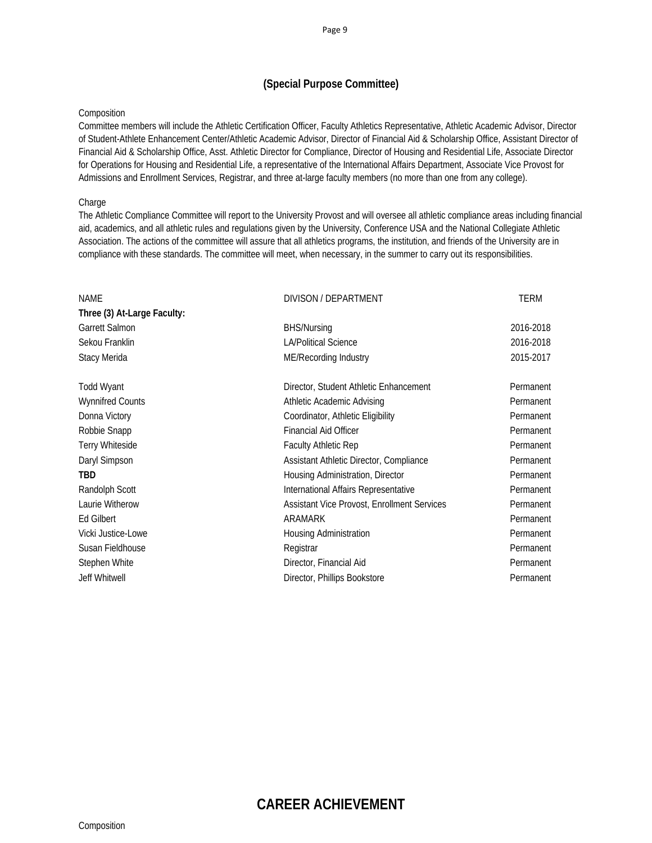### **(Special Purpose Committee)**

### Composition

Committee members will include the Athletic Certification Officer, Faculty Athletics Representative, Athletic Academic Advisor, Director of Student-Athlete Enhancement Center/Athletic Academic Advisor, Director of Financial Aid & Scholarship Office, Assistant Director of Financial Aid & Scholarship Office, Asst. Athletic Director for Compliance, Director of Housing and Residential Life, Associate Director for Operations for Housing and Residential Life, a representative of the International Affairs Department, Associate Vice Provost for Admissions and Enrollment Services, Registrar, and three at-large faculty members (no more than one from any college).

### **Charge**

The Athletic Compliance Committee will report to the University Provost and will oversee all athletic compliance areas including financial aid, academics, and all athletic rules and regulations given by the University, Conference USA and the National Collegiate Athletic Association. The actions of the committee will assure that all athletics programs, the institution, and friends of the University are in compliance with these standards. The committee will meet, when necessary, in the summer to carry out its responsibilities.

| <b>NAME</b>                 | DIVISON / DEPARTMENT                        | <b>TERM</b> |
|-----------------------------|---------------------------------------------|-------------|
| Three (3) At-Large Faculty: |                                             |             |
| <b>Garrett Salmon</b>       | <b>BHS/Nursing</b>                          | 2016-2018   |
| Sekou Franklin              | <b>LA/Political Science</b>                 | 2016-2018   |
| Stacy Merida                | ME/Recording Industry                       | 2015-2017   |
| Todd Wyant                  | Director, Student Athletic Enhancement      | Permanent   |
| <b>Wynnifred Counts</b>     | Athletic Academic Advising                  | Permanent   |
| Donna Victory               | Coordinator, Athletic Eligibility           | Permanent   |
| Robbie Snapp                | <b>Financial Aid Officer</b>                | Permanent   |
| <b>Terry Whiteside</b>      | Faculty Athletic Rep                        | Permanent   |
| Daryl Simpson               | Assistant Athletic Director, Compliance     | Permanent   |
| <b>TBD</b>                  | Housing Administration, Director            | Permanent   |
| Randolph Scott              | International Affairs Representative        | Permanent   |
| Laurie Witherow             | Assistant Vice Provost, Enrollment Services | Permanent   |
| Ed Gilbert                  | ARAMARK                                     | Permanent   |
| Vicki Justice-Lowe          | Housing Administration                      | Permanent   |
| Susan Fieldhouse            | Registrar                                   | Permanent   |
| Stephen White               | Director, Financial Aid                     | Permanent   |
| Jeff Whitwell               | Director, Phillips Bookstore                | Permanent   |
|                             |                                             |             |

# **CAREER ACHIEVEMENT**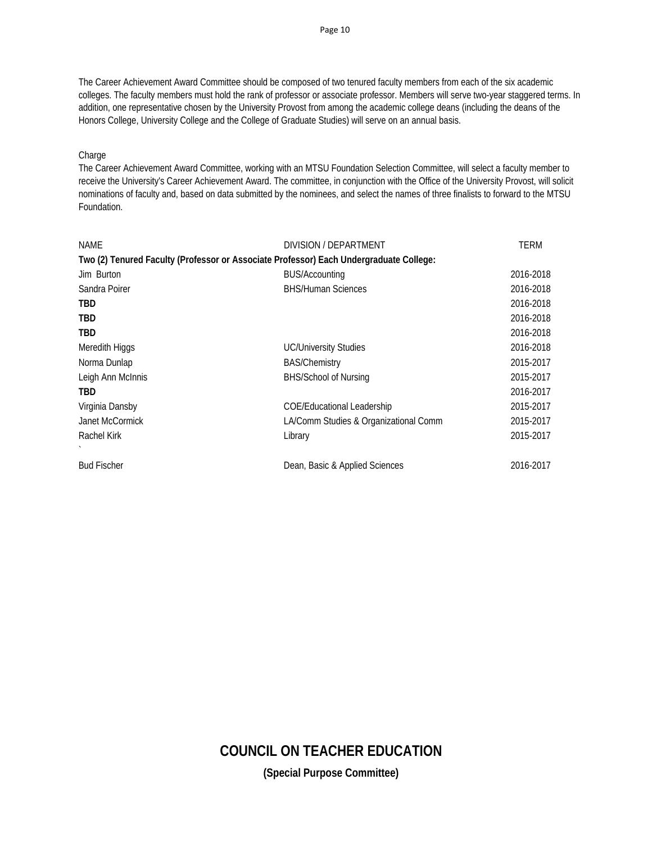The Career Achievement Award Committee should be composed of two tenured faculty members from each of the six academic colleges. The faculty members must hold the rank of professor or associate professor. Members will serve two-year staggered terms. In addition, one representative chosen by the University Provost from among the academic college deans (including the deans of the Honors College, University College and the College of Graduate Studies) will serve on an annual basis.

### **Charge**

The Career Achievement Award Committee, working with an MTSU Foundation Selection Committee, will select a faculty member to receive the University's Career Achievement Award. The committee, in conjunction with the Office of the University Provost, will solicit nominations of faculty and, based on data submitted by the nominees, and select the names of three finalists to forward to the MTSU Foundation.

| <b>NAME</b>        | DIVISION / DEPARTMENT                                                                  | TERM      |
|--------------------|----------------------------------------------------------------------------------------|-----------|
|                    | Two (2) Tenured Faculty (Professor or Associate Professor) Each Undergraduate College: |           |
| Jim Burton         | <b>BUS/Accounting</b>                                                                  | 2016-2018 |
| Sandra Poirer      | <b>BHS/Human Sciences</b>                                                              | 2016-2018 |
| <b>TBD</b>         |                                                                                        | 2016-2018 |
| TBD                |                                                                                        | 2016-2018 |
| <b>TBD</b>         |                                                                                        | 2016-2018 |
| Meredith Higgs     | <b>UC/University Studies</b>                                                           | 2016-2018 |
| Norma Dunlap       | <b>BAS/Chemistry</b>                                                                   | 2015-2017 |
| Leigh Ann McInnis  | BHS/School of Nursing                                                                  | 2015-2017 |
| <b>TBD</b>         |                                                                                        | 2016-2017 |
| Virginia Dansby    | <b>COE/Educational Leadership</b>                                                      | 2015-2017 |
| Janet McCormick    | LA/Comm Studies & Organizational Comm                                                  | 2015-2017 |
| Rachel Kirk        | Library                                                                                | 2015-2017 |
|                    |                                                                                        |           |
| <b>Bud Fischer</b> | Dean, Basic & Applied Sciences                                                         | 2016-2017 |

# **COUNCIL ON TEACHER EDUCATION**

**(Special Purpose Committee)**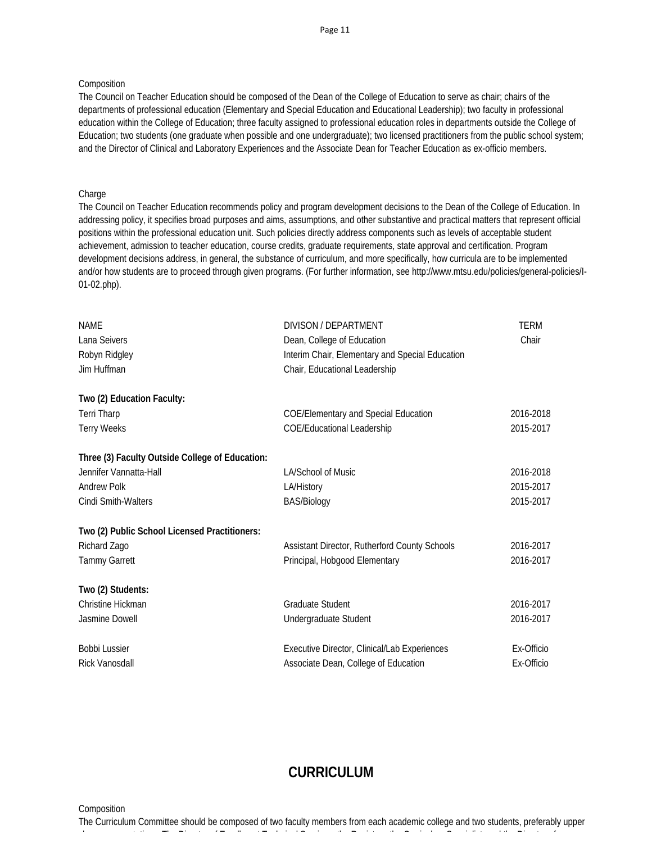### **Composition**

The Council on Teacher Education should be composed of the Dean of the College of Education to serve as chair; chairs of the departments of professional education (Elementary and Special Education and Educational Leadership); two faculty in professional education within the College of Education; three faculty assigned to professional education roles in departments outside the College of Education; two students (one graduate when possible and one undergraduate); two licensed practitioners from the public school system; and the Director of Clinical and Laboratory Experiences and the Associate Dean for Teacher Education as ex-officio members.

### Charge

The Council on Teacher Education recommends policy and program development decisions to the Dean of the College of Education. In addressing policy, it specifies broad purposes and aims, assumptions, and other substantive and practical matters that represent official positions within the professional education unit. Such policies directly address components such as levels of acceptable student achievement, admission to teacher education, course credits, graduate requirements, state approval and certification. Program development decisions address, in general, the substance of curriculum, and more specifically, how curricula are to be implemented and/or how students are to proceed through given programs. (For further information, see http://www.mtsu.edu/policies/general-policies/I-01-02.php).

| <b>NAME</b><br>Lana Seivers                     | DIVISON / DEPARTMENT                                                          | <b>TERM</b><br>Chair |
|-------------------------------------------------|-------------------------------------------------------------------------------|----------------------|
| Robyn Ridgley                                   | Dean, College of Education<br>Interim Chair, Elementary and Special Education |                      |
| Jim Huffman                                     | Chair, Educational Leadership                                                 |                      |
|                                                 |                                                                               |                      |
| Two (2) Education Faculty:                      |                                                                               |                      |
| <b>Terri Tharp</b>                              | <b>COE/Elementary and Special Education</b>                                   | 2016-2018            |
| <b>Terry Weeks</b>                              | COE/Educational Leadership                                                    | 2015-2017            |
| Three (3) Faculty Outside College of Education: |                                                                               |                      |
| Jennifer Vannatta-Hall                          | LA/School of Music                                                            | 2016-2018            |
| <b>Andrew Polk</b>                              | LA/History                                                                    | 2015-2017            |
| <b>Cindi Smith-Walters</b>                      | <b>BAS/Biology</b>                                                            | 2015-2017            |
| Two (2) Public School Licensed Practitioners:   |                                                                               |                      |
| Richard Zago                                    | Assistant Director, Rutherford County Schools                                 | 2016-2017            |
| <b>Tammy Garrett</b>                            | Principal, Hobgood Elementary                                                 | 2016-2017            |
| Two (2) Students:                               |                                                                               |                      |
| Christine Hickman                               | Graduate Student                                                              | 2016-2017            |
| Jasmine Dowell                                  | Undergraduate Student                                                         | 2016-2017            |
| <b>Bobbi Lussier</b>                            | Executive Director, Clinical/Lab Experiences                                  | Ex-Officio           |
| <b>Rick Vanosdall</b>                           | Associate Dean, College of Education                                          | Ex-Officio           |

# **CURRICULUM**

**Composition** 

The Curriculum Committee should be composed of two faculty members from each academic college and two students, preferably upper l t ti Th Di ti Th Di ti Th Di ti Th Di ti Th Di ti Th Di ti Th Di ti Th Di ti Th Di ti Th Di ti Th Di ti Th D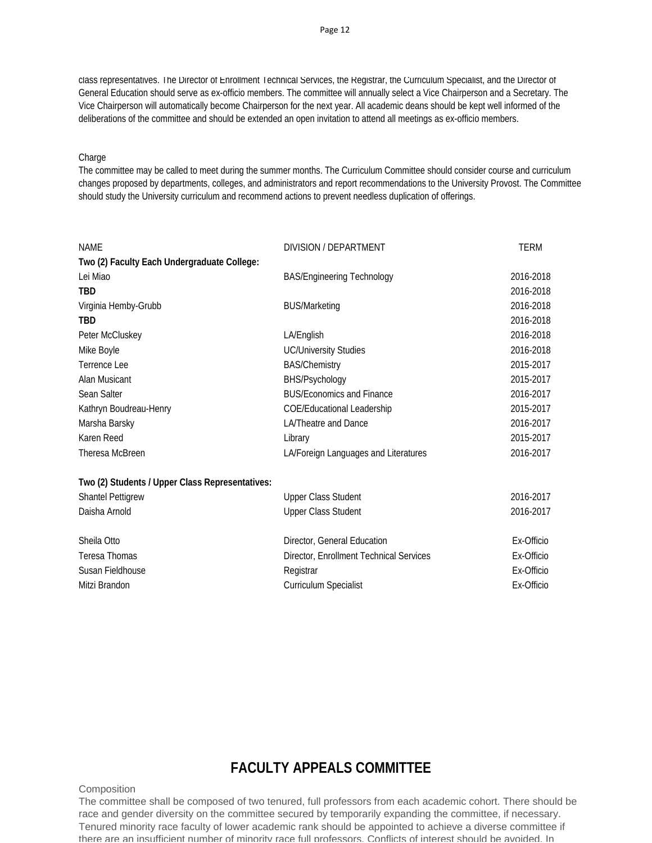class representatives. The Director of Enrollment Technical Services, the Registrar, the Curriculum Specialist, and the Director of General Education should serve as ex-officio members. The committee will annually select a Vice Chairperson and a Secretary. The Vice Chairperson will automatically become Chairperson for the next year. All academic deans should be kept well informed of the deliberations of the committee and should be extended an open invitation to attend all meetings as ex-officio members.

#### Charge

The committee may be called to meet during the summer months. The Curriculum Committee should consider course and curriculum changes proposed by departments, colleges, and administrators and report recommendations to the University Provost. The Committee should study the University curriculum and recommend actions to prevent needless duplication of offerings.

| <b>NAME</b>                                     | DIVISION / DEPARTMENT                   | <b>TERM</b> |
|-------------------------------------------------|-----------------------------------------|-------------|
| Two (2) Faculty Each Undergraduate College:     |                                         |             |
| Lei Miao                                        | <b>BAS/Engineering Technology</b>       | 2016-2018   |
| <b>TBD</b>                                      |                                         | 2016-2018   |
| Virginia Hemby-Grubb                            | <b>BUS/Marketing</b>                    | 2016-2018   |
| TBD                                             |                                         | 2016-2018   |
| Peter McCluskey                                 | LA/English                              | 2016-2018   |
| Mike Boyle                                      | <b>UC/University Studies</b>            | 2016-2018   |
| Terrence Lee                                    | <b>BAS/Chemistry</b>                    | 2015-2017   |
| Alan Musicant                                   | BHS/Psychology                          | 2015-2017   |
| Sean Salter                                     | <b>BUS/Economics and Finance</b>        | 2016-2017   |
| Kathryn Boudreau-Henry                          | <b>COE/Educational Leadership</b>       | 2015-2017   |
| Marsha Barsky                                   | <b>LA/Theatre and Dance</b>             | 2016-2017   |
| Karen Reed                                      | Library                                 | 2015-2017   |
| Theresa McBreen                                 | LA/Foreign Languages and Literatures    | 2016-2017   |
| Two (2) Students / Upper Class Representatives: |                                         |             |
| <b>Shantel Pettigrew</b>                        | <b>Upper Class Student</b>              | 2016-2017   |
| Daisha Arnold                                   | <b>Upper Class Student</b>              | 2016-2017   |
| Sheila Otto                                     | Director, General Education             | Ex-Officio  |
| Teresa Thomas                                   | Director, Enrollment Technical Services | Ex-Officio  |
| Susan Fieldhouse                                | Registrar                               | Ex-Officio  |
| Mitzi Brandon                                   | Curriculum Specialist                   | Ex-Officio  |

# **FACULTY APPEALS COMMITTEE**

#### **Composition**

The committee shall be composed of two tenured, full professors from each academic cohort. There should be race and gender diversity on the committee secured by temporarily expanding the committee, if necessary. Tenured minority race faculty of lower academic rank should be appointed to achieve a diverse committee if there are an insufficient number of minority race full professors. Conflicts of interest should be avoided. In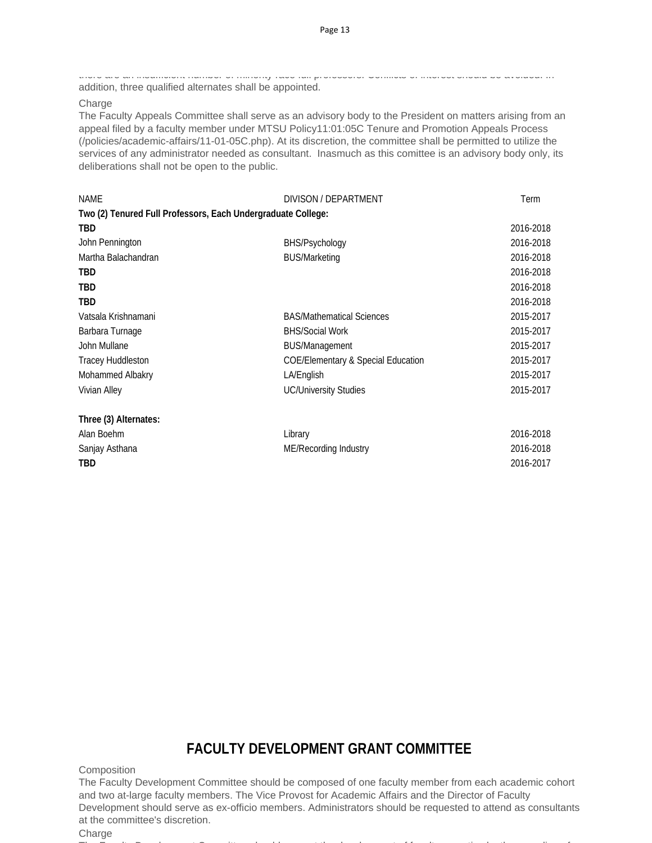there are an insufficient number of minority race full professors. Conflicts of interest should be avoided. In addition, three qualified alternates shall be appointed.

**Charge** 

The Faculty Appeals Committee shall serve as an advisory body to the President on matters arising from an appeal filed by a faculty member under MTSU Policy11:01:05C Tenure and Promotion Appeals Process (/policies/academic-affairs/11-01-05C.php). At its discretion, the committee shall be permitted to utilize the services of any administrator needed as consultant. Inasmuch as this comittee is an advisory body only, its deliberations shall not be open to the public.

| <b>NAME</b>                                                  | DIVISON / DEPARTMENT                          | Term      |
|--------------------------------------------------------------|-----------------------------------------------|-----------|
| Two (2) Tenured Full Professors, Each Undergraduate College: |                                               |           |
| <b>TBD</b>                                                   |                                               | 2016-2018 |
| John Pennington                                              | BHS/Psychology                                | 2016-2018 |
| Martha Balachandran                                          | <b>BUS/Marketing</b>                          | 2016-2018 |
| TBD                                                          |                                               | 2016-2018 |
| TBD                                                          |                                               | 2016-2018 |
| TBD                                                          |                                               | 2016-2018 |
| Vatsala Krishnamani                                          | <b>BAS/Mathematical Sciences</b>              | 2015-2017 |
| Barbara Turnage                                              | <b>BHS/Social Work</b>                        | 2015-2017 |
| John Mullane                                                 | <b>BUS/Management</b>                         | 2015-2017 |
| <b>Tracey Huddleston</b>                                     | <b>COE/Elementary &amp; Special Education</b> | 2015-2017 |
| Mohammed Albakry                                             | LA/English                                    | 2015-2017 |
| Vivian Alley                                                 | <b>UC/University Studies</b>                  | 2015-2017 |
| Three (3) Alternates:                                        |                                               |           |
| Alan Boehm                                                   | Library                                       | 2016-2018 |
| Sanjay Asthana                                               | ME/Recording Industry                         | 2016-2018 |
| TBD                                                          |                                               | 2016-2017 |
|                                                              |                                               |           |

# **FACULTY DEVELOPMENT GRANT COMMITTEE**

**Composition** 

The Faculty Development Committee should be composed of one faculty member from each academic cohort and two at-large faculty members. The Vice Provost for Academic Affairs and the Director of Faculty Development should serve as ex-officio members. Administrators should be requested to attend as consultants at the committee's discretion.

**Charge** 

The F lt D learned that the latter that the distribution of the first time of the first time of the first time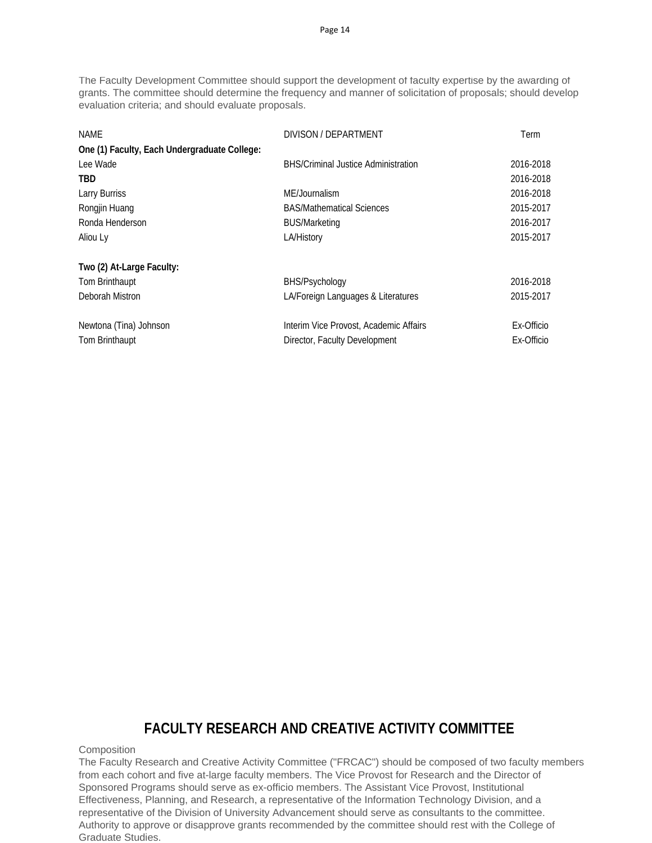The Faculty Development Committee should support the development of faculty expertise by the awarding of grants. The committee should determine the frequency and manner of solicitation of proposals; should develop evaluation criteria; and should evaluate proposals.

| NAME<br>One (1) Faculty, Each Undergraduate College: | DIVISON / DEPARTMENT                       | Term       |
|------------------------------------------------------|--------------------------------------------|------------|
| Lee Wade                                             | <b>BHS/Criminal Justice Administration</b> | 2016-2018  |
| TBD                                                  |                                            | 2016-2018  |
| Larry Burriss                                        | ME/Journalism                              | 2016-2018  |
| Rongjin Huang                                        | <b>BAS/Mathematical Sciences</b>           | 2015-2017  |
| Ronda Henderson                                      | <b>BUS/Marketing</b>                       | 2016-2017  |
| Aliou Ly                                             | LA/History                                 | 2015-2017  |
| Two (2) At-Large Faculty:                            |                                            |            |
| Tom Brinthaupt                                       | BHS/Psychology                             | 2016-2018  |
| Deborah Mistron                                      | LA/Foreign Languages & Literatures         | 2015-2017  |
| Newtona (Tina) Johnson                               | Interim Vice Provost, Academic Affairs     | Ex-Officio |
| Tom Brinthaupt                                       | Director, Faculty Development              | Ex-Officio |

# **FACULTY RESEARCH AND CREATIVE ACTIVITY COMMITTEE**

### **Composition**

The Faculty Research and Creative Activity Committee ("FRCAC") should be composed of two faculty members from each cohort and five at-large faculty members. The Vice Provost for Research and the Director of Sponsored Programs should serve as ex-officio members. The Assistant Vice Provost, Institutional Effectiveness, Planning, and Research, a representative of the Information Technology Division, and a representative of the Division of University Advancement should serve as consultants to the committee. Authority to approve or disapprove grants recommended by the committee should rest with the College of Graduate Studies.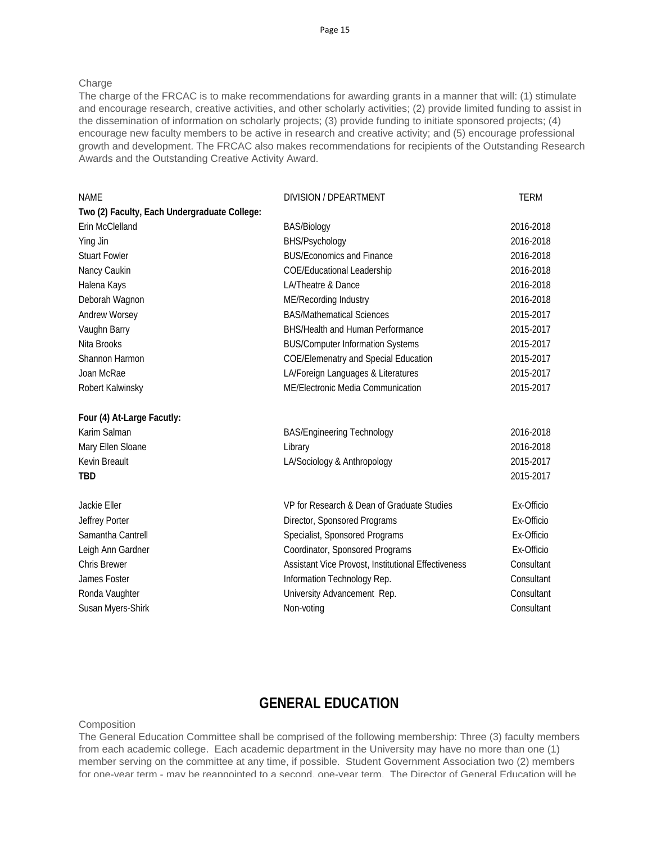### Charge

The charge of the FRCAC is to make recommendations for awarding grants in a manner that will: (1) stimulate and encourage research, creative activities, and other scholarly activities; (2) provide limited funding to assist in the dissemination of information on scholarly projects; (3) provide funding to initiate sponsored projects; (4) encourage new faculty members to be active in research and creative activity; and (5) encourage professional growth and development. The FRCAC also makes recommendations for recipients of the Outstanding Research Awards and the Outstanding Creative Activity Award.

| <b>NAME</b>                                  | DIVISION / DPEARTMENT                               | <b>TERM</b> |
|----------------------------------------------|-----------------------------------------------------|-------------|
| Two (2) Faculty, Each Undergraduate College: |                                                     |             |
| Erin McClelland                              | <b>BAS/Biology</b>                                  | 2016-2018   |
| Ying Jin                                     | BHS/Psychology                                      | 2016-2018   |
| <b>Stuart Fowler</b>                         | <b>BUS/Economics and Finance</b>                    | 2016-2018   |
| Nancy Caukin                                 | <b>COE/Educational Leadership</b>                   | 2016-2018   |
| Halena Kays                                  | LA/Theatre & Dance                                  | 2016-2018   |
| Deborah Wagnon                               | ME/Recording Industry                               | 2016-2018   |
| Andrew Worsey                                | <b>BAS/Mathematical Sciences</b>                    | 2015-2017   |
| Vaughn Barry                                 | <b>BHS/Health and Human Performance</b>             | 2015-2017   |
| Nita Brooks                                  | <b>BUS/Computer Information Systems</b>             | 2015-2017   |
| Shannon Harmon                               | <b>COE/Elemenatry and Special Education</b>         | 2015-2017   |
| Joan McRae                                   | LA/Foreign Languages & Literatures                  | 2015-2017   |
| Robert Kalwinsky                             | ME/Electronic Media Communication                   | 2015-2017   |
| Four (4) At-Large Facutly:                   |                                                     |             |
| Karim Salman                                 | <b>BAS/Engineering Technology</b>                   | 2016-2018   |
| Mary Ellen Sloane                            | Library                                             | 2016-2018   |
| Kevin Breault                                | LA/Sociology & Anthropology                         | 2015-2017   |
| <b>TBD</b>                                   |                                                     | 2015-2017   |
| Jackie Eller                                 | VP for Research & Dean of Graduate Studies          | Ex-Officio  |
| Jeffrey Porter                               | Director, Sponsored Programs                        | Ex-Officio  |
| Samantha Cantrell                            | Specialist, Sponsored Programs                      | Ex-Officio  |
| Leigh Ann Gardner                            | Coordinator, Sponsored Programs                     | Ex-Officio  |
| <b>Chris Brewer</b>                          | Assistant Vice Provost, Institutional Effectiveness | Consultant  |
| James Foster                                 | Information Technology Rep.                         | Consultant  |
| Ronda Vaughter                               | University Advancement Rep.                         | Consultant  |
| Susan Myers-Shirk                            | Non-voting                                          | Consultant  |
|                                              |                                                     |             |

### **GENERAL EDUCATION**

#### **Composition**

The General Education Committee shall be comprised of the following membership: Three (3) faculty members from each academic college. Each academic department in the University may have no more than one (1) member serving on the committee at any time, if possible. Student Government Association two (2) members for one-year term - may be reappointed to a second, one-year term. The Director of General Education will be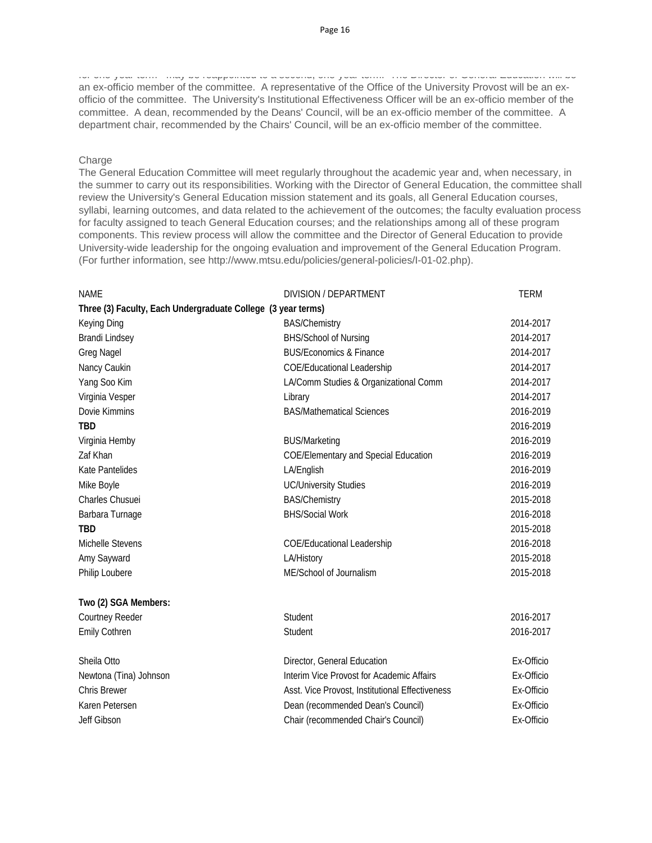for one year term may be reappointed to a second, one year term. The Director of General Education will be an ex-officio member of the committee. A representative of the Office of the University Provost will be an exofficio of the committee. The University's Institutional Effectiveness Officer will be an ex-officio member of the committee. A dean, recommended by the Deans' Council, will be an ex-officio member of the committee. A department chair, recommended by the Chairs' Council, will be an ex-officio member of the committee.

### Charge

The General Education Committee will meet regularly throughout the academic year and, when necessary, in the summer to carry out its responsibilities. Working with the Director of General Education, the committee shall review the University's General Education mission statement and its goals, all General Education courses, syllabi, learning outcomes, and data related to the achievement of the outcomes; the faculty evaluation process for faculty assigned to teach General Education courses; and the relationships among all of these program components. This review process will allow the committee and the Director of General Education to provide University-wide leadership for the ongoing evaluation and improvement of the General Education Program. (For further information, see http://www.mtsu.edu/policies/general-policies/I-01-02.php).

| <b>NAME</b>                                                  | DIVISION / DEPARTMENT                           | <b>TERM</b> |
|--------------------------------------------------------------|-------------------------------------------------|-------------|
| Three (3) Faculty, Each Undergraduate College (3 year terms) |                                                 |             |
| Keying Ding                                                  | <b>BAS/Chemistry</b>                            | 2014-2017   |
| <b>Brandi Lindsey</b>                                        | <b>BHS/School of Nursing</b>                    | 2014-2017   |
| <b>Greg Nagel</b>                                            | <b>BUS/Economics &amp; Finance</b>              | 2014-2017   |
| Nancy Caukin                                                 | <b>COE/Educational Leadership</b>               | 2014-2017   |
| Yang Soo Kim                                                 | LA/Comm Studies & Organizational Comm           | 2014-2017   |
| Virginia Vesper                                              | Library                                         | 2014-2017   |
| Dovie Kimmins                                                | <b>BAS/Mathematical Sciences</b>                | 2016-2019   |
| <b>TBD</b>                                                   |                                                 | 2016-2019   |
| Virginia Hemby                                               | <b>BUS/Marketing</b>                            | 2016-2019   |
| Zaf Khan                                                     | <b>COE/Elementary and Special Education</b>     | 2016-2019   |
| <b>Kate Pantelides</b>                                       | LA/English                                      | 2016-2019   |
| Mike Boyle                                                   | <b>UC/University Studies</b>                    | 2016-2019   |
| Charles Chusuei                                              | <b>BAS/Chemistry</b>                            | 2015-2018   |
| Barbara Turnage                                              | <b>BHS/Social Work</b>                          | 2016-2018   |
| <b>TBD</b>                                                   |                                                 | 2015-2018   |
| Michelle Stevens                                             | <b>COE/Educational Leadership</b>               | 2016-2018   |
| Amy Sayward                                                  | LA/History                                      | 2015-2018   |
| Philip Loubere                                               | ME/School of Journalism                         | 2015-2018   |
| Two (2) SGA Members:                                         |                                                 |             |
| Courtney Reeder                                              | Student                                         | 2016-2017   |
| <b>Emily Cothren</b>                                         | Student                                         | 2016-2017   |
| Sheila Otto                                                  | Director, General Education                     | Ex-Officio  |
| Newtona (Tina) Johnson                                       | Interim Vice Provost for Academic Affairs       | Ex-Officio  |
| <b>Chris Brewer</b>                                          | Asst. Vice Provost, Institutional Effectiveness | Ex-Officio  |
| Karen Petersen                                               | Dean (recommended Dean's Council)               | Ex-Officio  |
| Jeff Gibson                                                  | Chair (recommended Chair's Council)             | Ex-Officio  |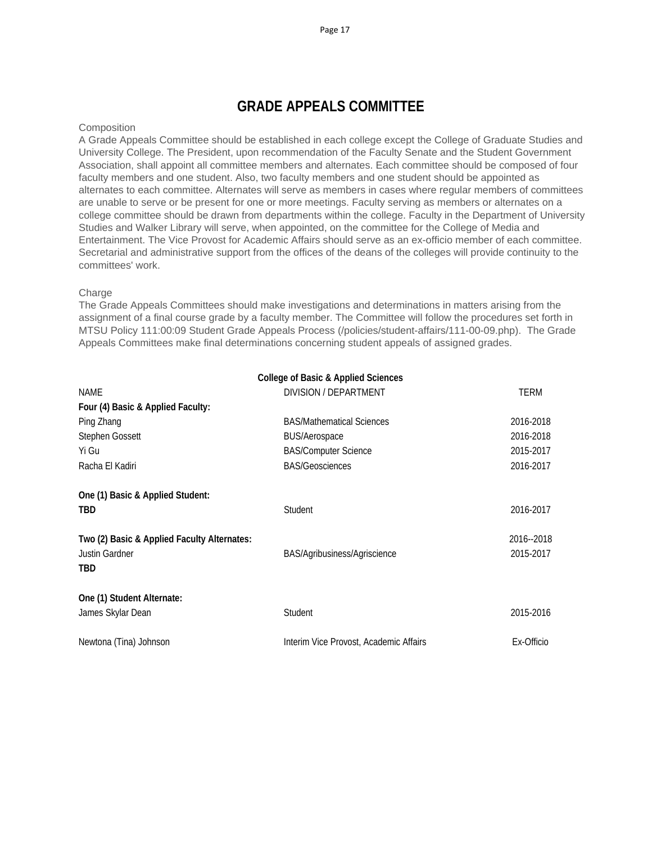# **GRADE APPEALS COMMITTEE**

#### **Composition**

A Grade Appeals Committee should be established in each college except the College of Graduate Studies and University College. The President, upon recommendation of the Faculty Senate and the Student Government Association, shall appoint all committee members and alternates. Each committee should be composed of four faculty members and one student. Also, two faculty members and one student should be appointed as alternates to each committee. Alternates will serve as members in cases where regular members of committees are unable to serve or be present for one or more meetings. Faculty serving as members or alternates on a college committee should be drawn from departments within the college. Faculty in the Department of University Studies and Walker Library will serve, when appointed, on the committee for the College of Media and Entertainment. The Vice Provost for Academic Affairs should serve as an ex-officio member of each committee. Secretarial and administrative support from the offices of the deans of the colleges will provide continuity to the committees' work.

### Charge

The Grade Appeals Committees should make investigations and determinations in matters arising from the assignment of a final course grade by a faculty member. The Committee will follow the procedures set forth in MTSU Policy 111:00:09 Student Grade Appeals Process (/policies/student-affairs/111-00-09.php). The Grade Appeals Committees make final determinations concerning student appeals of assigned grades.

|                                             | <b>College of Basic &amp; Applied Sciences</b> |             |
|---------------------------------------------|------------------------------------------------|-------------|
| <b>NAME</b>                                 | DIVISION / DEPARTMENT                          | <b>TERM</b> |
| Four (4) Basic & Applied Faculty:           |                                                |             |
| Ping Zhang                                  | <b>BAS/Mathematical Sciences</b>               | 2016-2018   |
| Stephen Gossett                             | <b>BUS/Aerospace</b>                           | 2016-2018   |
| Yi Gu                                       | <b>BAS/Computer Science</b>                    | 2015-2017   |
| Racha El Kadiri                             | <b>BAS/Geosciences</b>                         | 2016-2017   |
| One (1) Basic & Applied Student:            |                                                |             |
| <b>TBD</b>                                  | Student                                        | 2016-2017   |
| Two (2) Basic & Applied Faculty Alternates: |                                                | 2016--2018  |
| Justin Gardner                              | BAS/Agribusiness/Agriscience                   | 2015-2017   |
| TBD                                         |                                                |             |
| One (1) Student Alternate:                  |                                                |             |
| James Skylar Dean                           | Student                                        | 2015-2016   |
| Newtona (Tina) Johnson                      | Interim Vice Provost, Academic Affairs         | Ex-Officio  |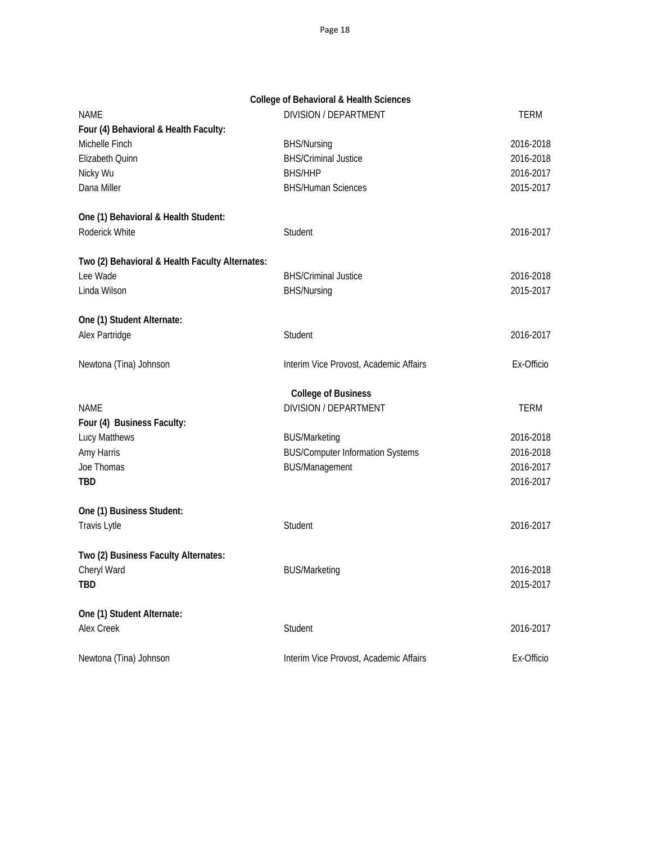|                                                 | <b>College of Behavioral &amp; Health Sciences</b> |             |
|-------------------------------------------------|----------------------------------------------------|-------------|
| <b>NAME</b>                                     | <b>DIVISION / DEPARTMENT</b>                       | TERM        |
| Four (4) Behavioral & Health Faculty:           |                                                    |             |
| Michelle Finch                                  | <b>BHS/Nursing</b>                                 | 2016-2018   |
| Elizabeth Quinn                                 | <b>BHS/Criminal Justice</b>                        | 2016-2018   |
| Nicky Wu                                        | <b>BHS/HHP</b>                                     | 2016-2017   |
| Dana Miller                                     | <b>BHS/Human Sciences</b>                          | 2015-2017   |
| One (1) Behavioral & Health Student:            |                                                    |             |
| Roderick White                                  | Student                                            | 2016-2017   |
| Two (2) Behavioral & Health Faculty Alternates: |                                                    |             |
| Lee Wade                                        | <b>BHS/Criminal Justice</b>                        | 2016-2018   |
| Linda Wilson                                    | <b>BHS/Nursing</b>                                 | 2015-2017   |
| One (1) Student Alternate:                      |                                                    |             |
| Alex Partridge                                  | Student                                            | 2016-2017   |
| Newtona (Tina) Johnson                          | Interim Vice Provost, Academic Affairs             | Ex-Officio  |
|                                                 | <b>College of Business</b>                         |             |
| NAME                                            | DIVISION / DEPARTMENT                              | <b>TERM</b> |
| Four (4) Business Faculty:                      |                                                    |             |
| Lucy Matthews                                   | <b>BUS/Marketing</b>                               | 2016-2018   |
| Amy Harris                                      | <b>BUS/Computer Information Systems</b>            | 2016-2018   |
| Joe Thomas                                      | <b>BUS/Management</b>                              | 2016-2017   |
| <b>TBD</b>                                      |                                                    | 2016-2017   |
| One (1) Business Student:                       |                                                    |             |
| Travis Lytle                                    | Student                                            | 2016-2017   |
| Two (2) Business Faculty Alternates:            |                                                    |             |
| Cheryl Ward                                     | <b>BUS/Marketing</b>                               | 2016-2018   |
| <b>TBD</b>                                      |                                                    | 2015-2017   |
| One (1) Student Alternate:                      |                                                    |             |
| Alex Creek                                      | Student                                            | 2016-2017   |
|                                                 |                                                    |             |

Newtona (Tina) Johnson **Interim Vice Provost, Academic Affairs** Ex-Officio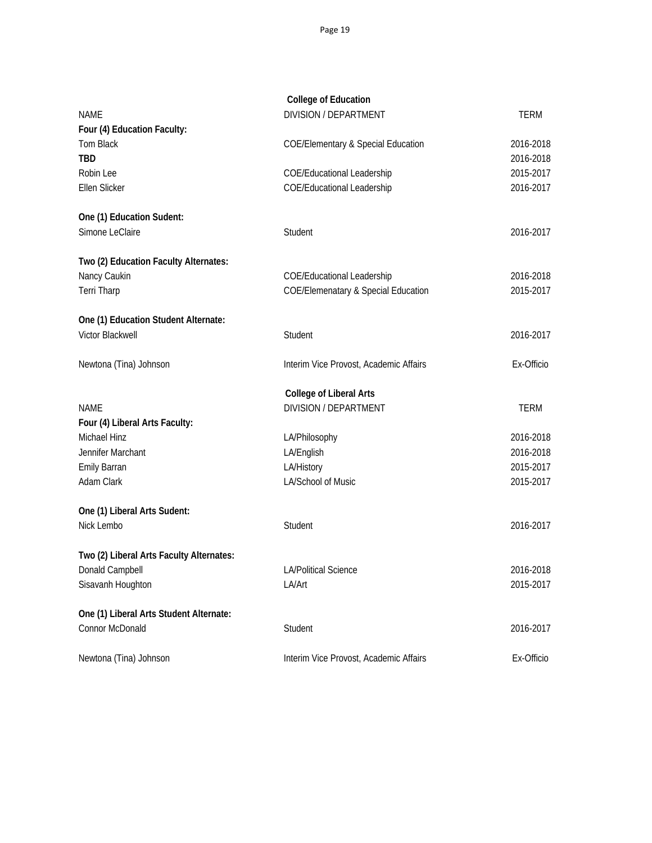|                                          | <b>College of Education</b>                    |            |
|------------------------------------------|------------------------------------------------|------------|
| <b>NAME</b>                              | <b>DIVISION / DEPARTMENT</b>                   | TERM       |
| Four (4) Education Faculty:              |                                                |            |
| <b>Tom Black</b>                         | <b>COE/Elementary &amp; Special Education</b>  | 2016-2018  |
| <b>TBD</b>                               |                                                | 2016-2018  |
| Robin Lee                                | <b>COE/Educational Leadership</b>              | 2015-2017  |
| Ellen Slicker                            | COE/Educational Leadership                     | 2016-2017  |
| One (1) Education Sudent:                |                                                |            |
| Simone LeClaire                          | Student                                        | 2016-2017  |
| Two (2) Education Faculty Alternates:    |                                                |            |
| Nancy Caukin                             | <b>COE/Educational Leadership</b>              | 2016-2018  |
| Terri Tharp                              | <b>COE/Elemenatary &amp; Special Education</b> | 2015-2017  |
| One (1) Education Student Alternate:     |                                                |            |
| Victor Blackwell                         | Student                                        | 2016-2017  |
| Newtona (Tina) Johnson                   | Interim Vice Provost, Academic Affairs         | Ex-Officio |
|                                          | <b>College of Liberal Arts</b>                 |            |
| NAME                                     | <b>DIVISION / DEPARTMENT</b>                   | TERM       |
| Four (4) Liberal Arts Faculty:           |                                                |            |
| Michael Hinz                             | LA/Philosophy                                  | 2016-2018  |
| Jennifer Marchant                        | LA/English                                     | 2016-2018  |
| <b>Emily Barran</b>                      | LA/History                                     | 2015-2017  |
| Adam Clark                               | LA/School of Music                             | 2015-2017  |
| One (1) Liberal Arts Sudent:             |                                                |            |
| Nick Lembo                               | Student                                        | 2016-2017  |
| Two (2) Liberal Arts Faculty Alternates: |                                                |            |
| Donald Campbell                          | <b>LA/Political Science</b>                    | 2016-2018  |
| Sisavanh Houghton                        | LA/Art                                         | 2015-2017  |
| One (1) Liberal Arts Student Alternate:  |                                                |            |
| Connor McDonald                          | Student                                        | 2016-2017  |
| Newtona (Tina) Johnson                   | Interim Vice Provost, Academic Affairs         | Ex-Officio |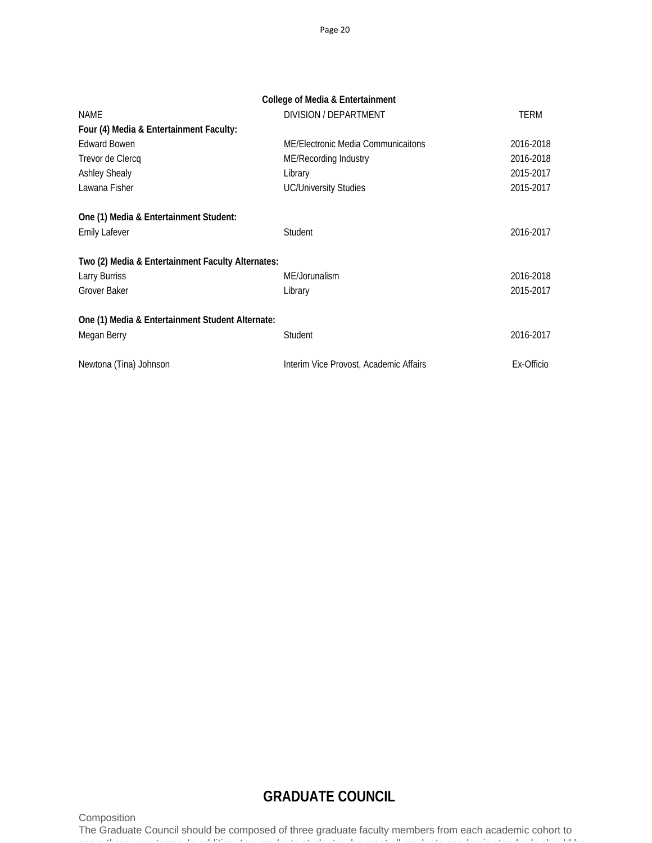|                                                   | College of Media & Entertainment       |            |
|---------------------------------------------------|----------------------------------------|------------|
| <b>NAME</b>                                       | DIVISION / DEPARTMENT                  | TERM       |
| Four (4) Media & Entertainment Faculty:           |                                        |            |
| <b>Edward Bowen</b>                               | ME/Electronic Media Communicaitons     | 2016-2018  |
| Trevor de Clercq                                  | ME/Recording Industry                  | 2016-2018  |
| <b>Ashley Shealy</b>                              | Library                                | 2015-2017  |
| Lawana Fisher                                     | <b>UC/University Studies</b>           | 2015-2017  |
| One (1) Media & Entertainment Student:            |                                        |            |
| <b>Emily Lafever</b>                              | Student                                | 2016-2017  |
| Two (2) Media & Entertainment Faculty Alternates: |                                        |            |
| Larry Burriss                                     | ME/Jorunalism                          | 2016-2018  |
| Grover Baker                                      | Library                                | 2015-2017  |
| One (1) Media & Entertainment Student Alternate:  |                                        |            |
| Megan Berry                                       | Student                                | 2016-2017  |
| Newtona (Tina) Johnson                            | Interim Vice Provost, Academic Affairs | Ex-Officio |

# **GRADUATE COUNCIL**

Composition

The Graduate Council should be composed of three graduate faculty members from each academic cohort to serve three year terms In addition two graduate students who meet all graduate academic standards should be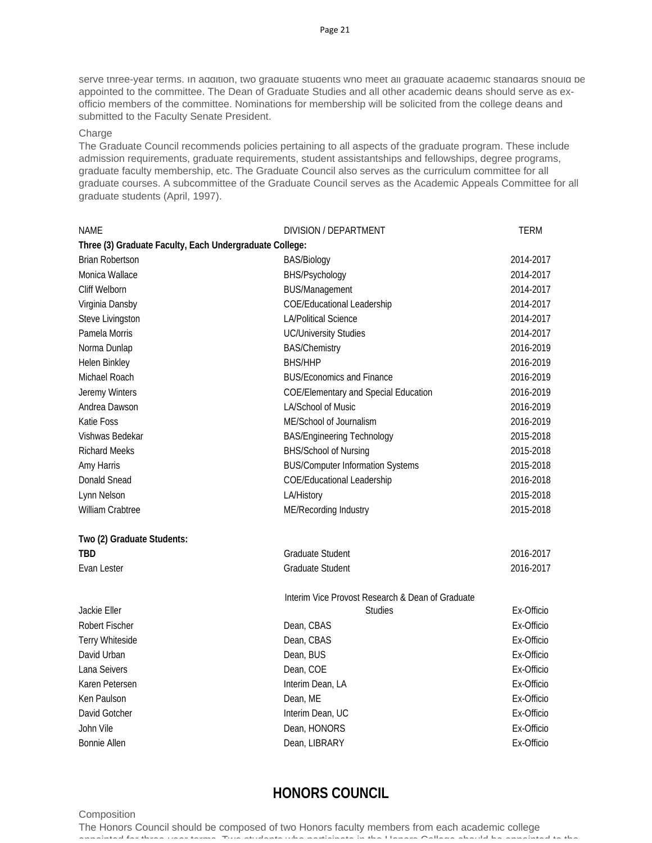serve three-year terms. In addition, two graduate students who meet all graduate academic standards should be appointed to the committee. The Dean of Graduate Studies and all other academic deans should serve as exofficio members of the committee. Nominations for membership will be solicited from the college deans and submitted to the Faculty Senate President.

#### Charge

The Graduate Council recommends policies pertaining to all aspects of the graduate program. These include admission requirements, graduate requirements, student assistantships and fellowships, degree programs, graduate faculty membership, etc. The Graduate Council also serves as the curriculum committee for all graduate courses. A subcommittee of the Graduate Council serves as the Academic Appeals Committee for all graduate students (April, 1997).

| <b>NAME</b>                                             | DIVISION / DEPARTMENT                            | <b>TERM</b> |
|---------------------------------------------------------|--------------------------------------------------|-------------|
| Three (3) Graduate Faculty, Each Undergraduate College: |                                                  |             |
| <b>Brian Robertson</b>                                  | <b>BAS/Biology</b>                               | 2014-2017   |
| Monica Wallace                                          | BHS/Psychology                                   | 2014-2017   |
| Cliff Welborn                                           | <b>BUS/Management</b>                            | 2014-2017   |
| Virginia Dansby                                         | <b>COE/Educational Leadership</b>                | 2014-2017   |
| Steve Livingston                                        | <b>LA/Political Science</b>                      | 2014-2017   |
| Pamela Morris                                           | <b>UC/University Studies</b>                     | 2014-2017   |
| Norma Dunlap                                            | <b>BAS/Chemistry</b>                             | 2016-2019   |
| Helen Binkley                                           | <b>BHS/HHP</b>                                   | 2016-2019   |
| Michael Roach                                           | <b>BUS/Economics and Finance</b>                 | 2016-2019   |
| Jeremy Winters                                          | <b>COE/Elementary and Special Education</b>      | 2016-2019   |
| Andrea Dawson                                           | LA/School of Music                               | 2016-2019   |
| Katie Foss                                              | ME/School of Journalism                          | 2016-2019   |
| Vishwas Bedekar                                         | <b>BAS/Engineering Technology</b>                | 2015-2018   |
| <b>Richard Meeks</b>                                    | BHS/School of Nursing                            | 2015-2018   |
| Amy Harris                                              | <b>BUS/Computer Information Systems</b>          | 2015-2018   |
| <b>Donald Snead</b>                                     | <b>COE/Educational Leadership</b>                | 2016-2018   |
| Lynn Nelson                                             | LA/History                                       | 2015-2018   |
| <b>William Crabtree</b>                                 | ME/Recording Industry                            | 2015-2018   |
| Two (2) Graduate Students:                              |                                                  |             |
| <b>TBD</b>                                              | Graduate Student                                 | 2016-2017   |
| Evan Lester                                             | Graduate Student                                 | 2016-2017   |
|                                                         | Interim Vice Provost Research & Dean of Graduate |             |
| Jackie Eller                                            | <b>Studies</b>                                   | Ex-Officio  |
| <b>Robert Fischer</b>                                   | Dean, CBAS                                       | Ex-Officio  |
| Terry Whiteside                                         | Dean, CBAS                                       | Ex-Officio  |
| David Urban                                             | Dean, BUS                                        | Ex-Officio  |
| Lana Seivers                                            | Dean, COE                                        | Ex-Officio  |
| Karen Petersen                                          | Interim Dean, LA                                 | Ex-Officio  |
| Ken Paulson                                             | Dean, ME                                         | Ex-Officio  |
| David Gotcher                                           | Interim Dean, UC                                 | Ex-Officio  |
| John Vile                                               | Dean, HONORS                                     | Ex-Officio  |
| <b>Bonnie Allen</b>                                     | Dean, LIBRARY                                    | Ex-Officio  |

# **HONORS COUNCIL**

#### **Composition**

The Honors Council should be composed of two Honors faculty members from each academic college appointed for the expected version Two students who participate in the Honors College should be approached to the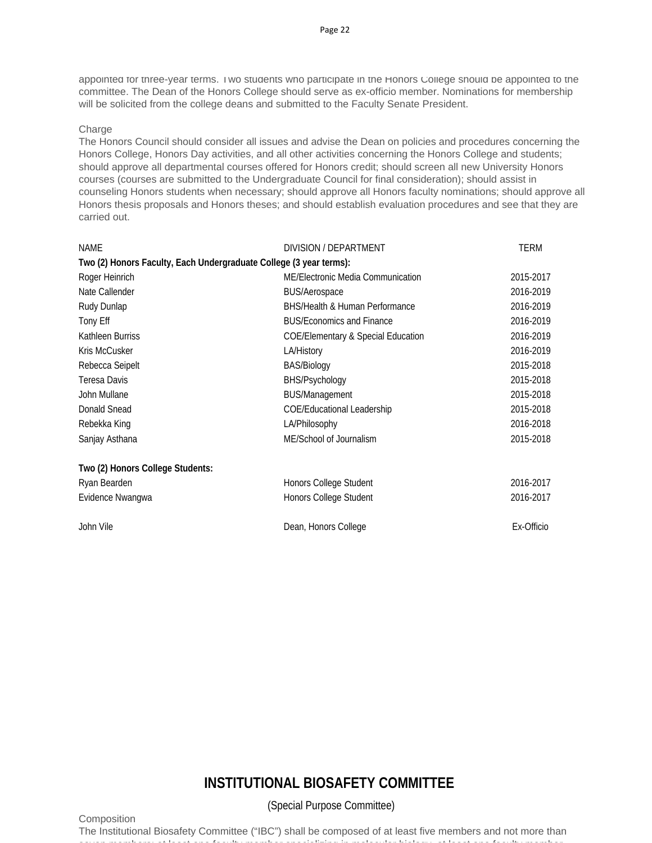appointed for three-year terms. Two students who participate in the Honors College should be appointed to the committee. The Dean of the Honors College should serve as ex-officio member. Nominations for membership will be solicited from the college deans and submitted to the Faculty Senate President.

### **Charge**

The Honors Council should consider all issues and advise the Dean on policies and procedures concerning the Honors College, Honors Day activities, and all other activities concerning the Honors College and students; should approve all departmental courses offered for Honors credit; should screen all new University Honors courses (courses are submitted to the Undergraduate Council for final consideration); should assist in counseling Honors students when necessary; should approve all Honors faculty nominations; should approve all Honors thesis proposals and Honors theses; and should establish evaluation procedures and see that they are carried out.

| <b>NAME</b>                                                        | DIVISION / DEPARTMENT                         | <b>TERM</b> |
|--------------------------------------------------------------------|-----------------------------------------------|-------------|
| Two (2) Honors Faculty, Each Undergraduate College (3 year terms): |                                               |             |
| Roger Heinrich                                                     | ME/Electronic Media Communication             | 2015-2017   |
| Nate Callender                                                     | <b>BUS/Aerospace</b>                          | 2016-2019   |
| Rudy Dunlap                                                        | <b>BHS/Health &amp; Human Performance</b>     | 2016-2019   |
| Tony Eff                                                           | <b>BUS/Economics and Finance</b>              | 2016-2019   |
| Kathleen Burriss                                                   | <b>COE/Elementary &amp; Special Education</b> | 2016-2019   |
| Kris McCusker                                                      | LA/History                                    | 2016-2019   |
| Rebecca Seipelt                                                    | BAS/Biology                                   | 2015-2018   |
| <b>Teresa Davis</b>                                                | BHS/Psychology                                | 2015-2018   |
| John Mullane                                                       | <b>BUS/Management</b>                         | 2015-2018   |
| <b>Donald Snead</b>                                                | <b>COE/Educational Leadership</b>             | 2015-2018   |
| Rebekka King                                                       | LA/Philosophy                                 | 2016-2018   |
| Sanjay Asthana                                                     | ME/School of Journalism                       | 2015-2018   |
| Two (2) Honors College Students:                                   |                                               |             |
| Ryan Bearden                                                       | Honors College Student                        | 2016-2017   |
| Evidence Nwangwa                                                   | Honors College Student                        | 2016-2017   |
| John Vile                                                          | Dean, Honors College                          | Ex-Officio  |

### Page 22

# **INSTITUTIONAL BIOSAFETY COMMITTEE**

**Composition** 

(Special Purpose Committee)

The Institutional Biosafety Committee ("IBC") shall be composed of at least five members and not more than seven members: at least one faculty member specializing in molecular biology at least one faculty member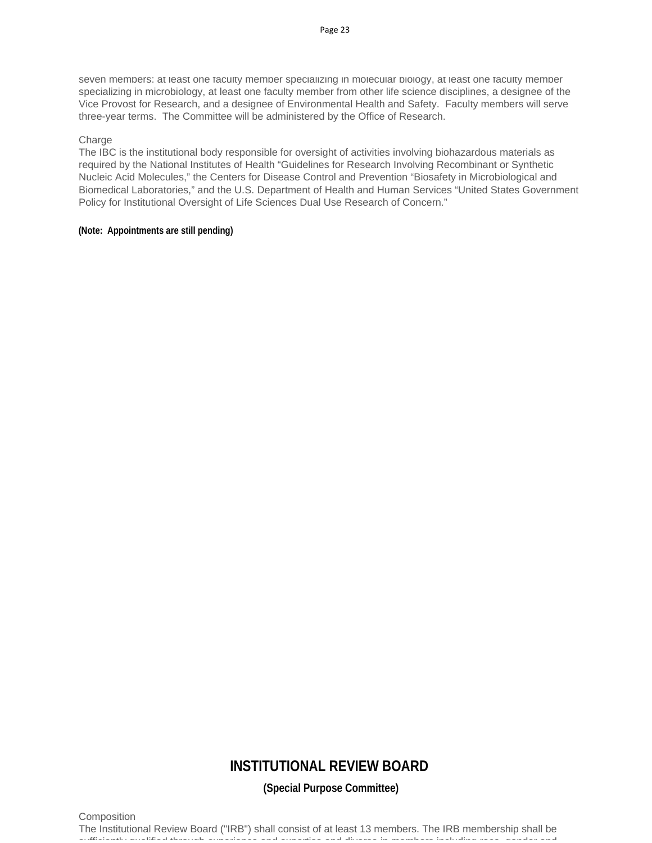seven members: at least one faculty member specializing in molecular biology, at least one faculty member specializing in microbiology, at least one faculty member from other life science disciplines, a designee of the Vice Provost for Research, and a designee of Environmental Health and Safety. Faculty members will serve three-year terms. The Committee will be administered by the Office of Research.

#### Charge

The IBC is the institutional body responsible for oversight of activities involving biohazardous materials as required by the National Institutes of Health "Guidelines for Research Involving Recombinant or Synthetic Nucleic Acid Molecules," the Centers for Disease Control and Prevention "Biosafety in Microbiological and Biomedical Laboratories," and the U.S. Department of Health and Human Services "United States Government Policy for Institutional Oversight of Life Sciences Dual Use Research of Concern."

#### **(Note: Appointments are still pending)**

## **INSTITUTIONAL REVIEW BOARD**

**(Special Purpose Committee)**

**Composition** 

The Institutional Review Board ("IRB") shall consist of at least 13 members. The IRB membership shall be sufficiently qualified through experience and expertise and diverse in members including race gender and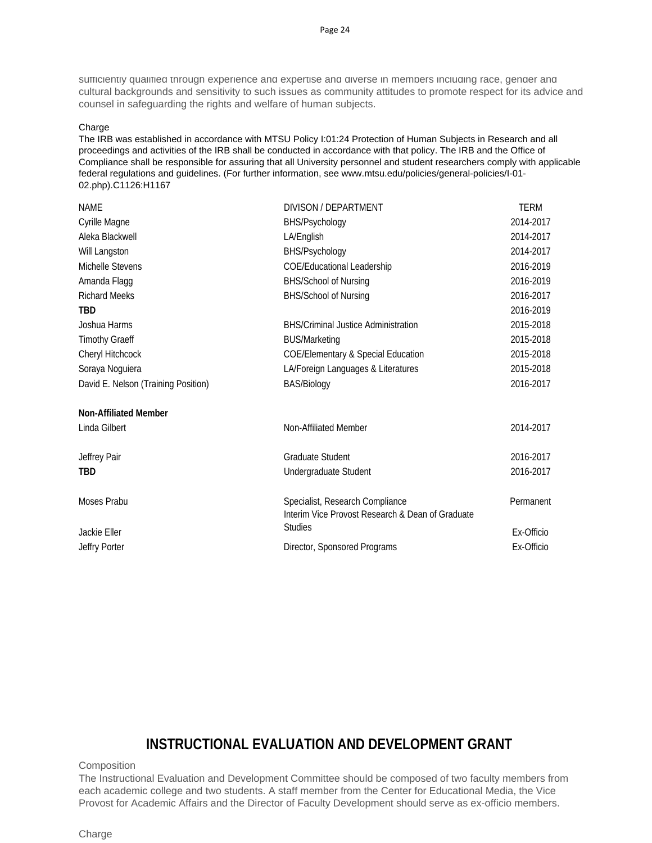sufficiently qualified through experience and expertise and diverse in members including race, gender and cultural backgrounds and sensitivity to such issues as community attitudes to promote respect for its advice and counsel in safeguarding the rights and welfare of human subjects.

#### Charge

The IRB was established in accordance with MTSU Policy I:01:24 Protection of Human Subjects in Research and all proceedings and activities of the IRB shall be conducted in accordance with that policy. The IRB and the Office of Compliance shall be responsible for assuring that all University personnel and student researchers comply with applicable federal regulations and guidelines. (For further information, see www.mtsu.edu/policies/general-policies/I-01- 02.php).C1126:H1167

| <b>NAME</b>                         | DIVISON / DEPARTMENT                                                                | <b>TERM</b> |
|-------------------------------------|-------------------------------------------------------------------------------------|-------------|
| Cyrille Magne                       | BHS/Psychology                                                                      | 2014-2017   |
| Aleka Blackwell                     | LA/English                                                                          | 2014-2017   |
| Will Langston                       | BHS/Psychology                                                                      | 2014-2017   |
| Michelle Stevens                    | COE/Educational Leadership                                                          | 2016-2019   |
| Amanda Flagg                        | <b>BHS/School of Nursing</b>                                                        | 2016-2019   |
| <b>Richard Meeks</b>                | BHS/School of Nursing                                                               | 2016-2017   |
| TBD                                 |                                                                                     | 2016-2019   |
| Joshua Harms                        | <b>BHS/Criminal Justice Administration</b>                                          | 2015-2018   |
| <b>Timothy Graeff</b>               | <b>BUS/Marketing</b>                                                                | 2015-2018   |
| Cheryl Hitchcock                    | <b>COE/Elementary &amp; Special Education</b>                                       | 2015-2018   |
| Soraya Noguiera                     | LA/Foreign Languages & Literatures                                                  | 2015-2018   |
| David E. Nelson (Training Position) | <b>BAS/Biology</b>                                                                  | 2016-2017   |
| <b>Non-Affiliated Member</b>        |                                                                                     |             |
| Linda Gilbert                       | Non-Affiliated Member                                                               | 2014-2017   |
| Jeffrey Pair                        | <b>Graduate Student</b>                                                             | 2016-2017   |
| TBD                                 | Undergraduate Student                                                               | 2016-2017   |
| Moses Prabu                         | Specialist, Research Compliance<br>Interim Vice Provost Research & Dean of Graduate | Permanent   |
| Jackie Eller                        | <b>Studies</b>                                                                      | Ex-Officio  |
| Jeffry Porter                       | Director, Sponsored Programs                                                        | Ex-Officio  |

### **INSTRUCTIONAL EVALUATION AND DEVELOPMENT GRANT**

**Composition** 

The Instructional Evaluation and Development Committee should be composed of two faculty members from each academic college and two students. A staff member from the Center for Educational Media, the Vice Provost for Academic Affairs and the Director of Faculty Development should serve as ex-officio members.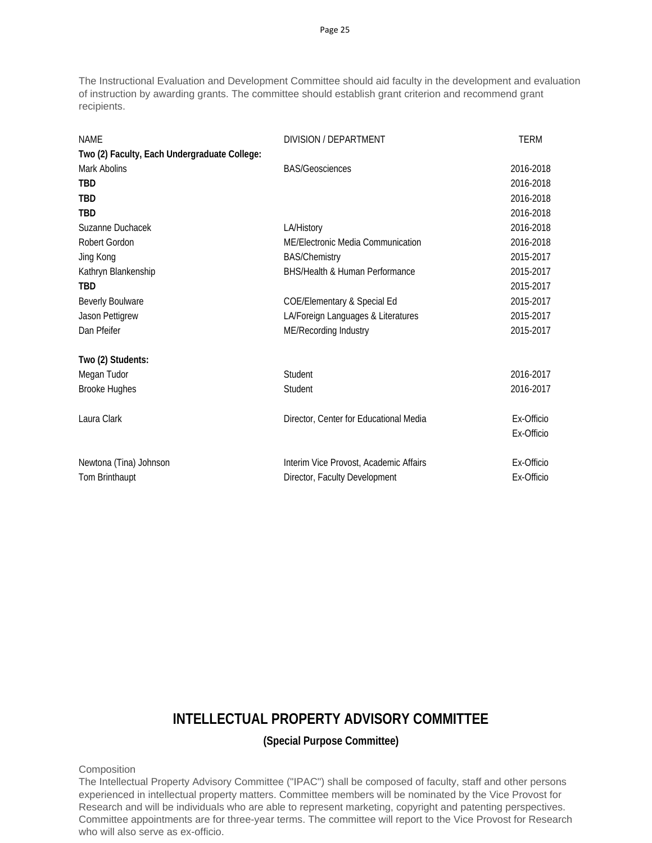The Instructional Evaluation and Development Committee should aid faculty in the development and evaluation of instruction by awarding grants. The committee should establish grant criterion and recommend grant recipients.

| <b>NAME</b>                                  | DIVISION / DEPARTMENT                  | <b>TERM</b> |
|----------------------------------------------|----------------------------------------|-------------|
| Two (2) Faculty, Each Undergraduate College: |                                        |             |
| Mark Abolins                                 | <b>BAS/Geosciences</b>                 | 2016-2018   |
| <b>TBD</b>                                   |                                        | 2016-2018   |
| <b>TBD</b>                                   |                                        | 2016-2018   |
| <b>TBD</b>                                   |                                        | 2016-2018   |
| Suzanne Duchacek                             | LA/History                             | 2016-2018   |
| Robert Gordon                                | ME/Electronic Media Communication      | 2016-2018   |
| Jing Kong                                    | <b>BAS/Chemistry</b>                   | 2015-2017   |
| Kathryn Blankenship                          | BHS/Health & Human Performance         | 2015-2017   |
| <b>TBD</b>                                   |                                        | 2015-2017   |
| <b>Beverly Boulware</b>                      | <b>COE/Elementary &amp; Special Ed</b> | 2015-2017   |
| Jason Pettigrew                              | LA/Foreign Languages & Literatures     | 2015-2017   |
| Dan Pfeifer                                  | ME/Recording Industry                  | 2015-2017   |
| Two (2) Students:                            |                                        |             |
| Megan Tudor                                  | Student                                | 2016-2017   |
| <b>Brooke Hughes</b>                         | Student                                | 2016-2017   |
| Laura Clark                                  | Director, Center for Educational Media | Ex-Officio  |
|                                              |                                        | Ex-Officio  |
| Newtona (Tina) Johnson                       | Interim Vice Provost, Academic Affairs | Ex-Officio  |
| Tom Brinthaupt                               | Director, Faculty Development          | Ex-Officio  |

# **INTELLECTUAL PROPERTY ADVISORY COMMITTEE**

**(Special Purpose Committee)**

**Composition** 

The Intellectual Property Advisory Committee ("IPAC") shall be composed of faculty, staff and other persons experienced in intellectual property matters. Committee members will be nominated by the Vice Provost for Research and will be individuals who are able to represent marketing, copyright and patenting perspectives. Committee appointments are for three-year terms. The committee will report to the Vice Provost for Research who will also serve as ex-officio.

Page 25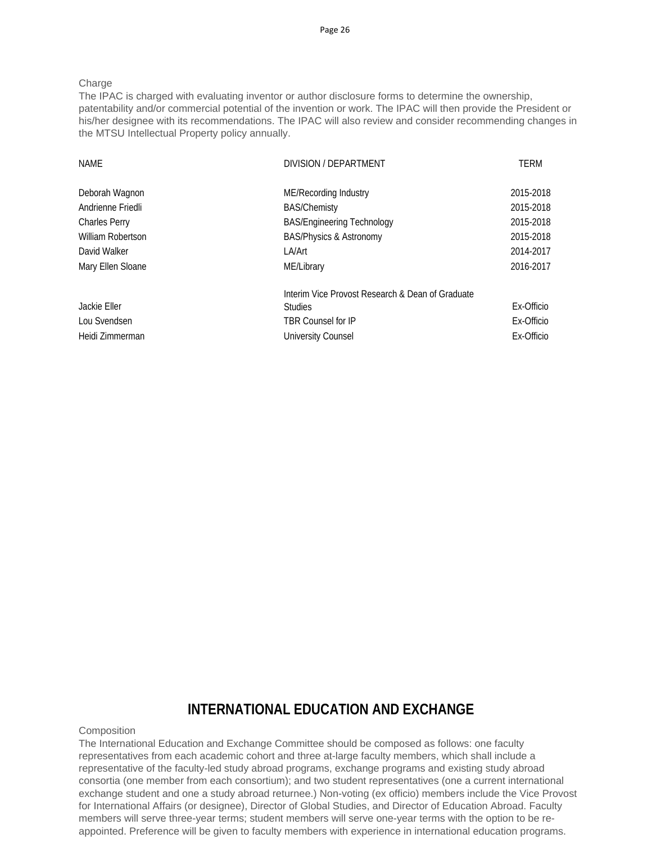#### Charge

The IPAC is charged with evaluating inventor or author disclosure forms to determine the ownership, patentability and/or commercial potential of the invention or work. The IPAC will then provide the President or his/her designee with its recommendations. The IPAC will also review and consider recommending changes in the MTSU Intellectual Property policy annually.

| <b>NAME</b>          | DIVISION / DEPARTMENT                            | TERM       |
|----------------------|--------------------------------------------------|------------|
| Deborah Wagnon       | ME/Recording Industry                            | 2015-2018  |
| Andrienne Friedli    | <b>BAS/Chemisty</b>                              | 2015-2018  |
| <b>Charles Perry</b> | <b>BAS/Engineering Technology</b>                | 2015-2018  |
| William Robertson    | <b>BAS/Physics &amp; Astronomy</b>               | 2015-2018  |
| David Walker         | LA/Art                                           | 2014-2017  |
| Mary Ellen Sloane    | ME/Library                                       | 2016-2017  |
|                      | Interim Vice Provost Research & Dean of Graduate |            |
| Jackie Eller         | <b>Studies</b>                                   | Ex-Officio |
| Lou Svendsen         | <b>TBR Counsel for IP</b>                        | Ex-Officio |
| Heidi Zimmerman      | University Counsel                               | Ex-Officio |

### **INTERNATIONAL EDUCATION AND EXCHANGE**

### **Composition**

The International Education and Exchange Committee should be composed as follows: one faculty representatives from each academic cohort and three at-large faculty members, which shall include a representative of the faculty-led study abroad programs, exchange programs and existing study abroad consortia (one member from each consortium); and two student representatives (one a current international exchange student and one a study abroad returnee.) Non-voting (ex officio) members include the Vice Provost for International Affairs (or designee), Director of Global Studies, and Director of Education Abroad. Faculty members will serve three-year terms; student members will serve one-year terms with the option to be reappointed. Preference will be given to faculty members with experience in international education programs.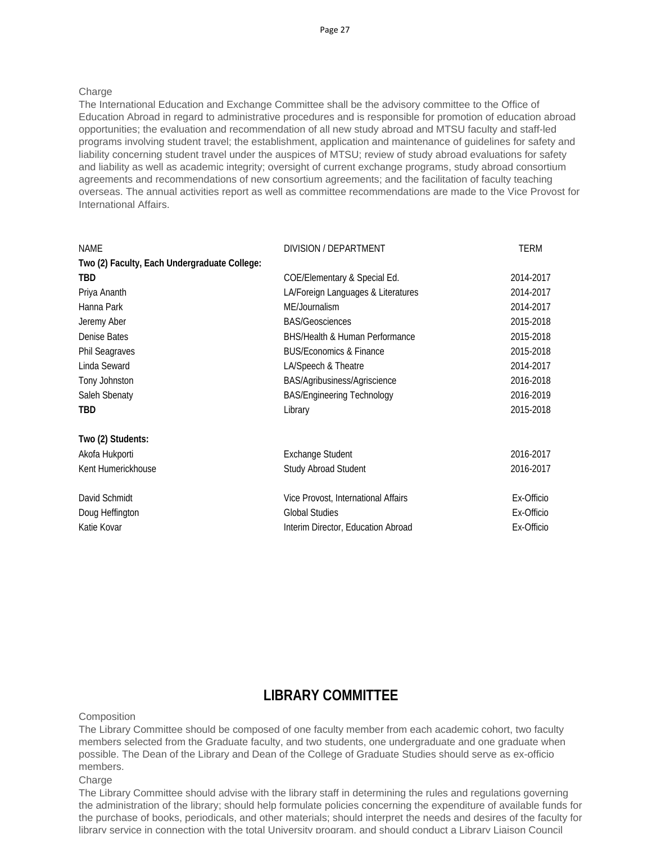#### Charge

The International Education and Exchange Committee shall be the advisory committee to the Office of Education Abroad in regard to administrative procedures and is responsible for promotion of education abroad opportunities; the evaluation and recommendation of all new study abroad and MTSU faculty and staff-led programs involving student travel; the establishment, application and maintenance of guidelines for safety and liability concerning student travel under the auspices of MTSU; review of study abroad evaluations for safety and liability as well as academic integrity; oversight of current exchange programs, study abroad consortium agreements and recommendations of new consortium agreements; and the facilitation of faculty teaching overseas. The annual activities report as well as committee recommendations are made to the Vice Provost for International Affairs.

| NAME                                         | DIVISION / DEPARTMENT                     | <b>TERM</b> |
|----------------------------------------------|-------------------------------------------|-------------|
| Two (2) Faculty, Each Undergraduate College: |                                           |             |
| <b>TBD</b>                                   | COE/Elementary & Special Ed.              | 2014-2017   |
| Priya Ananth                                 | LA/Foreign Languages & Literatures        | 2014-2017   |
| Hanna Park                                   | ME/Journalism                             | 2014-2017   |
| Jeremy Aber                                  | <b>BAS/Geosciences</b>                    | 2015-2018   |
| Denise Bates                                 | <b>BHS/Health &amp; Human Performance</b> | 2015-2018   |
| <b>Phil Seagraves</b>                        | <b>BUS/Economics &amp; Finance</b>        | 2015-2018   |
| Linda Seward                                 | LA/Speech & Theatre                       | 2014-2017   |
| Tony Johnston                                | BAS/Agribusiness/Agriscience              | 2016-2018   |
| Saleh Sbenaty                                | <b>BAS/Engineering Technology</b>         | 2016-2019   |
| <b>TBD</b>                                   | Library                                   | 2015-2018   |
| Two (2) Students:                            |                                           |             |
| Akofa Hukporti                               | <b>Exchange Student</b>                   | 2016-2017   |
| Kent Humerickhouse                           | <b>Study Abroad Student</b>               | 2016-2017   |
| David Schmidt                                | Vice Provost, International Affairs       | Ex-Officio  |
| Doug Heffington                              | <b>Global Studies</b>                     | Ex-Officio  |
| Katie Kovar                                  | Interim Director, Education Abroad        | Ex-Officio  |

### **LIBRARY COMMITTEE**

**Composition** 

The Library Committee should be composed of one faculty member from each academic cohort, two faculty members selected from the Graduate faculty, and two students, one undergraduate and one graduate when possible. The Dean of the Library and Dean of the College of Graduate Studies should serve as ex-officio members.

#### Charge

The Library Committee should advise with the library staff in determining the rules and regulations governing the administration of the library; should help formulate policies concerning the expenditure of available funds for the purchase of books, periodicals, and other materials; should interpret the needs and desires of the faculty for library service in connection with the total University program, and should conduct a Library Liaison Council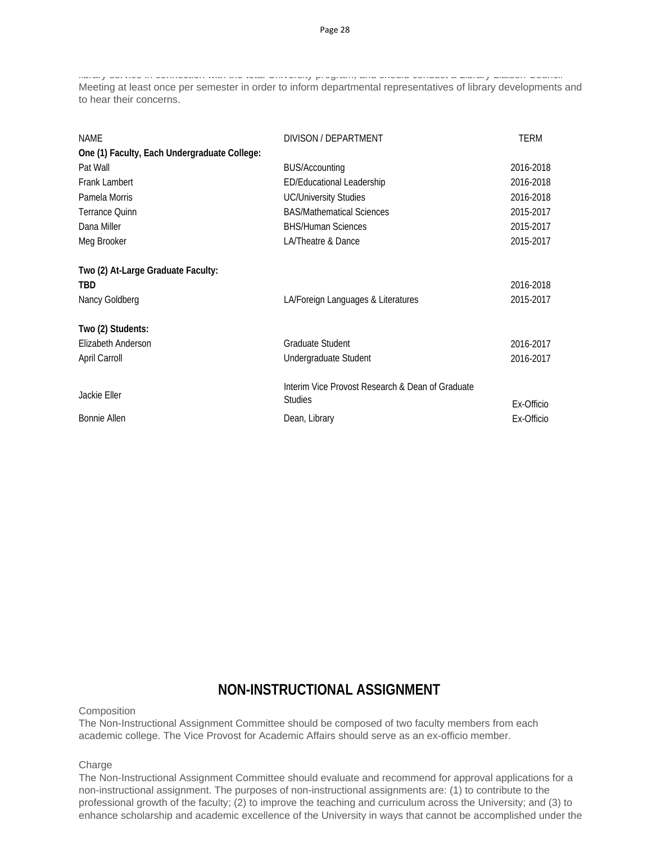library service in connection with the total University program, and should conduct a Library Liaison Council Meeting at least once per semester in order to inform departmental representatives of library developments and to hear their concerns.

| <b>NAMF</b>                                  | DIVISON / DEPARTMENT                             | <b>TERM</b> |
|----------------------------------------------|--------------------------------------------------|-------------|
| One (1) Faculty, Each Undergraduate College: |                                                  |             |
| Pat Wall                                     | <b>BUS/Accounting</b>                            | 2016-2018   |
| <b>Frank Lambert</b>                         | ED/Educational Leadership                        | 2016-2018   |
| Pamela Morris                                | <b>UC/University Studies</b>                     | 2016-2018   |
| Terrance Quinn                               | <b>BAS/Mathematical Sciences</b>                 | 2015-2017   |
| Dana Miller                                  | <b>BHS/Human Sciences</b>                        | 2015-2017   |
| Meg Brooker                                  | LA/Theatre & Dance                               | 2015-2017   |
|                                              |                                                  |             |
| Two (2) At-Large Graduate Faculty:           |                                                  |             |
| TBD                                          |                                                  | 2016-2018   |
| Nancy Goldberg                               | LA/Foreign Languages & Literatures               | 2015-2017   |
| Two (2) Students:                            |                                                  |             |
| Elizabeth Anderson                           | <b>Graduate Student</b>                          | 2016-2017   |
| April Carroll                                | Undergraduate Student                            | 2016-2017   |
|                                              |                                                  |             |
| Jackie Eller                                 | Interim Vice Provost Research & Dean of Graduate |             |
|                                              | <b>Studies</b>                                   | Ex-Officio  |
| <b>Bonnie Allen</b>                          | Dean, Library                                    | Ex-Officio  |

### **NON-INSTRUCTIONAL ASSIGNMENT**

**Composition** 

The Non-Instructional Assignment Committee should be composed of two faculty members from each academic college. The Vice Provost for Academic Affairs should serve as an ex-officio member.

Charge

The Non-Instructional Assignment Committee should evaluate and recommend for approval applications for a non-instructional assignment. The purposes of non-instructional assignments are: (1) to contribute to the professional growth of the faculty; (2) to improve the teaching and curriculum across the University; and (3) to enhance scholarship and academic excellence of the University in ways that cannot be accomplished under the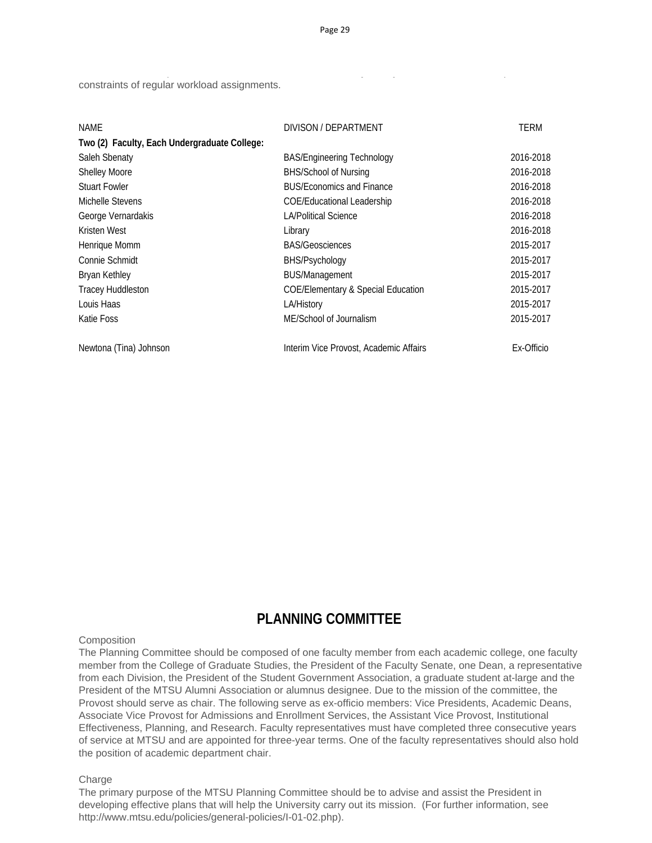p y production and the second control of the second control of the second control of the second control of the<br>District of the second control of the second control of the second control of the second control of the second

constraints of regular workload assignments.

| NAME                                         | DIVISON / DEPARTMENT                          | TERM       |
|----------------------------------------------|-----------------------------------------------|------------|
| Two (2) Faculty, Each Undergraduate College: |                                               |            |
| Saleh Sbenaty                                | <b>BAS/Engineering Technology</b>             | 2016-2018  |
| <b>Shelley Moore</b>                         | <b>BHS/School of Nursing</b>                  | 2016-2018  |
| <b>Stuart Fowler</b>                         | <b>BUS/Economics and Finance</b>              | 2016-2018  |
| Michelle Stevens                             | <b>COE/Educational Leadership</b>             | 2016-2018  |
| George Vernardakis                           | <b>LA/Political Science</b>                   | 2016-2018  |
| Kristen West                                 | Library                                       | 2016-2018  |
| Henrique Momm                                | <b>BAS/Geosciences</b>                        | 2015-2017  |
| Connie Schmidt                               | BHS/Psychology                                | 2015-2017  |
| <b>Bryan Kethley</b>                         | <b>BUS/Management</b>                         | 2015-2017  |
| <b>Tracey Huddleston</b>                     | <b>COE/Elementary &amp; Special Education</b> | 2015-2017  |
| Louis Haas                                   | LA/History                                    | 2015-2017  |
| Katie Foss                                   | ME/School of Journalism                       | 2015-2017  |
| Newtona (Tina) Johnson                       | Interim Vice Provost, Academic Affairs        | Ex-Officio |

### **PLANNING COMMITTEE**

#### **Composition**

The Planning Committee should be composed of one faculty member from each academic college, one faculty member from the College of Graduate Studies, the President of the Faculty Senate, one Dean, a representative from each Division, the President of the Student Government Association, a graduate student at-large and the President of the MTSU Alumni Association or alumnus designee. Due to the mission of the committee, the Provost should serve as chair. The following serve as ex-officio members: Vice Presidents, Academic Deans, Associate Vice Provost for Admissions and Enrollment Services, the Assistant Vice Provost, Institutional Effectiveness, Planning, and Research. Faculty representatives must have completed three consecutive years of service at MTSU and are appointed for three-year terms. One of the faculty representatives should also hold the position of academic department chair.

#### **Charge**

The primary purpose of the MTSU Planning Committee should be to advise and assist the President in developing effective plans that will help the University carry out its mission. (For further information, see http://www.mtsu.edu/policies/general-policies/I-01-02.php).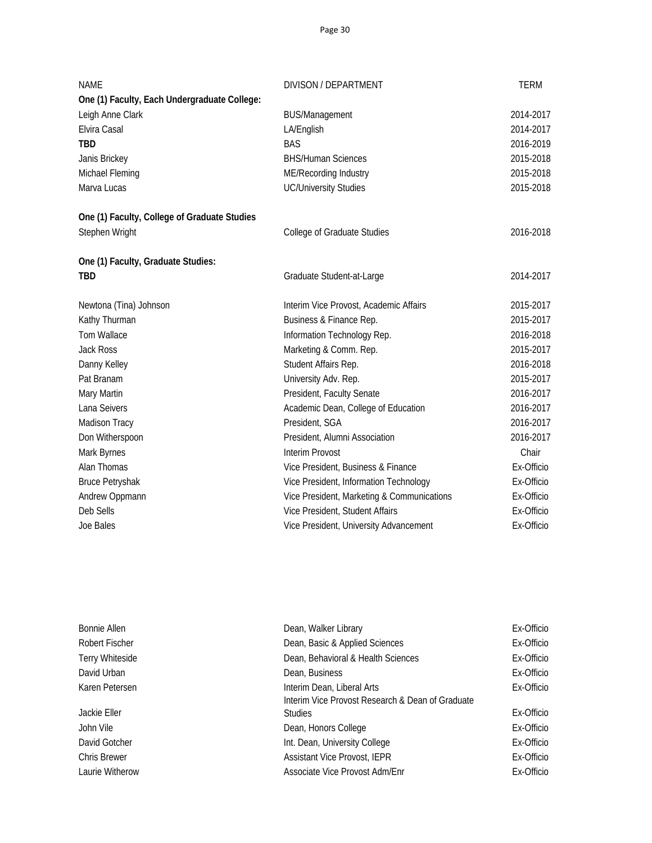| <b>NAME</b>                                  | DIVISON / DEPARTMENT                       | <b>TERM</b> |
|----------------------------------------------|--------------------------------------------|-------------|
| One (1) Faculty, Each Undergraduate College: |                                            |             |
| Leigh Anne Clark                             | <b>BUS/Management</b>                      | 2014-2017   |
| Elvira Casal                                 | LA/English                                 | 2014-2017   |
| <b>TBD</b>                                   | <b>BAS</b>                                 | 2016-2019   |
| Janis Brickey                                | <b>BHS/Human Sciences</b>                  | 2015-2018   |
| Michael Fleming                              | ME/Recording Industry                      | 2015-2018   |
| Marva Lucas                                  | <b>UC/University Studies</b>               | 2015-2018   |
| One (1) Faculty, College of Graduate Studies |                                            |             |
| Stephen Wright                               | College of Graduate Studies                | 2016-2018   |
| One (1) Faculty, Graduate Studies:           |                                            |             |
| <b>TBD</b>                                   | Graduate Student-at-Large                  | 2014-2017   |
| Newtona (Tina) Johnson                       | Interim Vice Provost, Academic Affairs     | 2015-2017   |
| Kathy Thurman                                | Business & Finance Rep.                    | 2015-2017   |
| <b>Tom Wallace</b>                           | Information Technology Rep.                | 2016-2018   |
| Jack Ross                                    | Marketing & Comm. Rep.                     | 2015-2017   |
| Danny Kelley                                 | Student Affairs Rep.                       | 2016-2018   |
| Pat Branam                                   | University Adv. Rep.                       | 2015-2017   |
| Mary Martin                                  | President, Faculty Senate                  | 2016-2017   |
| Lana Seivers                                 | Academic Dean, College of Education        | 2016-2017   |
| Madison Tracy                                | President, SGA                             | 2016-2017   |
| Don Witherspoon                              | President, Alumni Association              | 2016-2017   |
| Mark Byrnes                                  | <b>Interim Provost</b>                     | Chair       |
| Alan Thomas                                  | Vice President, Business & Finance         | Ex-Officio  |
| <b>Bruce Petryshak</b>                       | Vice President, Information Technology     | Ex-Officio  |
| Andrew Oppmann                               | Vice President, Marketing & Communications | Ex-Officio  |
| Deb Sells                                    | Vice President, Student Affairs            | Ex-Officio  |
| Joe Bales                                    | Vice President, University Advancement     | Ex-Officio  |

| Bonnie Allen        | Dean, Walker Library                             | Ex-Officio |
|---------------------|--------------------------------------------------|------------|
| Robert Fischer      | Dean, Basic & Applied Sciences                   | Ex-Officio |
| Terry Whiteside     | Dean, Behavioral & Health Sciences               | Ex-Officio |
| David Urban         | Dean, Business                                   | Ex-Officio |
| Karen Petersen      | Interim Dean, Liberal Arts                       | Ex-Officio |
|                     | Interim Vice Provost Research & Dean of Graduate |            |
| Jackie Eller        | <b>Studies</b>                                   | Ex-Officio |
| John Vile           | Dean, Honors College                             | Ex-Officio |
| David Gotcher       | Int. Dean, University College                    | Ex-Officio |
| <b>Chris Brewer</b> | <b>Assistant Vice Provost, IEPR</b>              | Ex-Officio |
| Laurie Witherow     | Associate Vice Provost Adm/Enr                   | Ex-Officio |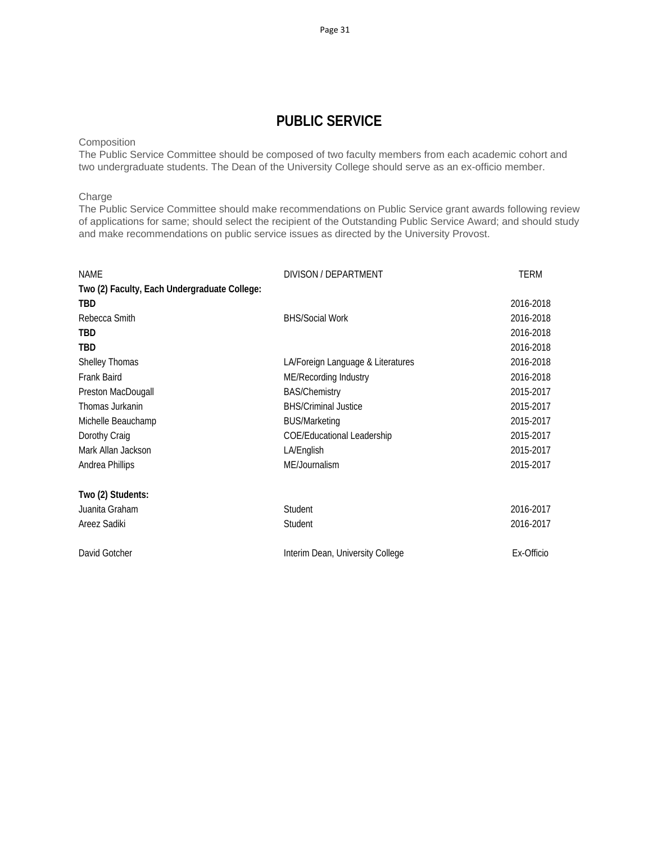# **PUBLIC SERVICE**

### **Composition**

The Public Service Committee should be composed of two faculty members from each academic cohort and two undergraduate students. The Dean of the University College should serve as an ex-officio member.

### Charge

The Public Service Committee should make recommendations on Public Service grant awards following review of applications for same; should select the recipient of the Outstanding Public Service Award; and should study and make recommendations on public service issues as directed by the University Provost.

| <b>NAME</b>                                  | DIVISON / DEPARTMENT              | <b>TERM</b> |
|----------------------------------------------|-----------------------------------|-------------|
| Two (2) Faculty, Each Undergraduate College: |                                   |             |
| <b>TBD</b>                                   |                                   | 2016-2018   |
| Rebecca Smith                                | <b>BHS/Social Work</b>            | 2016-2018   |
| TBD                                          |                                   | 2016-2018   |
| <b>TBD</b>                                   |                                   | 2016-2018   |
| Shelley Thomas                               | LA/Foreign Language & Literatures | 2016-2018   |
| Frank Baird                                  | ME/Recording Industry             | 2016-2018   |
| Preston MacDougall                           | <b>BAS/Chemistry</b>              | 2015-2017   |
| Thomas Jurkanin                              | <b>BHS/Criminal Justice</b>       | 2015-2017   |
| Michelle Beauchamp                           | <b>BUS/Marketing</b>              | 2015-2017   |
| Dorothy Craig                                | <b>COE/Educational Leadership</b> | 2015-2017   |
| Mark Allan Jackson                           | LA/English                        | 2015-2017   |
| Andrea Phillips                              | ME/Journalism                     | 2015-2017   |
| Two (2) Students:                            |                                   |             |
| Juanita Graham                               | Student                           | 2016-2017   |
| Areez Sadiki                                 | Student                           | 2016-2017   |
| David Gotcher                                | Interim Dean, University College  | Ex-Officio  |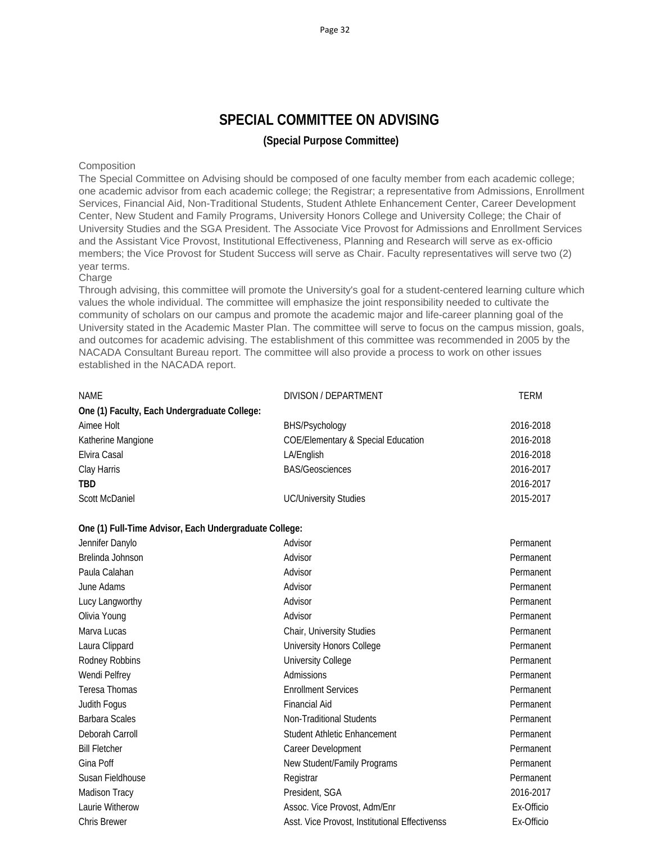# **SPECIAL COMMITTEE ON ADVISING (Special Purpose Committee)**

### **Composition**

The Special Committee on Advising should be composed of one faculty member from each academic college; one academic advisor from each academic college; the Registrar; a representative from Admissions, Enrollment Services, Financial Aid, Non-Traditional Students, Student Athlete Enhancement Center, Career Development Center, New Student and Family Programs, University Honors College and University College; the Chair of University Studies and the SGA President. The Associate Vice Provost for Admissions and Enrollment Services and the Assistant Vice Provost, Institutional Effectiveness, Planning and Research will serve as ex-officio members; the Vice Provost for Student Success will serve as Chair. Faculty representatives will serve two (2) year terms.

#### **Charge**

Through advising, this committee will promote the University's goal for a student-centered learning culture which values the whole individual. The committee will emphasize the joint responsibility needed to cultivate the community of scholars on our campus and promote the academic major and life-career planning goal of the University stated in the Academic Master Plan. The committee will serve to focus on the campus mission, goals, and outcomes for academic advising. The establishment of this committee was recommended in 2005 by the NACADA Consultant Bureau report. The committee will also provide a process to work on other issues established in the NACADA report.

| NAME                                         | DIVISON / DEPARTMENT                          | TERM      |
|----------------------------------------------|-----------------------------------------------|-----------|
| One (1) Faculty, Each Undergraduate College: |                                               |           |
| Aimee Holt                                   | BHS/Psychology                                | 2016-2018 |
| Katherine Mangione                           | <b>COE/Elementary &amp; Special Education</b> | 2016-2018 |
| Elvira Casal                                 | LA/English                                    | 2016-2018 |
| Clay Harris                                  | <b>BAS/Geosciences</b>                        | 2016-2017 |
| <b>TBD</b>                                   |                                               | 2016-2017 |
| <b>Scott McDaniel</b>                        | <b>UC/University Studies</b>                  | 2015-2017 |

### **One (1) Full-Time Advisor, Each Undergraduate College:**

| Advisor                                        | Permanent  |
|------------------------------------------------|------------|
| Advisor                                        | Permanent  |
| Advisor                                        | Permanent  |
| Advisor                                        | Permanent  |
| Advisor                                        | Permanent  |
| Advisor                                        | Permanent  |
| Chair, University Studies                      | Permanent  |
| University Honors College                      | Permanent  |
| University College                             | Permanent  |
| Admissions                                     | Permanent  |
| <b>Enrollment Services</b>                     | Permanent  |
| <b>Financial Aid</b>                           | Permanent  |
| Non-Traditional Students                       | Permanent  |
| Student Athletic Enhancement                   | Permanent  |
| Career Development                             | Permanent  |
| New Student/Family Programs                    | Permanent  |
| Registrar                                      | Permanent  |
| President, SGA                                 | 2016-2017  |
| Assoc. Vice Provost, Adm/Enr                   | Ex-Officio |
| Asst. Vice Provost, Institutional Effectivenss | Ex-Officio |
|                                                |            |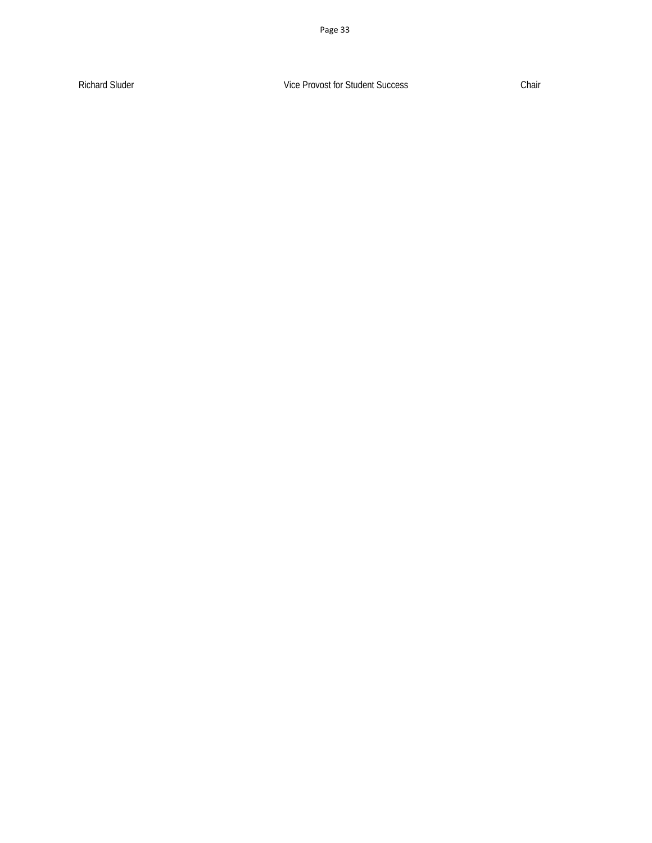Richard Sluder Chair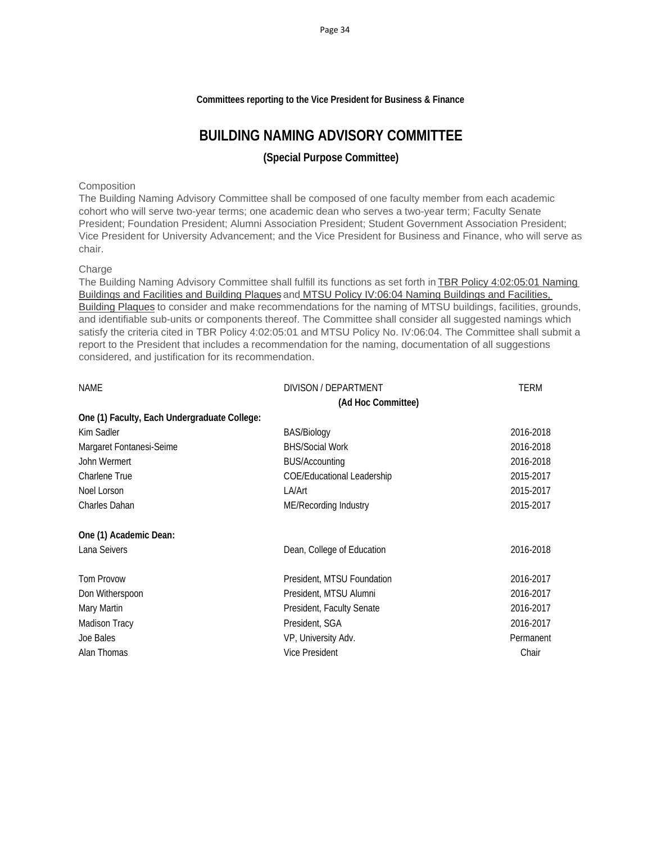### **Committees reporting to the Vice President for Business & Finance**

### **BUILDING NAMING ADVISORY COMMITTEE**

### **(Special Purpose Committee)**

### **Composition**

The Building Naming Advisory Committee shall be composed of one faculty member from each academic cohort who will serve two-year terms; one academic dean who serves a two-year term; Faculty Senate President; Foundation President; Alumni Association President; Student Government Association President; Vice President for University Advancement; and the Vice President for Business and Finance, who will serve as chair.

### Charge

The Building Naming Advisory Committee shall fulfill its functions as set forth in TBR Policy 4:02:05:01 Naming Buildings and Facilities and Building Plaques and MTSU Policy IV:06:04 Naming Buildings and Facilities, Building Plaques to consider and make recommendations for the naming of MTSU buildings, facilities, grounds, and identifiable sub-units or components thereof. The Committee shall consider all suggested namings which satisfy the criteria cited in TBR Policy 4:02:05:01 and MTSU Policy No. IV:06:04. The Committee shall submit a report to the President that includes a recommendation for the naming, documentation of all suggestions considered, and justification for its recommendation.

| <b>NAME</b>                                  | DIVISON / DEPARTMENT              | TERM      |
|----------------------------------------------|-----------------------------------|-----------|
|                                              | (Ad Hoc Committee)                |           |
| One (1) Faculty, Each Undergraduate College: |                                   |           |
| Kim Sadler                                   | BAS/Biology                       | 2016-2018 |
| Margaret Fontanesi-Seime                     | <b>BHS/Social Work</b>            | 2016-2018 |
| John Wermert                                 | <b>BUS/Accounting</b>             | 2016-2018 |
| <b>Charlene True</b>                         | <b>COE/Educational Leadership</b> | 2015-2017 |
| Noel Lorson                                  | LA/Art                            | 2015-2017 |
| Charles Dahan                                | ME/Recording Industry             | 2015-2017 |
| One (1) Academic Dean:                       |                                   |           |
| Lana Seivers                                 | Dean, College of Education        | 2016-2018 |
| Tom Provow                                   | President, MTSU Foundation        | 2016-2017 |
| Don Witherspoon                              | President, MTSU Alumni            | 2016-2017 |
| Mary Martin                                  | President, Faculty Senate         | 2016-2017 |
| <b>Madison Tracy</b>                         | President, SGA                    | 2016-2017 |
| Joe Bales                                    | VP, University Adv.               | Permanent |
| Alan Thomas                                  | <b>Vice President</b>             | Chair     |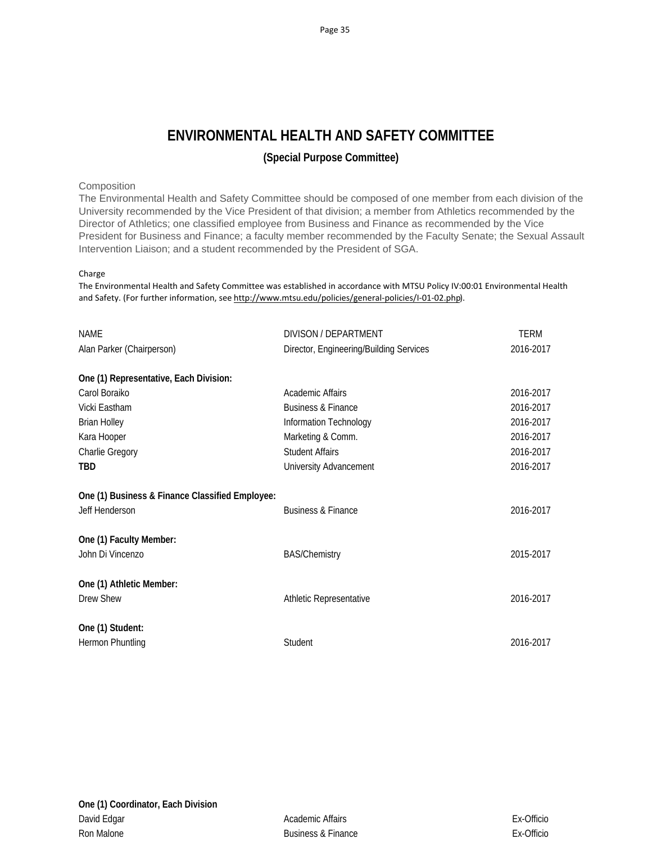# **ENVIRONMENTAL HEALTH AND SAFETY COMMITTEE**

### **(Special Purpose Committee)**

### Composition

The Environmental Health and Safety Committee should be composed of one member from each division of the University recommended by the Vice President of that division; a member from Athletics recommended by the Director of Athletics; one classified employee from Business and Finance as recommended by the Vice President for Business and Finance; a faculty member recommended by the Faculty Senate; the Sexual Assault Intervention Liaison; and a student recommended by the President of SGA.

### Charge

The Environmental Health and Safety Committee was established in accordance with MTSU Policy IV:00:01 Environmental Health and Safety. (For further information, see http://www.mtsu.edu/policies/general-policies/I-01-02.php).

| <b>NAME</b>                                     | DIVISON / DEPARTMENT                    | <b>TERM</b> |
|-------------------------------------------------|-----------------------------------------|-------------|
| Alan Parker (Chairperson)                       | Director, Engineering/Building Services | 2016-2017   |
| One (1) Representative, Each Division:          |                                         |             |
| Carol Boraiko                                   | Academic Affairs                        | 2016-2017   |
| Vicki Eastham                                   | <b>Business &amp; Finance</b>           | 2016-2017   |
| <b>Brian Holley</b>                             | Information Technology                  | 2016-2017   |
| Kara Hooper                                     | Marketing & Comm.                       | 2016-2017   |
| Charlie Gregory                                 | <b>Student Affairs</b>                  | 2016-2017   |
| <b>TBD</b>                                      | University Advancement                  | 2016-2017   |
| One (1) Business & Finance Classified Employee: |                                         |             |
| Jeff Henderson                                  | <b>Business &amp; Finance</b>           | 2016-2017   |
| One (1) Faculty Member:                         |                                         |             |
| John Di Vincenzo                                | <b>BAS/Chemistry</b>                    | 2015-2017   |
| One (1) Athletic Member:                        |                                         |             |
| Drew Shew                                       | Athletic Representative                 | 2016-2017   |
| One (1) Student:                                |                                         |             |
| Hermon Phuntling                                | Student                                 | 2016-2017   |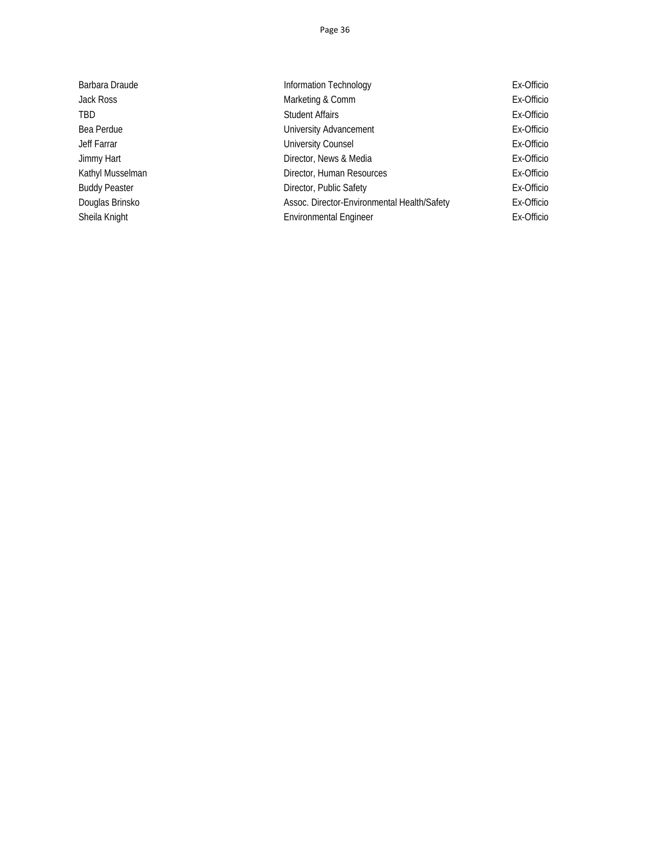| Barbara Draude       | Information Technology                      | Ex-Officio |
|----------------------|---------------------------------------------|------------|
| Jack Ross            | Marketing & Comm                            | Ex-Officio |
| TBD                  | <b>Student Affairs</b>                      | Ex-Officio |
| Bea Perdue           | University Advancement                      | Ex-Officio |
| Jeff Farrar          | <b>University Counsel</b>                   | Ex-Officio |
| Jimmy Hart           | Director, News & Media                      | Ex-Officio |
| Kathyl Musselman     | Director, Human Resources                   | Ex-Officio |
| <b>Buddy Peaster</b> | Director, Public Safety                     | Ex-Officio |
| Douglas Brinsko      | Assoc. Director-Environmental Health/Safety | Ex-Officio |
| Sheila Knight        | <b>Environmental Engineer</b>               | Ex-Officio |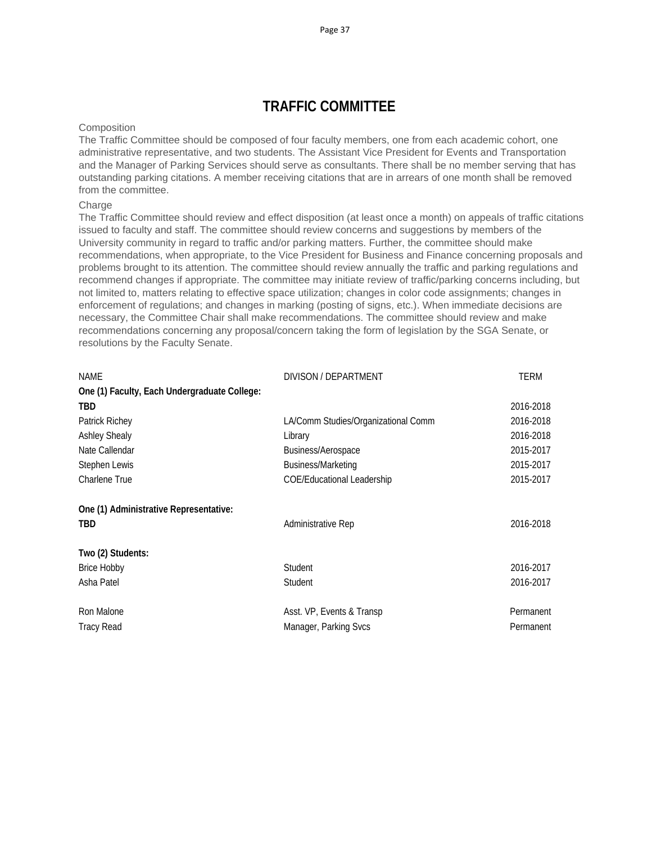# **TRAFFIC COMMITTEE**

### **Composition**

The Traffic Committee should be composed of four faculty members, one from each academic cohort, one administrative representative, and two students. The Assistant Vice President for Events and Transportation and the Manager of Parking Services should serve as consultants. There shall be no member serving that has outstanding parking citations. A member receiving citations that are in arrears of one month shall be removed from the committee.

### **Charge**

The Traffic Committee should review and effect disposition (at least once a month) on appeals of traffic citations issued to faculty and staff. The committee should review concerns and suggestions by members of the University community in regard to traffic and/or parking matters. Further, the committee should make recommendations, when appropriate, to the Vice President for Business and Finance concerning proposals and problems brought to its attention. The committee should review annually the traffic and parking regulations and recommend changes if appropriate. The committee may initiate review of traffic/parking concerns including, but not limited to, matters relating to effective space utilization; changes in color code assignments; changes in enforcement of regulations; and changes in marking (posting of signs, etc.). When immediate decisions are necessary, the Committee Chair shall make recommendations. The committee should review and make recommendations concerning any proposal/concern taking the form of legislation by the SGA Senate, or resolutions by the Faculty Senate.

| NAME                                         | DIVISON / DEPARTMENT                | TERM      |
|----------------------------------------------|-------------------------------------|-----------|
| One (1) Faculty, Each Undergraduate College: |                                     |           |
| <b>TBD</b>                                   |                                     | 2016-2018 |
| Patrick Richey                               | LA/Comm Studies/Organizational Comm | 2016-2018 |
| <b>Ashley Shealy</b>                         | Library                             | 2016-2018 |
| Nate Callendar                               | Business/Aerospace                  | 2015-2017 |
| Stephen Lewis                                | Business/Marketing                  | 2015-2017 |
| <b>Charlene True</b>                         | COE/Educational Leadership          | 2015-2017 |
| One (1) Administrative Representative:       |                                     |           |
| <b>TBD</b>                                   | Administrative Rep                  | 2016-2018 |
| Two (2) Students:                            |                                     |           |
| <b>Brice Hobby</b>                           | Student                             | 2016-2017 |
| Asha Patel                                   | Student                             | 2016-2017 |
| Ron Malone                                   | Asst. VP, Events & Transp           | Permanent |
| <b>Tracy Read</b>                            | Manager, Parking Svcs               | Permanent |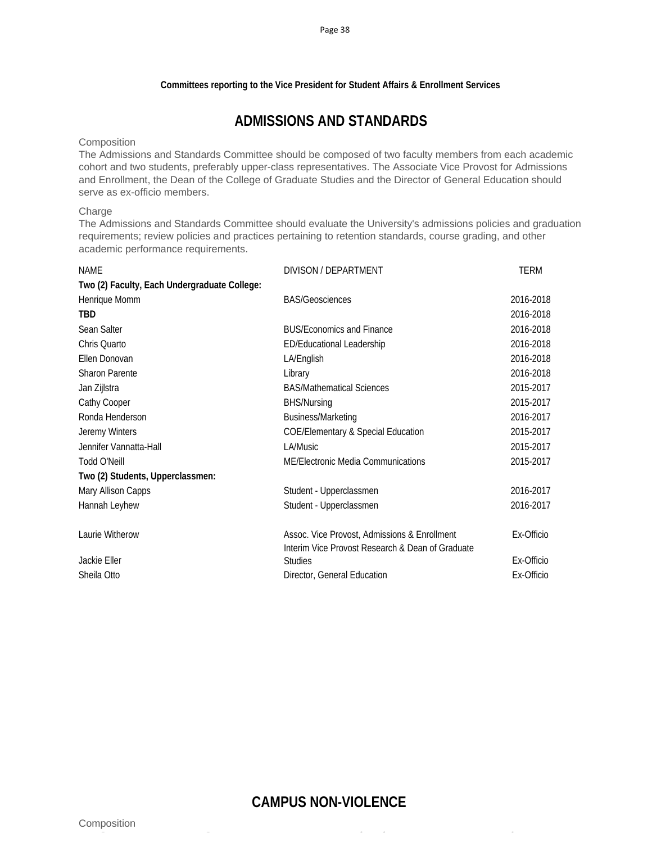### **Committees reporting to the Vice President for Student Affairs & Enrollment Services**

# **ADMISSIONS AND STANDARDS**

#### **Composition**

The Admissions and Standards Committee should be composed of two faculty members from each academic cohort and two students, preferably upper-class representatives. The Associate Vice Provost for Admissions and Enrollment, the Dean of the College of Graduate Studies and the Director of General Education should serve as ex-officio members.

#### Charge

The Admissions and Standards Committee should evaluate the University's admissions policies and graduation requirements; review policies and practices pertaining to retention standards, course grading, and other academic performance requirements.

| <b>NAME</b>                                  | DIVISON / DEPARTMENT                                                                             | <b>TERM</b> |
|----------------------------------------------|--------------------------------------------------------------------------------------------------|-------------|
| Two (2) Faculty, Each Undergraduate College: |                                                                                                  |             |
| Henrique Momm                                | <b>BAS/Geosciences</b>                                                                           | 2016-2018   |
| <b>TBD</b>                                   |                                                                                                  | 2016-2018   |
| Sean Salter                                  | <b>BUS/Economics and Finance</b>                                                                 | 2016-2018   |
| Chris Quarto                                 | ED/Educational Leadership                                                                        | 2016-2018   |
| Ellen Donovan                                | LA/English                                                                                       | 2016-2018   |
| <b>Sharon Parente</b>                        | Library                                                                                          | 2016-2018   |
| Jan Zijlstra                                 | <b>BAS/Mathematical Sciences</b>                                                                 | 2015-2017   |
| Cathy Cooper                                 | <b>BHS/Nursing</b>                                                                               | 2015-2017   |
| Ronda Henderson                              | Business/Marketing                                                                               | 2016-2017   |
| Jeremy Winters                               | <b>COE/Elementary &amp; Special Education</b>                                                    | 2015-2017   |
| Jennifer Vannatta-Hall                       | LA/Music                                                                                         | 2015-2017   |
| Todd O'Neill                                 | ME/Electronic Media Communications                                                               | 2015-2017   |
| Two (2) Students, Upperclassmen:             |                                                                                                  |             |
| Mary Allison Capps                           | Student - Upperclassmen                                                                          | 2016-2017   |
| Hannah Leyhew                                | Student - Upperclassmen                                                                          | 2016-2017   |
| Laurie Witherow                              | Assoc. Vice Provost, Admissions & Enrollment<br>Interim Vice Provost Research & Dean of Graduate | Ex-Officio  |
| Jackie Eller                                 | <b>Studies</b>                                                                                   | Ex-Officio  |
| Sheila Otto                                  | Director, General Education                                                                      | Ex-Officio  |
|                                              |                                                                                                  |             |

### **CAMPUS NON-VIOLENCE**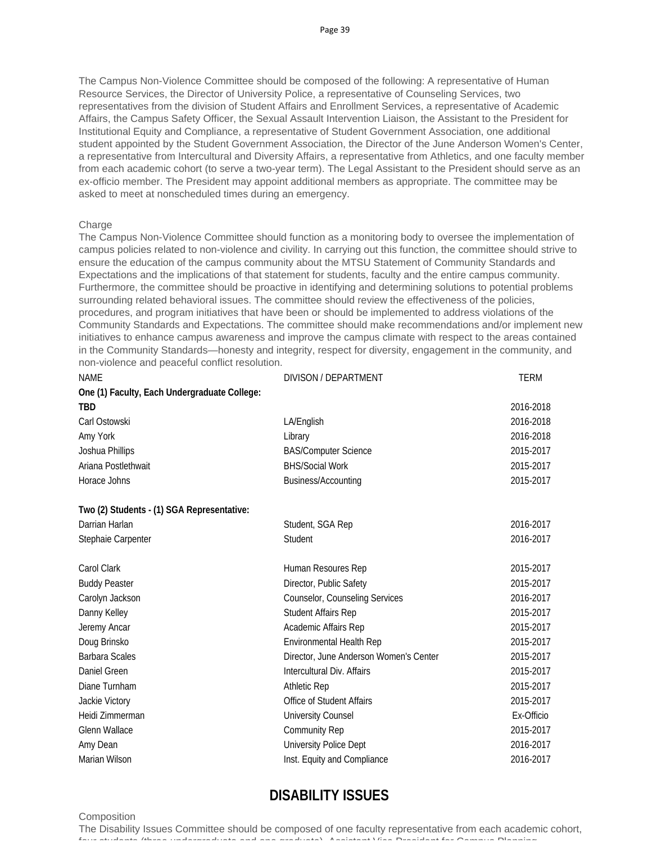The Campus Non-Violence Committee should be composed of the following: A representative of Human Resource Services, the Director of University Police, a representative of Counseling Services, two representatives from the division of Student Affairs and Enrollment Services, a representative of Academic Affairs, the Campus Safety Officer, the Sexual Assault Intervention Liaison, the Assistant to the President for Institutional Equity and Compliance, a representative of Student Government Association, one additional student appointed by the Student Government Association, the Director of the June Anderson Women's Center, a representative from Intercultural and Diversity Affairs, a representative from Athletics, and one faculty member from each academic cohort (to serve a two-year term). The Legal Assistant to the President should serve as an ex-officio member. The President may appoint additional members as appropriate. The committee may be asked to meet at nonscheduled times during an emergency.

### Charge

The Campus Non-Violence Committee should function as a monitoring body to oversee the implementation of campus policies related to non-violence and civility. In carrying out this function, the committee should strive to ensure the education of the campus community about the MTSU Statement of Community Standards and Expectations and the implications of that statement for students, faculty and the entire campus community. Furthermore, the committee should be proactive in identifying and determining solutions to potential problems surrounding related behavioral issues. The committee should review the effectiveness of the policies, procedures, and program initiatives that have been or should be implemented to address violations of the Community Standards and Expectations. The committee should make recommendations and/or implement new initiatives to enhance campus awareness and improve the campus climate with respect to the areas contained in the Community Standards—honesty and integrity, respect for diversity, engagement in the community, and non-violence and peaceful conflict resolution.

| <b>NAME</b>                                  | DIVISON / DEPARTMENT                   | <b>TERM</b> |
|----------------------------------------------|----------------------------------------|-------------|
| One (1) Faculty, Each Undergraduate College: |                                        |             |
| TBD                                          |                                        | 2016-2018   |
| Carl Ostowski                                | LA/English                             | 2016-2018   |
| Amy York                                     | Library                                | 2016-2018   |
| Joshua Phillips                              | <b>BAS/Computer Science</b>            | 2015-2017   |
| Ariana Postlethwait                          | <b>BHS/Social Work</b>                 | 2015-2017   |
| Horace Johns                                 | Business/Accounting                    | 2015-2017   |
| Two (2) Students - (1) SGA Representative:   |                                        |             |
| Darrian Harlan                               | Student, SGA Rep                       | 2016-2017   |
| Stephaie Carpenter                           | Student                                | 2016-2017   |
| Carol Clark                                  | Human Resoures Rep                     | 2015-2017   |
| <b>Buddy Peaster</b>                         | Director, Public Safety                | 2015-2017   |
| Carolyn Jackson                              | Counselor, Counseling Services         | 2016-2017   |
| Danny Kelley                                 | Student Affairs Rep                    | 2015-2017   |
| Jeremy Ancar                                 | Academic Affairs Rep                   | 2015-2017   |
| Doug Brinsko                                 | Environmental Health Rep               | 2015-2017   |
| <b>Barbara Scales</b>                        | Director, June Anderson Women's Center | 2015-2017   |
| Daniel Green                                 | Intercultural Div. Affairs             | 2015-2017   |
| Diane Turnham                                | <b>Athletic Rep</b>                    | 2015-2017   |
| Jackie Victory                               | Office of Student Affairs              | 2015-2017   |
| Heidi Zimmerman                              | <b>University Counsel</b>              | Ex-Officio  |
| <b>Glenn Wallace</b>                         | <b>Community Rep</b>                   | 2015-2017   |
| Amy Dean                                     | University Police Dept                 | 2016-2017   |
| Marian Wilson                                | Inst. Equity and Compliance            | 2016-2017   |

# **DISABILITY ISSUES**

#### **Composition**

The Disability Issues Committee should be composed of one faculty representative from each academic cohort, four students (three undergraduate and one graduate) Assistant Vice President for Campus Planning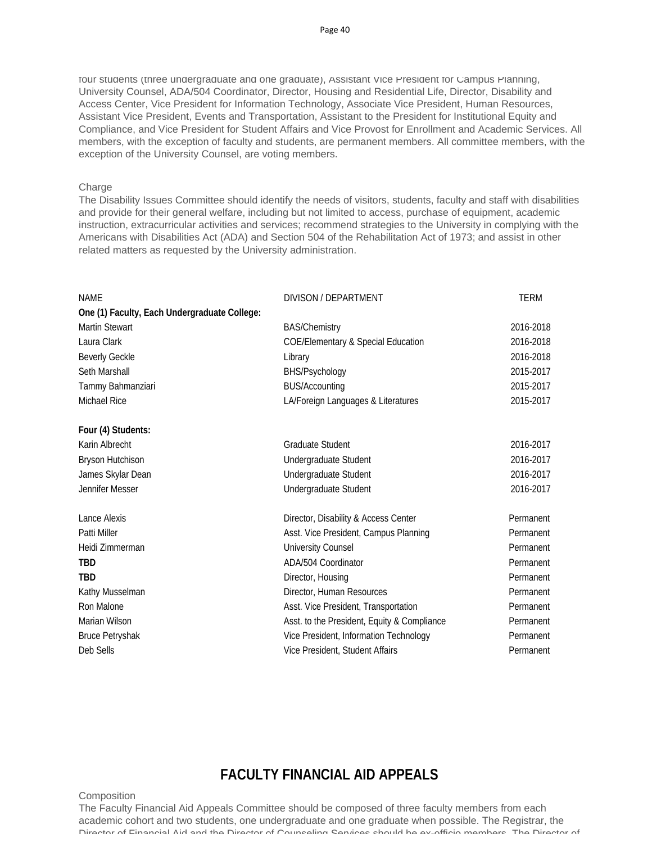four students (three undergraduate and one graduate), Assistant Vice President for Campus Planning, University Counsel, ADA/504 Coordinator, Director, Housing and Residential Life, Director, Disability and Access Center, Vice President for Information Technology, Associate Vice President, Human Resources, Assistant Vice President, Events and Transportation, Assistant to the President for Institutional Equity and Compliance, and Vice President for Student Affairs and Vice Provost for Enrollment and Academic Services. All members, with the exception of faculty and students, are permanent members. All committee members, with the exception of the University Counsel, are voting members.

### Charge

The Disability Issues Committee should identify the needs of visitors, students, faculty and staff with disabilities and provide for their general welfare, including but not limited to access, purchase of equipment, academic instruction, extracurricular activities and services; recommend strategies to the University in complying with the Americans with Disabilities Act (ADA) and Section 504 of the Rehabilitation Act of 1973; and assist in other related matters as requested by the University administration.

| <b>NAME</b>                                  | DIVISON / DEPARTMENT                          | <b>TERM</b> |
|----------------------------------------------|-----------------------------------------------|-------------|
| One (1) Faculty, Each Undergraduate College: |                                               |             |
| <b>Martin Stewart</b>                        | <b>BAS/Chemistry</b>                          | 2016-2018   |
| Laura Clark                                  | <b>COE/Elementary &amp; Special Education</b> | 2016-2018   |
| <b>Beverly Geckle</b>                        | Library                                       | 2016-2018   |
| Seth Marshall                                | BHS/Psychology                                | 2015-2017   |
| Tammy Bahmanziari                            | <b>BUS/Accounting</b>                         | 2015-2017   |
| Michael Rice                                 | LA/Foreign Languages & Literatures            | 2015-2017   |
| Four (4) Students:                           |                                               |             |
| Karin Albrecht                               | <b>Graduate Student</b>                       | 2016-2017   |
| Bryson Hutchison                             | Undergraduate Student                         | 2016-2017   |
| James Skylar Dean                            | Undergraduate Student                         | 2016-2017   |
| Jennifer Messer                              | Undergraduate Student                         | 2016-2017   |
| Lance Alexis                                 | Director, Disability & Access Center          | Permanent   |
| Patti Miller                                 | Asst. Vice President, Campus Planning         | Permanent   |
| Heidi Zimmerman                              | University Counsel                            | Permanent   |
| <b>TBD</b>                                   | ADA/504 Coordinator                           | Permanent   |
| <b>TBD</b>                                   | Director, Housing                             | Permanent   |
| Kathy Musselman                              | Director, Human Resources                     | Permanent   |
| Ron Malone                                   | Asst. Vice President, Transportation          | Permanent   |
| Marian Wilson                                | Asst. to the President, Equity & Compliance   | Permanent   |
| <b>Bruce Petryshak</b>                       | Vice President, Information Technology        | Permanent   |
| Deb Sells                                    | Vice President, Student Affairs               | Permanent   |

### **FACULTY FINANCIAL AID APPEALS**

**Composition** 

The Faculty Financial Aid Appeals Committee should be composed of three faculty members from each academic cohort and two students, one undergraduate and one graduate when possible. The Registrar, the Director of Financial Aid and the Director of Counseling Services should be ex-officio members The Director of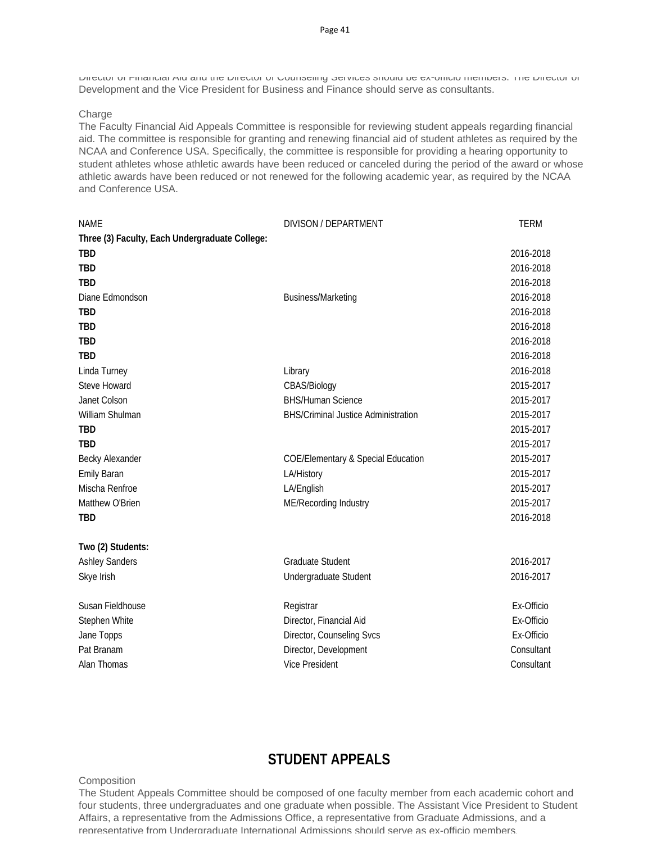Director of Financial Aid and the Director of Counseling Services should be ex-officio members. The Director of Development and the Vice President for Business and Finance should serve as consultants.

### Charge

The Faculty Financial Aid Appeals Committee is responsible for reviewing student appeals regarding financial aid. The committee is responsible for granting and renewing financial aid of student athletes as required by the NCAA and Conference USA. Specifically, the committee is responsible for providing a hearing opportunity to student athletes whose athletic awards have been reduced or canceled during the period of the award or whose athletic awards have been reduced or not renewed for the following academic year, as required by the NCAA and Conference USA.

| <b>NAME</b>                                    | DIVISON / DEPARTMENT                          | <b>TERM</b> |
|------------------------------------------------|-----------------------------------------------|-------------|
| Three (3) Faculty, Each Undergraduate College: |                                               |             |
| <b>TBD</b>                                     |                                               | 2016-2018   |
| <b>TBD</b>                                     |                                               | 2016-2018   |
| <b>TBD</b>                                     |                                               | 2016-2018   |
| Diane Edmondson                                | <b>Business/Marketing</b>                     | 2016-2018   |
| <b>TBD</b>                                     |                                               | 2016-2018   |
| <b>TBD</b>                                     |                                               | 2016-2018   |
| <b>TBD</b>                                     |                                               | 2016-2018   |
| <b>TBD</b>                                     |                                               | 2016-2018   |
| Linda Turney                                   | Library                                       | 2016-2018   |
| Steve Howard                                   | CBAS/Biology                                  | 2015-2017   |
| Janet Colson                                   | <b>BHS/Human Science</b>                      | 2015-2017   |
| William Shulman                                | <b>BHS/Criminal Justice Administration</b>    | 2015-2017   |
| <b>TBD</b>                                     |                                               | 2015-2017   |
| <b>TBD</b>                                     |                                               | 2015-2017   |
| Becky Alexander                                | <b>COE/Elementary &amp; Special Education</b> | 2015-2017   |
| <b>Emily Baran</b>                             | LA/History                                    | 2015-2017   |
| Mischa Renfroe                                 | LA/English                                    | 2015-2017   |
| Matthew O'Brien                                | ME/Recording Industry                         | 2015-2017   |
| <b>TBD</b>                                     |                                               | 2016-2018   |
| Two (2) Students:                              |                                               |             |
| <b>Ashley Sanders</b>                          | <b>Graduate Student</b>                       | 2016-2017   |
| Skye Irish                                     | Undergraduate Student                         | 2016-2017   |
| Susan Fieldhouse                               | Registrar                                     | Ex-Officio  |
| Stephen White                                  | Director, Financial Aid                       | Ex-Officio  |
| Jane Topps                                     | Director, Counseling Svcs                     | Ex-Officio  |
| Pat Branam                                     | Director, Development                         | Consultant  |
| Alan Thomas                                    | <b>Vice President</b>                         | Consultant  |

## **STUDENT APPEALS**

#### **Composition**

The Student Appeals Committee should be composed of one faculty member from each academic cohort and four students, three undergraduates and one graduate when possible. The Assistant Vice President to Student Affairs, a representative from the Admissions Office, a representative from Graduate Admissions, and a representative from Undergraduate International Admissions should serve as ex-officio members.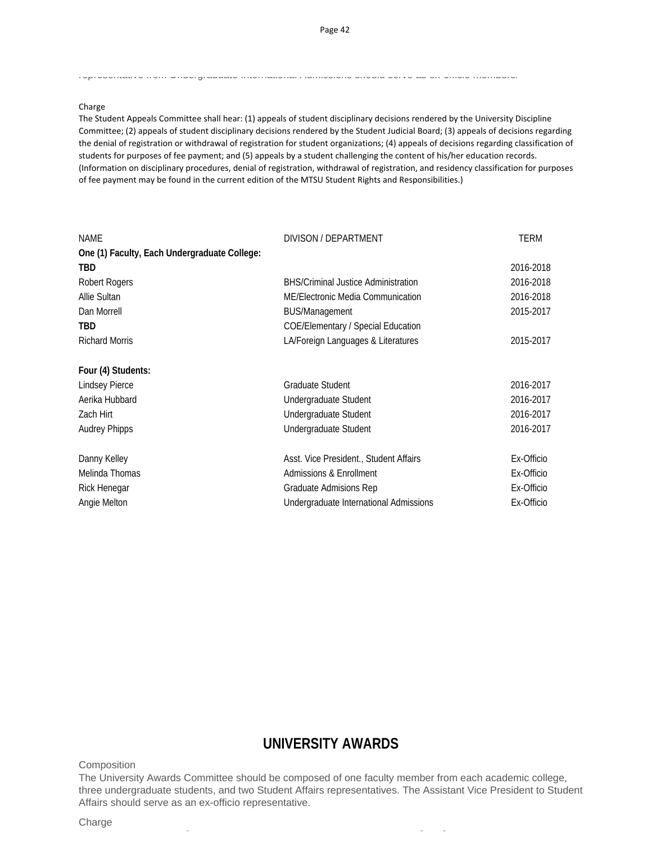#### representative from Undergraduate International Admissions should serve as ex officio members.

#### Charge

The Student Appeals Committee shall hear: (1) appeals of student disciplinary decisions rendered by the University Discipline Committee; (2) appeals of student disciplinary decisions rendered by the Student Judicial Board; (3) appeals of decisions regarding the denial of registration or withdrawal of registration for student organizations; (4) appeals of decisions regarding classification of students for purposes of fee payment; and (5) appeals by a student challenging the content of his/her education records. (Information on disciplinary procedures, denial of registration, withdrawal of registration, and residency classification for purposes of fee payment may be found in the current edition of the MTSU Student Rights and Responsibilities.)

| <b>NAME</b>                                  | DIVISON / DEPARTMENT                       | <b>TERM</b> |
|----------------------------------------------|--------------------------------------------|-------------|
| One (1) Faculty, Each Undergraduate College: |                                            |             |
| <b>TBD</b>                                   |                                            | 2016-2018   |
| <b>Robert Rogers</b>                         | <b>BHS/Criminal Justice Administration</b> | 2016-2018   |
| Allie Sultan                                 | ME/Electronic Media Communication          | 2016-2018   |
| Dan Morrell                                  | <b>BUS/Management</b>                      | 2015-2017   |
| TBD                                          | <b>COE/Elementary / Special Education</b>  |             |
| <b>Richard Morris</b>                        | LA/Foreign Languages & Literatures         | 2015-2017   |
| Four (4) Students:                           |                                            |             |
| <b>Lindsey Pierce</b>                        | <b>Graduate Student</b>                    | 2016-2017   |
| Aerika Hubbard                               | Undergraduate Student                      | 2016-2017   |
| Zach Hirt                                    | Undergraduate Student                      | 2016-2017   |
| <b>Audrey Phipps</b>                         | Undergraduate Student                      | 2016-2017   |
| Danny Kelley                                 | Asst. Vice President., Student Affairs     | Ex-Officio  |
| Melinda Thomas                               | <b>Admissions &amp; Enrollment</b>         | Ex-Officio  |
| Rick Henegar                                 | Graduate Admisions Rep                     | Ex-Officio  |
| Angie Melton                                 | Undergraduate International Admissions     | Ex-Officio  |

### **UNIVERSITY AWARDS**

Composition

The University Awards Committee should be composed of one faculty member from each academic college, three undergraduate students, and two Student Affairs representatives. The Assistant Vice President to Student Affairs should serve as an ex-officio representative.

C for the control of the control of the control of the control of the control of the control of the control of<br>Control of the control of the control of the control of the control of the control of the control of the contro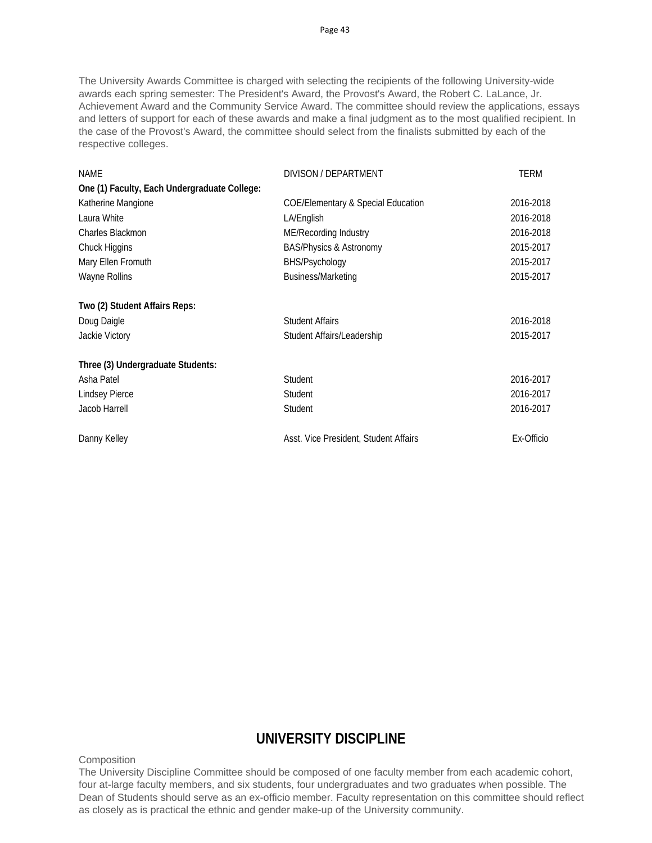The University Awards Committee is charged with selecting the recipients of the following University-wide awards each spring semester: The President's Award, the Provost's Award, the Robert C. LaLance, Jr. Achievement Award and the Community Service Award. The committee should review the applications, essays and letters of support for each of these awards and make a final judgment as to the most qualified recipient. In the case of the Provost's Award, the committee should select from the finalists submitted by each of the respective colleges.

| NAME                                         | DIVISON / DEPARTMENT                          | <b>TERM</b> |
|----------------------------------------------|-----------------------------------------------|-------------|
| One (1) Faculty, Each Undergraduate College: |                                               |             |
| Katherine Mangione                           | <b>COE/Elementary &amp; Special Education</b> | 2016-2018   |
| Laura White                                  | LA/English                                    | 2016-2018   |
| Charles Blackmon                             | ME/Recording Industry                         | 2016-2018   |
| Chuck Higgins                                | <b>BAS/Physics &amp; Astronomy</b>            | 2015-2017   |
| Mary Ellen Fromuth                           | BHS/Psychology                                | 2015-2017   |
| Wayne Rollins                                | Business/Marketing                            | 2015-2017   |
| Two (2) Student Affairs Reps:                |                                               |             |
| Doug Daigle                                  | <b>Student Affairs</b>                        | 2016-2018   |
| Jackie Victory                               | Student Affairs/Leadership                    | 2015-2017   |
| Three (3) Undergraduate Students:            |                                               |             |
| Asha Patel                                   | Student                                       | 2016-2017   |
| Lindsey Pierce                               | Student                                       | 2016-2017   |
| Jacob Harrell                                | Student                                       | 2016-2017   |
| Danny Kelley                                 | Asst. Vice President, Student Affairs         | Ex-Officio  |

# **UNIVERSITY DISCIPLINE**

**Composition** 

The University Discipline Committee should be composed of one faculty member from each academic cohort, four at-large faculty members, and six students, four undergraduates and two graduates when possible. The Dean of Students should serve as an ex-officio member. Faculty representation on this committee should reflect as closely as is practical the ethnic and gender make-up of the University community.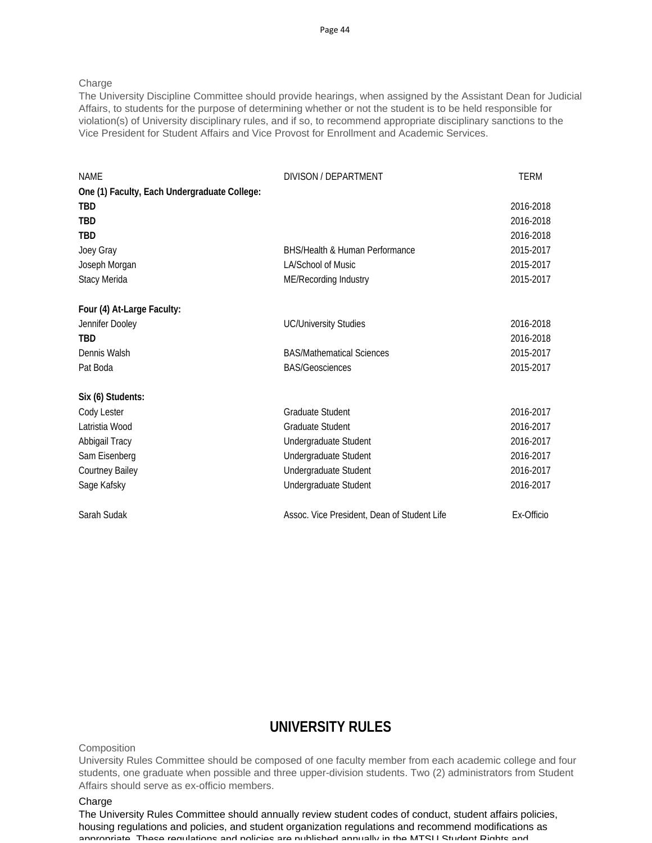**Charge** 

The University Discipline Committee should provide hearings, when assigned by the Assistant Dean for Judicial Affairs, to students for the purpose of determining whether or not the student is to be held responsible for violation(s) of University disciplinary rules, and if so, to recommend appropriate disciplinary sanctions to the Vice President for Student Affairs and Vice Provost for Enrollment and Academic Services.

| <b>NAME</b>                                  | DIVISON / DEPARTMENT                        | <b>TERM</b> |
|----------------------------------------------|---------------------------------------------|-------------|
| One (1) Faculty, Each Undergraduate College: |                                             |             |
| <b>TBD</b>                                   |                                             | 2016-2018   |
| <b>TBD</b>                                   |                                             | 2016-2018   |
| <b>TBD</b>                                   |                                             | 2016-2018   |
| Joey Gray                                    | <b>BHS/Health &amp; Human Performance</b>   | 2015-2017   |
| Joseph Morgan                                | LA/School of Music                          | 2015-2017   |
| Stacy Merida                                 | ME/Recording Industry                       | 2015-2017   |
| Four (4) At-Large Faculty:                   |                                             |             |
| Jennifer Dooley                              | <b>UC/University Studies</b>                | 2016-2018   |
| <b>TBD</b>                                   |                                             | 2016-2018   |
| Dennis Walsh                                 | <b>BAS/Mathematical Sciences</b>            | 2015-2017   |
| Pat Boda                                     | <b>BAS/Geosciences</b>                      | 2015-2017   |
| Six (6) Students:                            |                                             |             |
| Cody Lester                                  | <b>Graduate Student</b>                     | 2016-2017   |
| Latristia Wood                               | <b>Graduate Student</b>                     | 2016-2017   |
| Abbigail Tracy                               | Undergraduate Student                       | 2016-2017   |
| Sam Eisenberg                                | Undergraduate Student                       | 2016-2017   |
| <b>Courtney Bailey</b>                       | Undergraduate Student                       | 2016-2017   |
| Sage Kafsky                                  | Undergraduate Student                       | 2016-2017   |
| Sarah Sudak                                  | Assoc. Vice President, Dean of Student Life | Ex-Officio  |

### **UNIVERSITY RULES**

**Composition** 

University Rules Committee should be composed of one faculty member from each academic college and four students, one graduate when possible and three upper-division students. Two (2) administrators from Student Affairs should serve as ex-officio members.

### Charge

The University Rules Committee should annually review student codes of conduct, student affairs policies, housing regulations and policies, and student organization regulations and recommend modifications as appropriate. These requistions and policies are published annually in the MTSU Student Dights and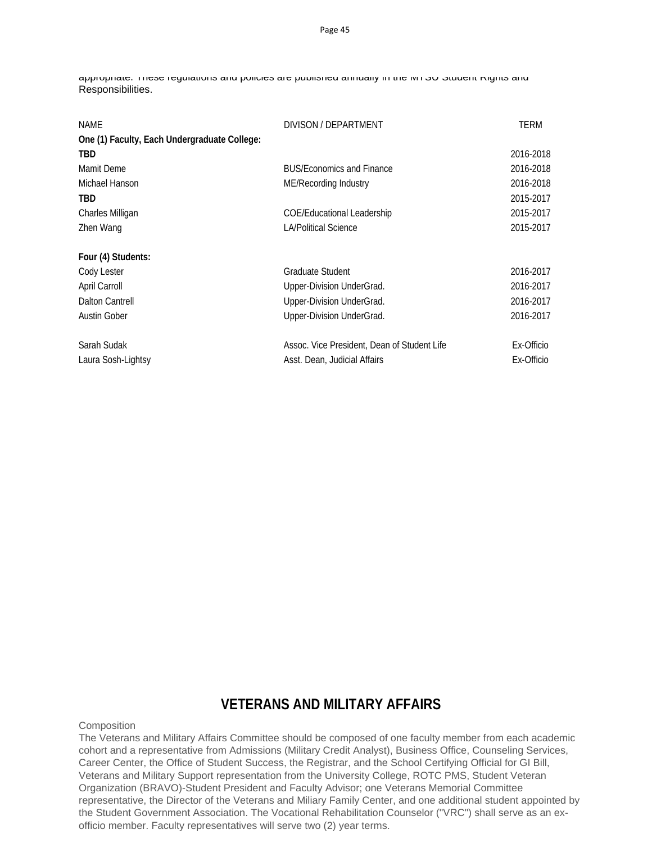appropriate. These regulations and policies are published annually in the MTSU Student Rights and Responsibilities.

| NAME                                         | DIVISON / DEPARTMENT                        | TERM       |
|----------------------------------------------|---------------------------------------------|------------|
| One (1) Faculty, Each Undergraduate College: |                                             |            |
| TBD                                          |                                             | 2016-2018  |
| Mamit Deme                                   | <b>BUS/Economics and Finance</b>            | 2016-2018  |
| Michael Hanson                               | ME/Recording Industry                       | 2016-2018  |
| TBD                                          |                                             | 2015-2017  |
| Charles Milligan                             | <b>COE/Educational Leadership</b>           | 2015-2017  |
| Zhen Wang                                    | <b>LA/Political Science</b>                 | 2015-2017  |
| Four (4) Students:                           |                                             |            |
| Cody Lester                                  | Graduate Student                            | 2016-2017  |
| April Carroll                                | Upper-Division UnderGrad.                   | 2016-2017  |
| Dalton Cantrell                              | Upper-Division UnderGrad.                   | 2016-2017  |
| <b>Austin Gober</b>                          | Upper-Division UnderGrad.                   | 2016-2017  |
| Sarah Sudak                                  | Assoc. Vice President, Dean of Student Life | Ex-Officio |
| Laura Sosh-Lightsy                           | Asst. Dean, Judicial Affairs                | Ex-Officio |

# **VETERANS AND MILITARY AFFAIRS**

**Composition** 

The Veterans and Military Affairs Committee should be composed of one faculty member from each academic cohort and a representative from Admissions (Military Credit Analyst), Business Office, Counseling Services, Career Center, the Office of Student Success, the Registrar, and the School Certifying Official for GI Bill, Veterans and Military Support representation from the University College, ROTC PMS, Student Veteran Organization (BRAVO)-Student President and Faculty Advisor; one Veterans Memorial Committee representative, the Director of the Veterans and Miliary Family Center, and one additional student appointed by the Student Government Association. The Vocational Rehabilitation Counselor ("VRC") shall serve as an exofficio member. Faculty representatives will serve two (2) year terms.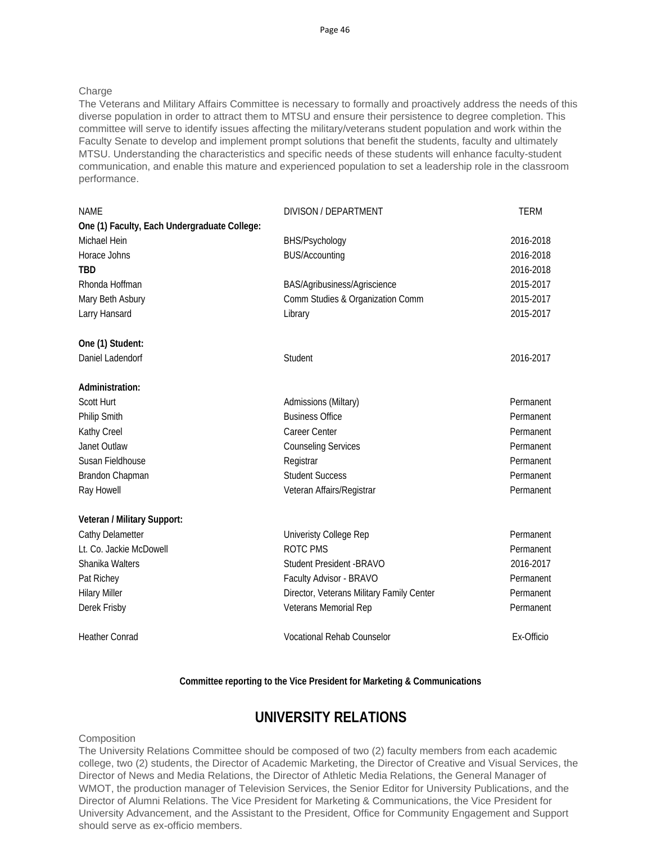### **Charge**

The Veterans and Military Affairs Committee is necessary to formally and proactively address the needs of this diverse population in order to attract them to MTSU and ensure their persistence to degree completion. This committee will serve to identify issues affecting the military/veterans student population and work within the Faculty Senate to develop and implement prompt solutions that benefit the students, faculty and ultimately MTSU. Understanding the characteristics and specific needs of these students will enhance faculty-student communication, and enable this mature and experienced population to set a leadership role in the classroom performance.

| <b>NAME</b>                                  | DIVISON / DEPARTMENT                      | <b>TERM</b> |
|----------------------------------------------|-------------------------------------------|-------------|
| One (1) Faculty, Each Undergraduate College: |                                           |             |
| Michael Hein                                 | BHS/Psychology                            | 2016-2018   |
| Horace Johns                                 | <b>BUS/Accounting</b>                     | 2016-2018   |
| <b>TBD</b>                                   |                                           | 2016-2018   |
| Rhonda Hoffman                               | BAS/Agribusiness/Agriscience              | 2015-2017   |
| Mary Beth Asbury                             | Comm Studies & Organization Comm          | 2015-2017   |
| Larry Hansard                                | Library                                   | 2015-2017   |
| One (1) Student:                             |                                           |             |
| Daniel Ladendorf                             | Student                                   | 2016-2017   |
| Administration:                              |                                           |             |
| Scott Hurt                                   | Admissions (Miltary)                      | Permanent   |
| <b>Philip Smith</b>                          | <b>Business Office</b>                    | Permanent   |
| Kathy Creel                                  | Career Center                             | Permanent   |
| Janet Outlaw                                 | <b>Counseling Services</b>                | Permanent   |
| Susan Fieldhouse                             | Registrar                                 | Permanent   |
| Brandon Chapman                              | <b>Student Success</b>                    | Permanent   |
| Ray Howell                                   | Veteran Affairs/Registrar                 | Permanent   |
| Veteran / Military Support:                  |                                           |             |
| Cathy Delametter                             | Univeristy College Rep                    | Permanent   |
| Lt. Co. Jackie McDowell                      | ROTC PMS                                  | Permanent   |
| Shanika Walters                              | Student President - BRAVO                 | 2016-2017   |
| Pat Richey                                   | Faculty Advisor - BRAVO                   | Permanent   |
| <b>Hilary Miller</b>                         | Director, Veterans Military Family Center | Permanent   |
| Derek Frisby                                 | Veterans Memorial Rep                     | Permanent   |
| <b>Heather Conrad</b>                        | <b>Vocational Rehab Counselor</b>         | Ex-Officio  |

#### **Committee reporting to the Vice President for Marketing & Communications**

### **UNIVERSITY RELATIONS**

#### **Composition**

The University Relations Committee should be composed of two (2) faculty members from each academic college, two (2) students, the Director of Academic Marketing, the Director of Creative and Visual Services, the Director of News and Media Relations, the Director of Athletic Media Relations, the General Manager of WMOT, the production manager of Television Services, the Senior Editor for University Publications, and the Director of Alumni Relations. The Vice President for Marketing & Communications, the Vice President for University Advancement, and the Assistant to the President, Office for Community Engagement and Support should serve as ex-officio members.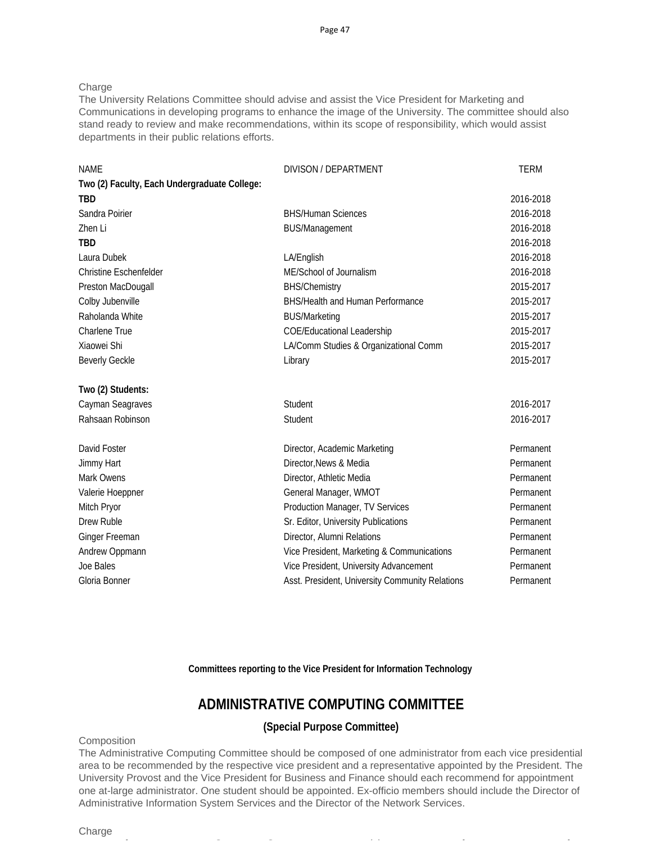**Charge** 

The University Relations Committee should advise and assist the Vice President for Marketing and Communications in developing programs to enhance the image of the University. The committee should also stand ready to review and make recommendations, within its scope of responsibility, which would assist departments in their public relations efforts.

| <b>NAME</b>                                  | DIVISON / DEPARTMENT                            | <b>TERM</b> |
|----------------------------------------------|-------------------------------------------------|-------------|
| Two (2) Faculty, Each Undergraduate College: |                                                 |             |
| <b>TBD</b>                                   |                                                 | 2016-2018   |
| Sandra Poirier                               | <b>BHS/Human Sciences</b>                       | 2016-2018   |
| Zhen Li                                      | <b>BUS/Management</b>                           | 2016-2018   |
| <b>TBD</b>                                   |                                                 | 2016-2018   |
| Laura Dubek                                  | LA/English                                      | 2016-2018   |
| <b>Christine Eschenfelder</b>                | ME/School of Journalism                         | 2016-2018   |
| Preston MacDougall                           | <b>BHS/Chemistry</b>                            | 2015-2017   |
| Colby Jubenville                             | BHS/Health and Human Performance                | 2015-2017   |
| Raholanda White                              | <b>BUS/Marketing</b>                            | 2015-2017   |
| Charlene True                                | <b>COE/Educational Leadership</b>               | 2015-2017   |
| Xiaowei Shi                                  | LA/Comm Studies & Organizational Comm           | 2015-2017   |
| <b>Beverly Geckle</b>                        | Library                                         | 2015-2017   |
| Two (2) Students:                            |                                                 |             |
| Cayman Seagraves                             | Student                                         | 2016-2017   |
| Rahsaan Robinson                             | Student                                         | 2016-2017   |
| David Foster                                 | Director, Academic Marketing                    | Permanent   |
| Jimmy Hart                                   | Director, News & Media                          | Permanent   |
| Mark Owens                                   | Director, Athletic Media                        | Permanent   |
| Valerie Hoeppner                             | General Manager, WMOT                           | Permanent   |
| Mitch Pryor                                  | Production Manager, TV Services                 | Permanent   |
| Drew Ruble                                   | Sr. Editor, University Publications             | Permanent   |
| <b>Ginger Freeman</b>                        | Director, Alumni Relations                      | Permanent   |
| Andrew Oppmann                               | Vice President, Marketing & Communications      | Permanent   |
| Joe Bales                                    | Vice President, University Advancement          | Permanent   |
| Gloria Bonner                                | Asst. President, University Community Relations | Permanent   |

**Committees reporting to the Vice President for Information Technology** 

### **ADMINISTRATIVE COMPUTING COMMITTEE**

### **(Special Purpose Committee)**

### **Composition**

The Administrative Computing Committee should be composed of one administrator from each vice presidential area to be recommended by the respective vice president and a representative appointed by the President. The University Provost and the Vice President for Business and Finance should each recommend for appointment one at-large administrator. One student should be appointed. Ex-officio members should include the Director of Administrative Information System Services and the Director of the Network Services.

f C C () f f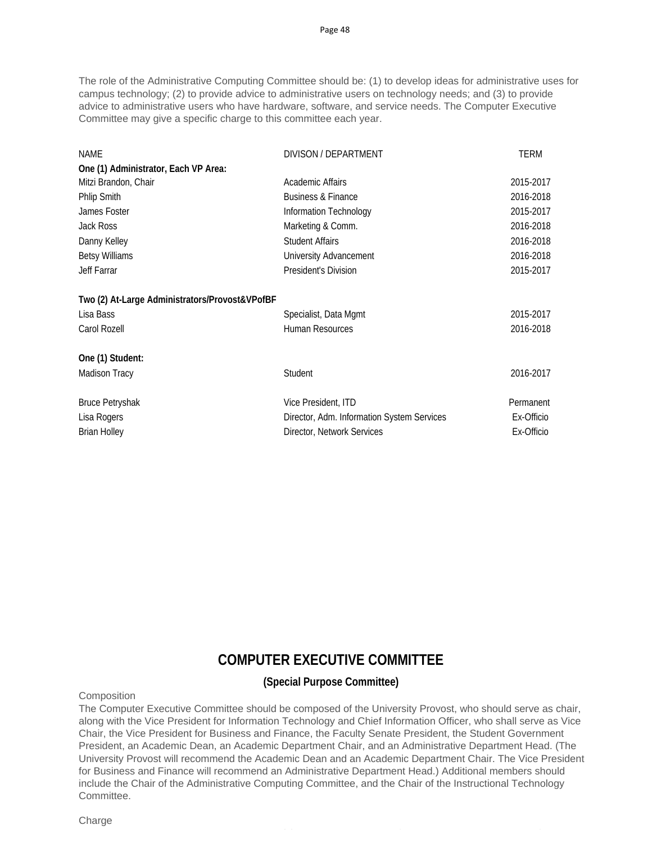The role of the Administrative Computing Committee should be: (1) to develop ideas for administrative uses for campus technology; (2) to provide advice to administrative users on technology needs; and (3) to provide advice to administrative users who have hardware, software, and service needs. The Computer Executive Committee may give a specific charge to this committee each year.

| <b>NAME</b>                                    | DIVISON / DEPARTMENT                       | <b>TERM</b> |
|------------------------------------------------|--------------------------------------------|-------------|
| One (1) Administrator, Each VP Area:           |                                            |             |
| Mitzi Brandon, Chair                           | Academic Affairs                           | 2015-2017   |
| <b>Phlip Smith</b>                             | <b>Business &amp; Finance</b>              | 2016-2018   |
| James Foster                                   | Information Technology                     | 2015-2017   |
| Jack Ross                                      | Marketing & Comm.                          | 2016-2018   |
| Danny Kelley                                   | <b>Student Affairs</b>                     | 2016-2018   |
| <b>Betsy Williams</b>                          | University Advancement                     | 2016-2018   |
| Jeff Farrar                                    | President's Division                       | 2015-2017   |
| Two (2) At-Large Administrators/Provost&VPofBF |                                            |             |
| Lisa Bass                                      | Specialist, Data Mgmt                      | 2015-2017   |
| Carol Rozell                                   | <b>Human Resources</b>                     | 2016-2018   |
| One (1) Student:                               |                                            |             |
| Madison Tracy                                  | Student                                    | 2016-2017   |
| <b>Bruce Petryshak</b>                         | Vice President, ITD                        | Permanent   |
| Lisa Rogers                                    | Director, Adm. Information System Services | Ex-Officio  |
| <b>Brian Holley</b>                            | Director, Network Services                 | Ex-Officio  |

# **COMPUTER EXECUTIVE COMMITTEE**

### **(Special Purpose Committee)**

**Composition** 

The Computer Executive Committee should be composed of the University Provost, who should serve as chair, along with the Vice President for Information Technology and Chief Information Officer, who shall serve as Vice Chair, the Vice President for Business and Finance, the Faculty Senate President, the Student Government President, an Academic Dean, an Academic Department Chair, and an Administrative Department Head. (The University Provost will recommend the Academic Dean and an Academic Department Chair. The Vice President for Business and Finance will recommend an Administrative Department Head.) Additional members should include the Chair of the Administrative Computing Committee, and the Chair of the Instructional Technology Committee.

C () for the contract of the contract of the contract of the contract of the contract of the contract of the c

Charge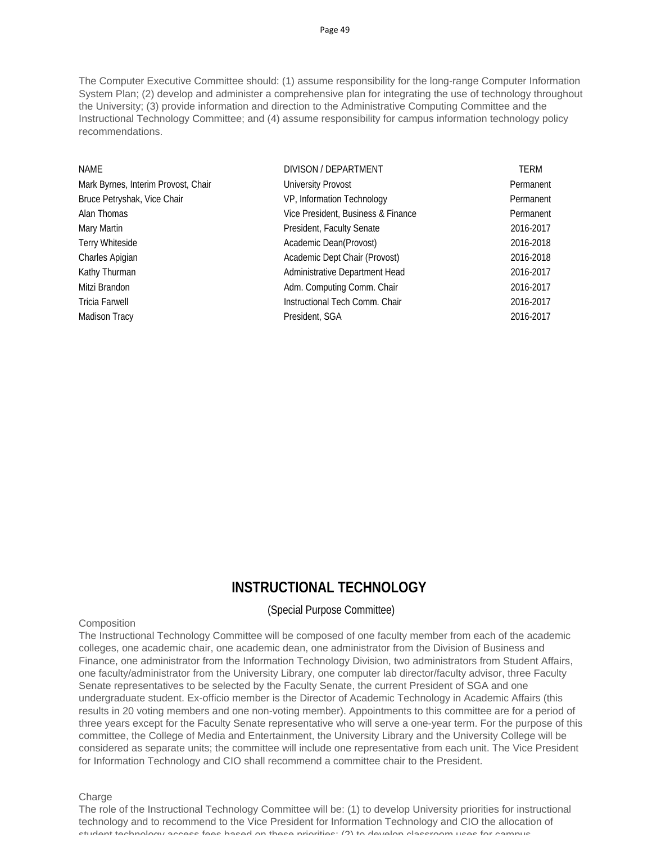The Computer Executive Committee should: (1) assume responsibility for the long-range Computer Information System Plan; (2) develop and administer a comprehensive plan for integrating the use of technology throughout the University; (3) provide information and direction to the Administrative Computing Committee and the Instructional Technology Committee; and (4) assume responsibility for campus information technology policy recommendations.

| DIVISON / DEPARTMENT               | <b>TERM</b> |
|------------------------------------|-------------|
| University Provost                 | Permanent   |
| VP, Information Technology         | Permanent   |
| Vice President, Business & Finance | Permanent   |
| President, Faculty Senate          | 2016-2017   |
| Academic Dean(Provost)             | 2016-2018   |
| Academic Dept Chair (Provost)      | 2016-2018   |
| Administrative Department Head     | 2016-2017   |
| Adm. Computing Comm. Chair         | 2016-2017   |
| Instructional Tech Comm. Chair     | 2016-2017   |
| President, SGA                     | 2016-2017   |
|                                    |             |

### **INSTRUCTIONAL TECHNOLOGY**

### (Special Purpose Committee)

#### **Composition**

The Instructional Technology Committee will be composed of one faculty member from each of the academic colleges, one academic chair, one academic dean, one administrator from the Division of Business and Finance, one administrator from the Information Technology Division, two administrators from Student Affairs, one faculty/administrator from the University Library, one computer lab director/faculty advisor, three Faculty Senate representatives to be selected by the Faculty Senate, the current President of SGA and one undergraduate student. Ex-officio member is the Director of Academic Technology in Academic Affairs (this results in 20 voting members and one non-voting member). Appointments to this committee are for a period of three years except for the Faculty Senate representative who will serve a one-year term. For the purpose of this committee, the College of Media and Entertainment, the University Library and the University College will be considered as separate units; the committee will include one representative from each unit. The Vice President for Information Technology and CIO shall recommend a committee chair to the President.

Charge

The role of the Instructional Technology Committee will be: (1) to develop University priorities for instructional technology and to recommend to the Vice President for Information Technology and CIO the allocation of student technology access fees based on these priorities; (2) to develop classroom uses for campus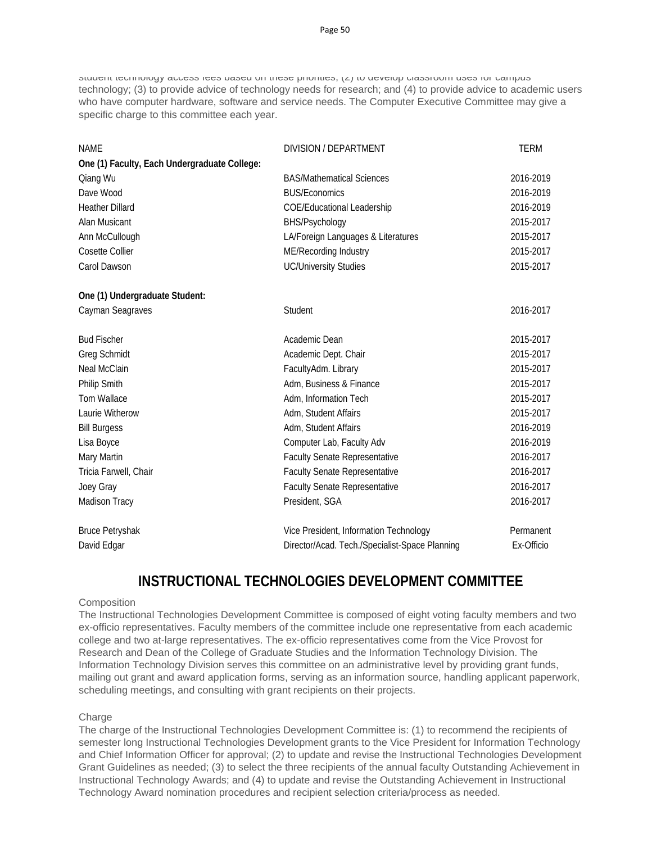student technology access fees based on these priorities; (2) to develop classroom uses for campus technology; (3) to provide advice of technology needs for research; and (4) to provide advice to academic users who have computer hardware, software and service needs. The Computer Executive Committee may give a specific charge to this committee each year.

| <b>NAME</b>                                  | DIVISION / DEPARTMENT                          | <b>TERM</b> |
|----------------------------------------------|------------------------------------------------|-------------|
| One (1) Faculty, Each Undergraduate College: |                                                |             |
| Qiang Wu                                     | <b>BAS/Mathematical Sciences</b>               | 2016-2019   |
| Dave Wood                                    | <b>BUS/Economics</b>                           | 2016-2019   |
| <b>Heather Dillard</b>                       | <b>COE/Educational Leadership</b>              | 2016-2019   |
| Alan Musicant                                | BHS/Psychology                                 | 2015-2017   |
| Ann McCullough                               | LA/Foreign Languages & Literatures             | 2015-2017   |
| <b>Cosette Collier</b>                       | ME/Recording Industry                          | 2015-2017   |
| Carol Dawson                                 | <b>UC/University Studies</b>                   | 2015-2017   |
| One (1) Undergraduate Student:               |                                                |             |
| Cayman Seagraves                             | Student                                        | 2016-2017   |
| <b>Bud Fischer</b>                           | Academic Dean                                  | 2015-2017   |
| <b>Greg Schmidt</b>                          | Academic Dept. Chair                           | 2015-2017   |
| <b>Neal McClain</b>                          | FacultyAdm. Library                            | 2015-2017   |
| Philip Smith                                 | Adm, Business & Finance                        | 2015-2017   |
| <b>Tom Wallace</b>                           | Adm, Information Tech                          | 2015-2017   |
| Laurie Witherow                              | Adm, Student Affairs                           | 2015-2017   |
| <b>Bill Burgess</b>                          | Adm, Student Affairs                           | 2016-2019   |
| Lisa Boyce                                   | Computer Lab, Faculty Adv                      | 2016-2019   |
| Mary Martin                                  | <b>Faculty Senate Representative</b>           | 2016-2017   |
| Tricia Farwell, Chair                        | <b>Faculty Senate Representative</b>           | 2016-2017   |
| Joey Gray                                    | <b>Faculty Senate Representative</b>           | 2016-2017   |
| Madison Tracy                                | President, SGA                                 | 2016-2017   |
| <b>Bruce Petryshak</b>                       | Vice President, Information Technology         | Permanent   |
| David Edgar                                  | Director/Acad. Tech./Specialist-Space Planning | Ex-Officio  |

# **INSTRUCTIONAL TECHNOLOGIES DEVELOPMENT COMMITTEE**

### **Composition**

The Instructional Technologies Development Committee is composed of eight voting faculty members and two ex-officio representatives. Faculty members of the committee include one representative from each academic college and two at-large representatives. The ex-officio representatives come from the Vice Provost for Research and Dean of the College of Graduate Studies and the Information Technology Division. The Information Technology Division serves this committee on an administrative level by providing grant funds, mailing out grant and award application forms, serving as an information source, handling applicant paperwork, scheduling meetings, and consulting with grant recipients on their projects.

### **Charge**

The charge of the Instructional Technologies Development Committee is: (1) to recommend the recipients of semester long Instructional Technologies Development grants to the Vice President for Information Technology and Chief Information Officer for approval; (2) to update and revise the Instructional Technologies Development Grant Guidelines as needed; (3) to select the three recipients of the annual faculty Outstanding Achievement in Instructional Technology Awards; and (4) to update and revise the Outstanding Achievement in Instructional Technology Award nomination procedures and recipient selection criteria/process as needed.